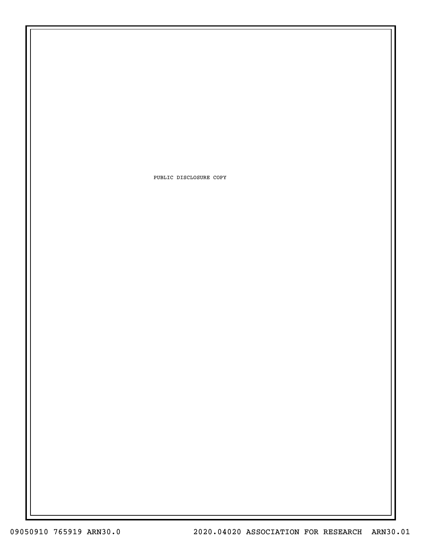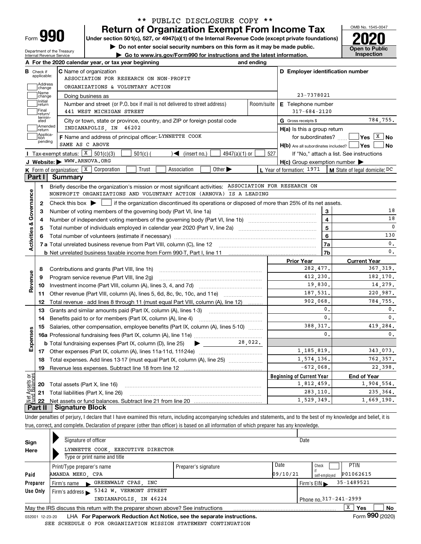| -orm |  |
|------|--|

Department of the Treasury Internal Revenue Service

# **Return of Organization Exempt From Income Tax** \*\* PUBLIC DISCLOSURE COPY \*\*

**Under section 501(c), 527, or 4947(a)(1) of the Internal Revenue Code (except private foundations) 2020**

**| Do not enter social security numbers on this form as it may be made public.**

**| Go to www.irs.gov/Form990 for instructions and the latest information. Inspection**



|                                                                                                                                                                                          |                             | A For the 2020 calendar year, or tax year beginning                                                                                                 | and ending     |                                                     |                                                                          |  |  |  |  |  |
|------------------------------------------------------------------------------------------------------------------------------------------------------------------------------------------|-----------------------------|-----------------------------------------------------------------------------------------------------------------------------------------------------|----------------|-----------------------------------------------------|--------------------------------------------------------------------------|--|--|--|--|--|
| В                                                                                                                                                                                        | Check if                    | <b>C</b> Name of organization                                                                                                                       |                | D Employer identification number                    |                                                                          |  |  |  |  |  |
|                                                                                                                                                                                          | applicable:                 | ASSOCIATION FOR RESEARCH ON NON-PROFIT                                                                                                              |                |                                                     |                                                                          |  |  |  |  |  |
|                                                                                                                                                                                          | Address<br>Ichange          | ORGANIZATIONS & VOLUNTARY ACTION                                                                                                                    |                |                                                     |                                                                          |  |  |  |  |  |
| Name<br>23-7378021<br>Doing business as<br>change<br>Initial<br>Number and street (or P.O. box if mail is not delivered to street address)<br>E Telephone number<br>Room/suite<br>return |                             |                                                                                                                                                     |                |                                                     |                                                                          |  |  |  |  |  |
|                                                                                                                                                                                          |                             |                                                                                                                                                     |                |                                                     |                                                                          |  |  |  |  |  |
|                                                                                                                                                                                          | termin-<br>ated             | City or town, state or province, country, and ZIP or foreign postal code                                                                            |                | G Gross receipts \$                                 | 784,755.                                                                 |  |  |  |  |  |
|                                                                                                                                                                                          | Amended<br>return           | INDIANAPOLIS, IN 46202                                                                                                                              |                | H(a) Is this a group return                         |                                                                          |  |  |  |  |  |
|                                                                                                                                                                                          | Applica-<br>tion<br>pending | F Name and address of principal officer: LYNNETTE COOK                                                                                              |                | for subordinates?                                   | $ Yes X $ No                                                             |  |  |  |  |  |
|                                                                                                                                                                                          |                             | SAME AS C ABOVE                                                                                                                                     |                | H(b) Are all subordinates included?   Yes           | No                                                                       |  |  |  |  |  |
|                                                                                                                                                                                          |                             | Tax-exempt status: $X$ 501(c)(3)<br>$501(c)$ (<br>$\triangleleft$ (insert no.)<br>$4947(a)(1)$ or                                                   | 527            |                                                     | If "No," attach a list. See instructions                                 |  |  |  |  |  |
|                                                                                                                                                                                          |                             | J Website: WWW.ARNOVA.ORG                                                                                                                           |                | $H(c)$ Group exemption number $\blacktriangleright$ |                                                                          |  |  |  |  |  |
|                                                                                                                                                                                          |                             | Other $\blacktriangleright$<br><b>K</b> Form of organization: $\boxed{\textbf{X}}$ Corporation<br>Trust<br>Association                              |                | L Year of formation: 1971                           | M State of legal domicile: DC                                            |  |  |  |  |  |
|                                                                                                                                                                                          | Part I I                    | Summary                                                                                                                                             |                |                                                     |                                                                          |  |  |  |  |  |
|                                                                                                                                                                                          | 1.                          | Briefly describe the organization's mission or most significant activities: ASSOCIATION FOR RESEARCH ON                                             |                |                                                     |                                                                          |  |  |  |  |  |
| Governance                                                                                                                                                                               |                             | NONPROFIT ORGANIZATIONS AND VOLUNTARY ACTION (ARNOVA) IS A LEADING                                                                                  |                |                                                     |                                                                          |  |  |  |  |  |
|                                                                                                                                                                                          | $\mathbf{2}$                | Check this box $\blacktriangleright$ $\blacksquare$ if the organization discontinued its operations or disposed of more than 25% of its net assets. |                |                                                     |                                                                          |  |  |  |  |  |
|                                                                                                                                                                                          | З                           | Number of voting members of the governing body (Part VI, line 1a)                                                                                   |                | 3                                                   | 18                                                                       |  |  |  |  |  |
|                                                                                                                                                                                          | 4                           |                                                                                                                                                     | $\overline{4}$ | 18                                                  |                                                                          |  |  |  |  |  |
| Activities &                                                                                                                                                                             | 5                           |                                                                                                                                                     | 5              | $\mathbf 0$                                         |                                                                          |  |  |  |  |  |
|                                                                                                                                                                                          | 6                           |                                                                                                                                                     | 6              | 130                                                 |                                                                          |  |  |  |  |  |
|                                                                                                                                                                                          |                             |                                                                                                                                                     | 7a             | $\mathbf{0}$ .                                      |                                                                          |  |  |  |  |  |
|                                                                                                                                                                                          |                             |                                                                                                                                                     |                | 7 <sub>b</sub>                                      | $\mathbf{0}$ .                                                           |  |  |  |  |  |
|                                                                                                                                                                                          |                             |                                                                                                                                                     |                | <b>Prior Year</b><br>282,477.                       | <b>Current Year</b><br>367, 319.                                         |  |  |  |  |  |
|                                                                                                                                                                                          | 8                           | Contributions and grants (Part VIII, line 1h)                                                                                                       |                |                                                     |                                                                          |  |  |  |  |  |
| Revenue                                                                                                                                                                                  | 9                           | Program service revenue (Part VIII, line 2g)                                                                                                        |                | 412,230.                                            | 182,170.                                                                 |  |  |  |  |  |
|                                                                                                                                                                                          | 10                          |                                                                                                                                                     |                | 19,830.                                             | 14,279.                                                                  |  |  |  |  |  |
|                                                                                                                                                                                          | 11                          | Other revenue (Part VIII, column (A), lines 5, 6d, 8c, 9c, 10c, and 11e)                                                                            |                | 187,531.                                            | 220,987.                                                                 |  |  |  |  |  |
|                                                                                                                                                                                          | 12                          | Total revenue - add lines 8 through 11 (must equal Part VIII, column (A), line 12)                                                                  |                | 902,068.                                            | 784.755.                                                                 |  |  |  |  |  |
|                                                                                                                                                                                          | 13                          | Grants and similar amounts paid (Part IX, column (A), lines 1-3)                                                                                    |                | $\mathbf{0}$ .                                      | $\mathbf{0}$ .                                                           |  |  |  |  |  |
|                                                                                                                                                                                          | 14                          | Benefits paid to or for members (Part IX, column (A), line 4)                                                                                       |                | $\mathbf{0}$ .                                      | $\mathbf{0}$ .                                                           |  |  |  |  |  |
|                                                                                                                                                                                          | 15                          | Salaries, other compensation, employee benefits (Part IX, column (A), lines 5-10)                                                                   |                | 388, 317.                                           | 419,284.                                                                 |  |  |  |  |  |
|                                                                                                                                                                                          |                             |                                                                                                                                                     |                | $\mathbf{0}$ .                                      | $\mathbf{0}$ .                                                           |  |  |  |  |  |
|                                                                                                                                                                                          |                             |                                                                                                                                                     |                |                                                     |                                                                          |  |  |  |  |  |
|                                                                                                                                                                                          |                             | 28,022.<br><b>b</b> Total fundraising expenses (Part IX, column (D), line 25)<br>$\blacktriangleright$ and $\blacktriangleright$                    |                |                                                     |                                                                          |  |  |  |  |  |
|                                                                                                                                                                                          |                             |                                                                                                                                                     |                | 1, 185, 819.                                        |                                                                          |  |  |  |  |  |
|                                                                                                                                                                                          | 18                          | Total expenses. Add lines 13-17 (must equal Part IX, column (A), line 25) [                                                                         |                | 1,574,136.                                          |                                                                          |  |  |  |  |  |
|                                                                                                                                                                                          | 19                          |                                                                                                                                                     |                | $-672,068$ .                                        |                                                                          |  |  |  |  |  |
|                                                                                                                                                                                          |                             |                                                                                                                                                     |                | <b>Beginning of Current Year</b>                    | <b>End of Year</b>                                                       |  |  |  |  |  |
|                                                                                                                                                                                          | 20                          | Total assets (Part X, line 16)                                                                                                                      |                | 1,812,459.                                          |                                                                          |  |  |  |  |  |
| Expenses<br>بَوْح<br>sets                                                                                                                                                                |                             | 21 Total liabilities (Part X, line 26)                                                                                                              |                | 283,110.<br>1,529,349.                              | 343,073.<br>762,357.<br>22,398.<br>1,904,554.<br>235, 364.<br>1,669,190. |  |  |  |  |  |

Under penalties of perjury, I declare that I have examined this return, including accompanying schedules and statements, and to the best of my knowledge and belief, it is true, correct, and complete. Declaration of preparer (other than officer) is based on all information of which preparer has any knowledge.

| Sign                                             | Signature of officer                                                            |                      |          | Date                                           |                 |  |  |  |
|--------------------------------------------------|---------------------------------------------------------------------------------|----------------------|----------|------------------------------------------------|-----------------|--|--|--|
| Here                                             | LYNNETTE COOK, EXECUTIVE DIRECTOR                                               |                      |          |                                                |                 |  |  |  |
|                                                  | Type or print name and title                                                    |                      |          |                                                |                 |  |  |  |
|                                                  | Print/Type preparer's name                                                      | Preparer's signature | Date     | PTIN<br>Check                                  |                 |  |  |  |
| Paid                                             | AMANDA MEKO, CPA                                                                |                      | 09/10/21 | P01062615<br>self-emploved                     |                 |  |  |  |
| Preparer                                         | Firm's name GREENWALT CPAS, INC                                                 |                      |          | 35-1489521<br>Firm's $EIN \blacktriangleright$ |                 |  |  |  |
| Use Only                                         | 5342 W. VERMONT STREET<br>Firm's address $\blacktriangleright$                  |                      |          |                                                |                 |  |  |  |
| INDIANAPOLIS, IN 46224<br>Phone no. 317-241-2999 |                                                                                 |                      |          |                                                |                 |  |  |  |
|                                                  | May the IRS discuss this return with the preparer shown above? See instructions |                      |          | x<br><b>Yes</b>                                | No              |  |  |  |
| 032001 12-23-20                                  | LHA For Paperwork Reduction Act Notice, see the separate instructions.          |                      |          |                                                | Form 990 (2020) |  |  |  |

LHA **For Paperwork Reduction Act Notice, see the separate instructions. Form 990 (2020)** SEE SCHEDULE O FOR ORGANIZATION MISSION STATEMENT CONTINUATION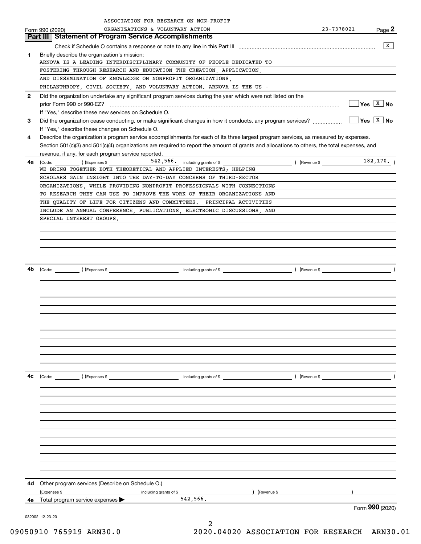|              | ASSOCIATION FOR RESEARCH ON NON-PROFIT                                                                                                                    |                              |                                              |
|--------------|-----------------------------------------------------------------------------------------------------------------------------------------------------------|------------------------------|----------------------------------------------|
|              | ORGANIZATIONS & VOLUNTARY ACTION<br>Form 990 (2020)                                                                                                       | 23-7378021                   | Page 2                                       |
|              | <b>Part III   Statement of Program Service Accomplishments</b>                                                                                            |                              |                                              |
|              |                                                                                                                                                           |                              | x                                            |
| 1            | Briefly describe the organization's mission:                                                                                                              |                              |                                              |
|              | ARNOVA IS A LEADING INTERDISCIPLINARY COMMUNITY OF PEOPLE DEDICATED TO                                                                                    |                              |                                              |
|              | FOSTERING THROUGH RESEARCH AND EDUCATION THE CREATION, APPLICATION,<br>AND DISSEMINATION OF KNOWLEDGE ON NONPROFIT ORGANIZATIONS,                         |                              |                                              |
|              | PHILANTHROPY, CIVIL SOCIETY, AND VOLUNTARY ACTION. ARNOVA IS THE US -                                                                                     |                              |                                              |
| $\mathbf{2}$ | Did the organization undertake any significant program services during the year which were not listed on the                                              |                              |                                              |
|              |                                                                                                                                                           |                              | $\sqrt{Y}$ es $\boxed{X}$ No                 |
|              | If "Yes," describe these new services on Schedule O.                                                                                                      |                              |                                              |
| 3            | Did the organization cease conducting, or make significant changes in how it conducts, any program services?                                              |                              | $\sqrt{\mathsf{Yes}}$ $\sqrt{\mathsf{X}}$ No |
|              | If "Yes," describe these changes on Schedule O.                                                                                                           |                              |                                              |
| 4            | Describe the organization's program service accomplishments for each of its three largest program services, as measured by expenses.                      |                              |                                              |
|              | Section 501(c)(3) and 501(c)(4) organizations are required to report the amount of grants and allocations to others, the total expenses, and              |                              |                                              |
|              | revenue, if any, for each program service reported.                                                                                                       |                              |                                              |
| 4a           | 542, 566. including grants of \$<br>$\begin{pmatrix} \text{Code:} & \begin{pmatrix} \text{C} & \text{C} \end{pmatrix} & \text{Expenses $}\ \end{pmatrix}$ | $($ Revenue \$ $\frac{1}{2}$ | 182, 170.                                    |
|              | WE BRING TOGETHER BOTH THEORETICAL AND APPLIED INTERESTS; HELPING                                                                                         |                              |                                              |
|              | SCHOLARS GAIN INSIGHT INTO THE DAY-TO-DAY CONCERNS OF THIRD-SECTOR                                                                                        |                              |                                              |
|              | ORGANIZATIONS, WHILE PROVIDING NONPROFIT PROFESSIONALS WITH CONNECTIONS                                                                                   |                              |                                              |
|              | TO RESEARCH THEY CAN USE TO IMPROVE THE WORK OF THEIR ORGANIZATIONS AND                                                                                   |                              |                                              |
|              | THE QUALITY OF LIFE FOR CITIZENS AND COMMITTEES. PRINCIPAL ACTIVITIES                                                                                     |                              |                                              |
|              | INCLUDE AN ANNUAL CONFERENCE, PUBLICATIONS, ELECTRONIC DISCUSSIONS, AND                                                                                   |                              |                                              |
|              | SPECIAL INTEREST GROUPS.                                                                                                                                  |                              |                                              |
|              |                                                                                                                                                           |                              |                                              |
|              |                                                                                                                                                           |                              |                                              |
|              |                                                                                                                                                           |                              |                                              |
|              |                                                                                                                                                           |                              |                                              |
| 4b           |                                                                                                                                                           |                              | $\rightarrow$                                |
|              |                                                                                                                                                           |                              |                                              |
|              |                                                                                                                                                           |                              |                                              |
|              |                                                                                                                                                           |                              |                                              |
|              |                                                                                                                                                           |                              |                                              |
|              |                                                                                                                                                           |                              |                                              |
|              |                                                                                                                                                           |                              |                                              |
|              |                                                                                                                                                           |                              |                                              |
|              |                                                                                                                                                           |                              |                                              |
|              |                                                                                                                                                           |                              |                                              |
|              |                                                                                                                                                           |                              |                                              |
|              |                                                                                                                                                           |                              |                                              |
|              |                                                                                                                                                           |                              |                                              |
| 4с           |                                                                                                                                                           |                              |                                              |
|              |                                                                                                                                                           |                              |                                              |
|              |                                                                                                                                                           |                              |                                              |
|              |                                                                                                                                                           |                              |                                              |
|              |                                                                                                                                                           |                              |                                              |
|              |                                                                                                                                                           |                              |                                              |
|              |                                                                                                                                                           |                              |                                              |
|              |                                                                                                                                                           |                              |                                              |
|              |                                                                                                                                                           |                              |                                              |
|              |                                                                                                                                                           |                              |                                              |
|              |                                                                                                                                                           |                              |                                              |
|              |                                                                                                                                                           |                              |                                              |
|              | 4d Other program services (Describe on Schedule O.)                                                                                                       |                              |                                              |
|              | ) (Revenue \$<br>(Expenses \$<br>including grants of \$                                                                                                   |                              |                                              |
| 4е           | 542,566.<br>Total program service expenses $\blacktriangleright$                                                                                          |                              |                                              |
|              |                                                                                                                                                           |                              | Form 990 (2020)                              |
|              | 032002 12-23-20                                                                                                                                           |                              |                                              |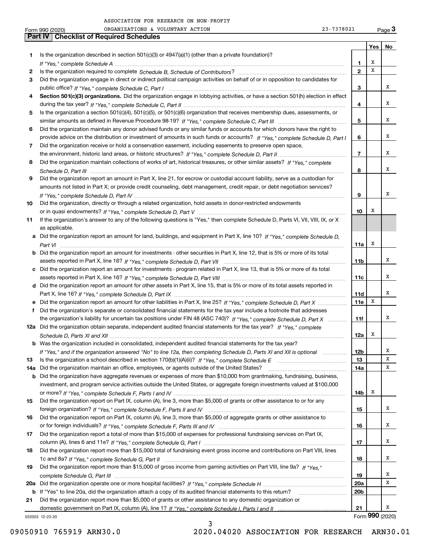|     | 23-7378021<br>ORGANIZATIONS & VOLUNTARY ACTION<br>Form 990 (2020)                                                                     |                 |     | Page $3$        |
|-----|---------------------------------------------------------------------------------------------------------------------------------------|-----------------|-----|-----------------|
|     | <b>Part IV   Checklist of Required Schedules</b>                                                                                      |                 |     |                 |
|     |                                                                                                                                       |                 | Yes | No              |
| 1   | Is the organization described in section $501(c)(3)$ or $4947(a)(1)$ (other than a private foundation)?                               |                 |     |                 |
|     |                                                                                                                                       | 1               | х   |                 |
| 2   |                                                                                                                                       | $\mathbf{2}$    | x   |                 |
| 3   | Did the organization engage in direct or indirect political campaign activities on behalf of or in opposition to candidates for       |                 |     |                 |
|     |                                                                                                                                       | 3               |     | x               |
| 4   | Section 501(c)(3) organizations. Did the organization engage in lobbying activities, or have a section 501(h) election in effect      |                 |     |                 |
|     |                                                                                                                                       | 4               |     | x               |
| 5   | Is the organization a section 501(c)(4), 501(c)(5), or 501(c)(6) organization that receives membership dues, assessments, or          |                 |     |                 |
|     |                                                                                                                                       | 5               |     | х               |
| 6   | Did the organization maintain any donor advised funds or any similar funds or accounts for which donors have the right to             |                 |     |                 |
|     | provide advice on the distribution or investment of amounts in such funds or accounts? If "Yes," complete Schedule D, Part I          | 6               |     | х               |
|     |                                                                                                                                       |                 |     |                 |
| 7   | Did the organization receive or hold a conservation easement, including easements to preserve open space,                             | $\overline{7}$  |     | x               |
|     |                                                                                                                                       |                 |     |                 |
| 8   | Did the organization maintain collections of works of art, historical treasures, or other similar assets? If "Yes," complete          |                 |     | x               |
|     |                                                                                                                                       | 8               |     |                 |
| 9   | Did the organization report an amount in Part X, line 21, for escrow or custodial account liability, serve as a custodian for         |                 |     |                 |
|     | amounts not listed in Part X; or provide credit counseling, debt management, credit repair, or debt negotiation services?             |                 |     |                 |
|     |                                                                                                                                       | 9               |     | x               |
| 10  | Did the organization, directly or through a related organization, hold assets in donor-restricted endowments                          |                 |     |                 |
|     |                                                                                                                                       | 10              | х   |                 |
| 11  | If the organization's answer to any of the following questions is "Yes," then complete Schedule D, Parts VI, VII, VIII, IX, or X      |                 |     |                 |
|     | as applicable.                                                                                                                        |                 |     |                 |
|     | a Did the organization report an amount for land, buildings, and equipment in Part X, line 10? If "Yes," complete Schedule D,         |                 |     |                 |
|     |                                                                                                                                       | 11a             | х   |                 |
|     | <b>b</b> Did the organization report an amount for investments - other securities in Part X, line 12, that is 5% or more of its total |                 |     |                 |
|     |                                                                                                                                       | 11 <sub>b</sub> |     | x               |
|     | c Did the organization report an amount for investments - program related in Part X, line 13, that is 5% or more of its total         |                 |     |                 |
|     |                                                                                                                                       | 11c             |     | x               |
|     | d Did the organization report an amount for other assets in Part X, line 15, that is 5% or more of its total assets reported in       |                 |     |                 |
|     |                                                                                                                                       | 11d             |     | x               |
|     | e Did the organization report an amount for other liabilities in Part X, line 25? If "Yes," complete Schedule D, Part X               | 11e             | X   |                 |
| f   | Did the organization's separate or consolidated financial statements for the tax year include a footnote that addresses               |                 |     |                 |
|     | the organization's liability for uncertain tax positions under FIN 48 (ASC 740)? If "Yes," complete Schedule D, Part X                | 11f             |     | x               |
|     | 12a Did the organization obtain separate, independent audited financial statements for the tax year? If "Yes," complete               |                 |     |                 |
|     |                                                                                                                                       | 12a             | x   |                 |
|     | <b>b</b> Was the organization included in consolidated, independent audited financial statements for the tax year?                    |                 |     |                 |
|     | If "Yes," and if the organization answered "No" to line 12a, then completing Schedule D, Parts XI and XII is optional                 | 12 <sub>b</sub> |     | x               |
| 13  |                                                                                                                                       | 13              |     | х               |
| 14a | Did the organization maintain an office, employees, or agents outside of the United States?                                           | 14a             |     | x               |
| b   | Did the organization have aggregate revenues or expenses of more than \$10,000 from grantmaking, fundraising, business,               |                 |     |                 |
|     | investment, and program service activities outside the United States, or aggregate foreign investments valued at \$100,000            |                 |     |                 |
|     |                                                                                                                                       | 14b             | x   |                 |
| 15  | Did the organization report on Part IX, column (A), line 3, more than \$5,000 of grants or other assistance to or for any             |                 |     |                 |
|     |                                                                                                                                       | 15              |     | x               |
| 16  | Did the organization report on Part IX, column (A), line 3, more than \$5,000 of aggregate grants or other assistance to              |                 |     |                 |
|     |                                                                                                                                       |                 |     | x               |
|     |                                                                                                                                       | 16              |     |                 |
| 17  | Did the organization report a total of more than \$15,000 of expenses for professional fundraising services on Part IX,               |                 |     |                 |
|     |                                                                                                                                       | 17              |     | x               |
| 18  | Did the organization report more than \$15,000 total of fundraising event gross income and contributions on Part VIII, lines          |                 |     |                 |
|     |                                                                                                                                       | 18              |     | х               |
| 19  | Did the organization report more than \$15,000 of gross income from gaming activities on Part VIII, line 9a? If "Yes."                |                 |     |                 |
|     |                                                                                                                                       | 19              |     | x               |
|     |                                                                                                                                       | 20a             |     | х               |
|     | b If "Yes" to line 20a, did the organization attach a copy of its audited financial statements to this return?                        | 20 <sub>b</sub> |     |                 |
| 21  | Did the organization report more than \$5,000 of grants or other assistance to any domestic organization or                           |                 |     |                 |
|     |                                                                                                                                       | 21              |     | x               |
|     | 032003 12-23-20                                                                                                                       |                 |     | Form 990 (2020) |

3 09050910 765919 ARN30.0 2020.04020 ASSOCIATION FOR RESEARCH ARN30.01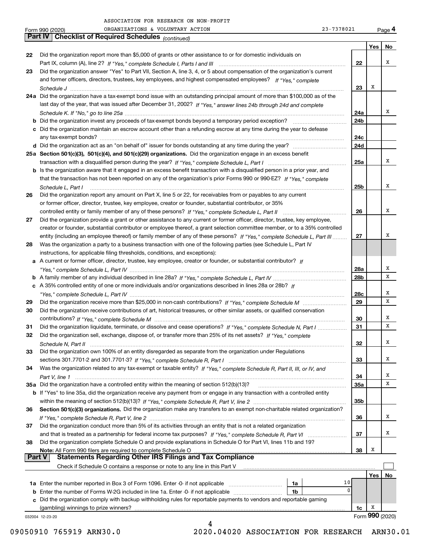|    | 23-7378021<br>ORGANIZATIONS & VOLUNTARY ACTION<br>Form 990 (2020)                                                                                                                                  |                 |     | Page 4          |
|----|----------------------------------------------------------------------------------------------------------------------------------------------------------------------------------------------------|-----------------|-----|-----------------|
|    | Part IV   Checklist of Required Schedules (continued)                                                                                                                                              |                 |     |                 |
|    |                                                                                                                                                                                                    |                 | Yes | No              |
| 22 | Did the organization report more than \$5,000 of grants or other assistance to or for domestic individuals on                                                                                      |                 |     |                 |
|    |                                                                                                                                                                                                    | 22              |     | х               |
| 23 | Did the organization answer "Yes" to Part VII, Section A, line 3, 4, or 5 about compensation of the organization's current                                                                         |                 |     |                 |
|    | and former officers, directors, trustees, key employees, and highest compensated employees? If "Yes," complete                                                                                     |                 |     |                 |
|    |                                                                                                                                                                                                    | 23              | x   |                 |
|    | 24a Did the organization have a tax-exempt bond issue with an outstanding principal amount of more than \$100,000 as of the                                                                        |                 |     |                 |
|    | last day of the year, that was issued after December 31, 2002? If "Yes," answer lines 24b through 24d and complete                                                                                 |                 |     |                 |
|    |                                                                                                                                                                                                    | 24a             |     | х               |
|    |                                                                                                                                                                                                    | 24 <sub>b</sub> |     |                 |
|    | c Did the organization maintain an escrow account other than a refunding escrow at any time during the year to defease                                                                             |                 |     |                 |
|    |                                                                                                                                                                                                    | 24c             |     |                 |
|    |                                                                                                                                                                                                    | 24d             |     |                 |
|    | 25a Section 501(c)(3), 501(c)(4), and 501(c)(29) organizations. Did the organization engage in an excess benefit                                                                                   |                 |     |                 |
|    |                                                                                                                                                                                                    | 25a             |     | х               |
|    | b Is the organization aware that it engaged in an excess benefit transaction with a disqualified person in a prior year, and                                                                       |                 |     |                 |
|    | that the transaction has not been reported on any of the organization's prior Forms 990 or 990-EZ? If "Yes," complete                                                                              |                 |     |                 |
|    | Schedule L, Part I                                                                                                                                                                                 | 25 <sub>b</sub> |     | х               |
| 26 | Did the organization report any amount on Part X, line 5 or 22, for receivables from or payables to any current                                                                                    |                 |     |                 |
|    | or former officer, director, trustee, key employee, creator or founder, substantial contributor, or 35%                                                                                            |                 |     |                 |
|    |                                                                                                                                                                                                    | 26              |     | х               |
| 27 | Did the organization provide a grant or other assistance to any current or former officer, director, trustee, key employee,                                                                        |                 |     |                 |
|    | creator or founder, substantial contributor or employee thereof, a grant selection committee member, or to a 35% controlled                                                                        |                 |     |                 |
|    | entity (including an employee thereof) or family member of any of these persons? If "Yes," complete Schedule L, Part III                                                                           | 27              |     | х               |
|    | Was the organization a party to a business transaction with one of the following parties (see Schedule L, Part IV                                                                                  |                 |     |                 |
| 28 |                                                                                                                                                                                                    |                 |     |                 |
|    | instructions, for applicable filing thresholds, conditions, and exceptions):<br>a A current or former officer, director, trustee, key employee, creator or founder, or substantial contributor? If |                 |     |                 |
|    |                                                                                                                                                                                                    |                 |     | х               |
|    |                                                                                                                                                                                                    | 28a             |     | X               |
|    |                                                                                                                                                                                                    | 28b             |     |                 |
|    | c A 35% controlled entity of one or more individuals and/or organizations described in lines 28a or 28b? If                                                                                        |                 |     | х               |
|    |                                                                                                                                                                                                    | 28c             |     | X               |
| 29 |                                                                                                                                                                                                    | 29              |     |                 |
| 30 | Did the organization receive contributions of art, historical treasures, or other similar assets, or qualified conservation                                                                        |                 |     | x               |
|    |                                                                                                                                                                                                    | 30              |     | X               |
| 31 | Did the organization liquidate, terminate, or dissolve and cease operations? If "Yes," complete Schedule N, Part I                                                                                 | 31              |     |                 |
| 32 | Did the organization sell, exchange, dispose of, or transfer more than 25% of its net assets? If "Yes," complete                                                                                   |                 |     |                 |
|    |                                                                                                                                                                                                    | 32              |     | х               |
| 33 | Did the organization own 100% of an entity disregarded as separate from the organization under Regulations                                                                                         |                 |     |                 |
|    |                                                                                                                                                                                                    | 33              |     | x               |
| 34 | Was the organization related to any tax-exempt or taxable entity? If "Yes," complete Schedule R, Part II, III, or IV, and                                                                          |                 |     |                 |
|    |                                                                                                                                                                                                    | 34              |     | x               |
|    | 35a Did the organization have a controlled entity within the meaning of section 512(b)(13)?                                                                                                        | 35a             |     | X               |
|    | b If "Yes" to line 35a, did the organization receive any payment from or engage in any transaction with a controlled entity                                                                        |                 |     |                 |
|    |                                                                                                                                                                                                    | 35b             |     |                 |
| 36 | Section 501(c)(3) organizations. Did the organization make any transfers to an exempt non-charitable related organization?                                                                         |                 |     |                 |
|    |                                                                                                                                                                                                    | 36              |     | х               |
| 37 | Did the organization conduct more than 5% of its activities through an entity that is not a related organization                                                                                   |                 |     |                 |
|    |                                                                                                                                                                                                    | 37              |     | x               |
| 38 | Did the organization complete Schedule O and provide explanations in Schedule O for Part VI, lines 11b and 19?                                                                                     |                 |     |                 |
|    | Note: All Form 990 filers are required to complete Schedule O                                                                                                                                      | 38              | Х   |                 |
|    | <b>Statements Regarding Other IRS Filings and Tax Compliance</b><br><b>Part V</b>                                                                                                                  |                 |     |                 |
|    | Check if Schedule O contains a response or note to any line in this Part V                                                                                                                         |                 |     |                 |
|    |                                                                                                                                                                                                    |                 | Yes | No              |
|    | 1a                                                                                                                                                                                                 | 10              |     |                 |
|    | <b>b</b> Enter the number of Forms W-2G included in line 1a. Enter -0- if not applicable<br>1b                                                                                                     | 0               |     |                 |
|    | c Did the organization comply with backup withholding rules for reportable payments to vendors and reportable gaming                                                                               |                 |     |                 |
|    |                                                                                                                                                                                                    | 1c              | x   |                 |
|    | 032004 12-23-20                                                                                                                                                                                    |                 |     | Form 990 (2020) |
|    | 4                                                                                                                                                                                                  |                 |     |                 |

09050910 765919 ARN30.0 2020.04020 ASSOCIATION FOR RESEARCH ARN30.01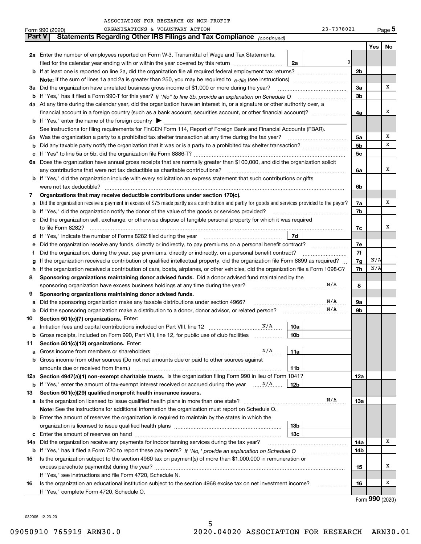| 23-7378021 | Pag |
|------------|-----|
|            |     |

|     | ORGANIZATIONS & VOLUNTARY ACTION<br>Form 990 (2020)                                                                                             | 23-7378021 |            | Page 5 |  |  |  |  |  |  |
|-----|-------------------------------------------------------------------------------------------------------------------------------------------------|------------|------------|--------|--|--|--|--|--|--|
|     | <b>Part V</b><br>Statements Regarding Other IRS Filings and Tax Compliance (continued)                                                          |            |            |        |  |  |  |  |  |  |
|     |                                                                                                                                                 |            | Yes        | No     |  |  |  |  |  |  |
|     | 2a Enter the number of employees reported on Form W-3, Transmittal of Wage and Tax Statements,                                                  |            |            |        |  |  |  |  |  |  |
|     | filed for the calendar year ending with or within the year covered by this return<br>2a                                                         | 0          |            |        |  |  |  |  |  |  |
|     |                                                                                                                                                 |            |            |        |  |  |  |  |  |  |
|     |                                                                                                                                                 |            |            |        |  |  |  |  |  |  |
| За  | Did the organization have unrelated business gross income of \$1,000 or more during the year?                                                   |            |            |        |  |  |  |  |  |  |
| b   |                                                                                                                                                 |            |            |        |  |  |  |  |  |  |
|     | 4a At any time during the calendar year, did the organization have an interest in, or a signature or other authority over, a                    |            |            |        |  |  |  |  |  |  |
|     | financial account in a foreign country (such as a bank account, securities account, or other financial account)?                                | 4a         |            | X      |  |  |  |  |  |  |
|     | <b>b</b> If "Yes," enter the name of the foreign country $\triangleright$                                                                       |            |            |        |  |  |  |  |  |  |
|     | See instructions for filing requirements for FinCEN Form 114, Report of Foreign Bank and Financial Accounts (FBAR).                             |            |            |        |  |  |  |  |  |  |
| 5a  | Was the organization a party to a prohibited tax shelter transaction at any time during the tax year?                                           | 5a         |            | х      |  |  |  |  |  |  |
| b   |                                                                                                                                                 | 5b         |            | х      |  |  |  |  |  |  |
| с   |                                                                                                                                                 | 5c         |            |        |  |  |  |  |  |  |
|     | 6a Does the organization have annual gross receipts that are normally greater than \$100,000, and did the organization solicit                  |            |            |        |  |  |  |  |  |  |
|     | any contributions that were not tax deductible as charitable contributions?                                                                     | 6a         |            | X      |  |  |  |  |  |  |
|     | <b>b</b> If "Yes," did the organization include with every solicitation an express statement that such contributions or gifts                   |            |            |        |  |  |  |  |  |  |
|     | were not tax deductible?                                                                                                                        | 6b         |            |        |  |  |  |  |  |  |
| 7   | Organizations that may receive deductible contributions under section 170(c).                                                                   |            |            |        |  |  |  |  |  |  |
| a   | Did the organization receive a payment in excess of \$75 made partly as a contribution and partly for goods and services provided to the payor? | 7a         |            | х      |  |  |  |  |  |  |
| b   | If "Yes," did the organization notify the donor of the value of the goods or services provided?                                                 | 7b         |            |        |  |  |  |  |  |  |
| c   | Did the organization sell, exchange, or otherwise dispose of tangible personal property for which it was required                               |            |            |        |  |  |  |  |  |  |
|     |                                                                                                                                                 | 7c         |            | х      |  |  |  |  |  |  |
| d   | 7d                                                                                                                                              |            |            |        |  |  |  |  |  |  |
| е   | Did the organization receive any funds, directly or indirectly, to pay premiums on a personal benefit contract?                                 | 7e         |            |        |  |  |  |  |  |  |
| f   | Did the organization, during the year, pay premiums, directly or indirectly, on a personal benefit contract?                                    |            |            |        |  |  |  |  |  |  |
| g   | If the organization received a contribution of qualified intellectual property, did the organization file Form 8899 as required?                | 7g         | N/A<br>N/A |        |  |  |  |  |  |  |
| h   | If the organization received a contribution of cars, boats, airplanes, or other vehicles, did the organization file a Form 1098-C?              |            |            |        |  |  |  |  |  |  |
| 8   | Sponsoring organizations maintaining donor advised funds. Did a donor advised fund maintained by the                                            |            |            |        |  |  |  |  |  |  |
|     | sponsoring organization have excess business holdings at any time during the year?                                                              | N/A<br>8   |            |        |  |  |  |  |  |  |
| 9   | Sponsoring organizations maintaining donor advised funds.                                                                                       |            |            |        |  |  |  |  |  |  |
| a   | Did the sponsoring organization make any taxable distributions under section 4966?                                                              | N/A<br>9а  |            |        |  |  |  |  |  |  |
| b   | Did the sponsoring organization make a distribution to a donor, donor advisor, or related person?                                               | N/A<br>9b  |            |        |  |  |  |  |  |  |
| 10  | Section 501(c)(7) organizations. Enter:                                                                                                         |            |            |        |  |  |  |  |  |  |
|     | N/A<br>10a                                                                                                                                      |            |            |        |  |  |  |  |  |  |
|     | 10 <sub>b</sub><br>Gross receipts, included on Form 990, Part VIII, line 12, for public use of club facilities                                  |            |            |        |  |  |  |  |  |  |
| 11  | Section 501(c)(12) organizations. Enter:                                                                                                        |            |            |        |  |  |  |  |  |  |
| a   | N/A<br>Gross income from members or shareholders<br>11a                                                                                         |            |            |        |  |  |  |  |  |  |
| b   | Gross income from other sources (Do not net amounts due or paid to other sources against                                                        |            |            |        |  |  |  |  |  |  |
|     | 11 <sub>b</sub>                                                                                                                                 |            |            |        |  |  |  |  |  |  |
|     | 12a Section 4947(a)(1) non-exempt charitable trusts. Is the organization filing Form 990 in lieu of Form 1041?                                  | 12a        |            |        |  |  |  |  |  |  |
|     | 12b                                                                                                                                             |            |            |        |  |  |  |  |  |  |
| 13  | Section 501(c)(29) qualified nonprofit health insurance issuers.                                                                                | N/A<br>13a |            |        |  |  |  |  |  |  |
| a   | Note: See the instructions for additional information the organization must report on Schedule O.                                               |            |            |        |  |  |  |  |  |  |
| b   | Enter the amount of reserves the organization is required to maintain by the states in which the                                                |            |            |        |  |  |  |  |  |  |
|     | 13b                                                                                                                                             |            |            |        |  |  |  |  |  |  |
| с   | 13 <sub>c</sub>                                                                                                                                 |            |            |        |  |  |  |  |  |  |
| 14a | Did the organization receive any payments for indoor tanning services during the tax year?                                                      | 14a        |            | x      |  |  |  |  |  |  |
|     | <b>b</b> If "Yes," has it filed a Form 720 to report these payments? If "No," provide an explanation on Schedule O                              | 14b        |            |        |  |  |  |  |  |  |
| 15  | Is the organization subject to the section 4960 tax on payment(s) of more than \$1,000,000 in remuneration or                                   |            |            |        |  |  |  |  |  |  |
|     |                                                                                                                                                 | 15         |            | x      |  |  |  |  |  |  |
|     | If "Yes," see instructions and file Form 4720, Schedule N.                                                                                      |            |            |        |  |  |  |  |  |  |
| 16  | Is the organization an educational institution subject to the section 4968 excise tax on net investment income?                                 | 16         |            | x      |  |  |  |  |  |  |
|     | If "Yes," complete Form 4720, Schedule O.                                                                                                       |            |            |        |  |  |  |  |  |  |
|     |                                                                                                                                                 |            |            |        |  |  |  |  |  |  |

Form (2020) **990**

032005 12-23-20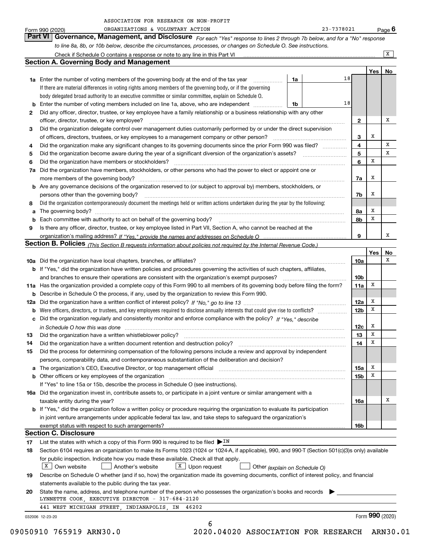|        | ORGANIZATIONS & VOLUNTARY ACTION<br>Form 990 (2020)                                                                                                                                                                            |    | 23-7378021 |                 |     | <u>Pag</u> e 6  |  |
|--------|--------------------------------------------------------------------------------------------------------------------------------------------------------------------------------------------------------------------------------|----|------------|-----------------|-----|-----------------|--|
|        | Governance, Management, and Disclosure For each "Yes" response to lines 2 through 7b below, and for a "No" response<br><b>Part VI</b>                                                                                          |    |            |                 |     |                 |  |
|        | to line 8a, 8b, or 10b below, describe the circumstances, processes, or changes on Schedule O. See instructions.                                                                                                               |    |            |                 |     |                 |  |
|        | Check if Schedule O contains a response or note to any line in this Part VI [11] [12] [2] [2] [2] [3] [3] Check if Schedule O contains a response or note to any line in this Part VI                                          |    |            |                 |     | x               |  |
|        | <b>Section A. Governing Body and Management</b>                                                                                                                                                                                |    |            |                 |     |                 |  |
|        |                                                                                                                                                                                                                                |    |            |                 | Yes | No              |  |
|        | <b>1a</b> Enter the number of voting members of the governing body at the end of the tax year<br>.                                                                                                                             | 1a | 18         |                 |     |                 |  |
|        | If there are material differences in voting rights among members of the governing body, or if the governing                                                                                                                    |    |            |                 |     |                 |  |
|        | body delegated broad authority to an executive committee or similar committee, explain on Schedule O.                                                                                                                          |    |            |                 |     |                 |  |
|        | <b>b</b> Enter the number of voting members included on line 1a, above, who are independent                                                                                                                                    | 1b | 18         |                 |     |                 |  |
| 2      | Did any officer, director, trustee, or key employee have a family relationship or a business relationship with any other                                                                                                       |    |            |                 |     |                 |  |
|        | officer, director, trustee, or key employee?                                                                                                                                                                                   |    |            | $\mathbf{2}$    |     | х               |  |
| 3      | Did the organization delegate control over management duties customarily performed by or under the direct supervision                                                                                                          |    |            |                 | Х   |                 |  |
|        | of officers, directors, trustees, or key employees to a management company or other person?                                                                                                                                    |    |            | 3               |     | X               |  |
| 4      | Did the organization make any significant changes to its governing documents since the prior Form 990 was filed?<br>Did the organization become aware during the year of a significant diversion of the organization's assets? |    |            | 4<br>5          |     | x               |  |
| 5<br>6 | Did the organization have members or stockholders?                                                                                                                                                                             |    |            | 6               | х   |                 |  |
|        | 7a Did the organization have members, stockholders, or other persons who had the power to elect or appoint one or                                                                                                              |    |            |                 |     |                 |  |
|        | more members of the governing body?                                                                                                                                                                                            |    |            | 7a              | х   |                 |  |
|        | <b>b</b> Are any governance decisions of the organization reserved to (or subject to approval by) members, stockholders, or                                                                                                    |    |            |                 |     |                 |  |
|        | persons other than the governing body?                                                                                                                                                                                         |    |            | 7b              | Х   |                 |  |
| 8      | Did the organization contemporaneously document the meetings held or written actions undertaken during the year by the following:                                                                                              |    |            |                 |     |                 |  |
|        | a The governing body?                                                                                                                                                                                                          |    |            | 8a              | Х   |                 |  |
|        | <b>b</b> Each committee with authority to act on behalf of the governing body?                                                                                                                                                 |    |            | 8b              | x   |                 |  |
| 9      | Is there any officer, director, trustee, or key employee listed in Part VII, Section A, who cannot be reached at the                                                                                                           |    |            |                 |     |                 |  |
|        |                                                                                                                                                                                                                                |    |            | 9               |     | x               |  |
|        | Section B. Policies (This Section B requests information about policies not required by the Internal Revenue Code.)                                                                                                            |    |            |                 |     |                 |  |
|        |                                                                                                                                                                                                                                |    |            |                 | Yes | No              |  |
|        |                                                                                                                                                                                                                                |    |            | 10a             |     | х               |  |
|        | <b>b</b> If "Yes," did the organization have written policies and procedures governing the activities of such chapters, affiliates,                                                                                            |    |            | 10 <sub>b</sub> |     |                 |  |
|        | and branches to ensure their operations are consistent with the organization's exempt purposes?                                                                                                                                |    |            |                 |     |                 |  |
|        | 11a Has the organization provided a complete copy of this Form 990 to all members of its governing body before filing the form?                                                                                                |    |            | 11a             | х   |                 |  |
|        | <b>b</b> Describe in Schedule O the process, if any, used by the organization to review this Form 990.                                                                                                                         |    |            |                 | X   |                 |  |
|        |                                                                                                                                                                                                                                |    |            | 12a             | X   |                 |  |
|        | c Did the organization regularly and consistently monitor and enforce compliance with the policy? If "Yes," describe                                                                                                           |    |            | 12 <sub>b</sub> |     |                 |  |
|        |                                                                                                                                                                                                                                |    |            | 12c             | х   |                 |  |
| 13     | in Schedule O how this was done manufactured and contain an account of the state of the state of the state of<br>Did the organization have a written whistleblower policy?                                                     |    |            | 13              | x   |                 |  |
| 14     | Did the organization have a written document retention and destruction policy?                                                                                                                                                 |    |            | 14              | X   |                 |  |
| 15     | Did the process for determining compensation of the following persons include a review and approval by independent                                                                                                             |    |            |                 |     |                 |  |
|        | persons, comparability data, and contemporaneous substantiation of the deliberation and decision?                                                                                                                              |    |            |                 |     |                 |  |
|        |                                                                                                                                                                                                                                |    |            | 15a             | x   |                 |  |
|        | <b>b</b> Other officers or key employees of the organization                                                                                                                                                                   |    |            | 15b             | X   |                 |  |
|        | If "Yes" to line 15a or 15b, describe the process in Schedule O (see instructions).                                                                                                                                            |    |            |                 |     |                 |  |
|        | 16a Did the organization invest in, contribute assets to, or participate in a joint venture or similar arrangement with a                                                                                                      |    |            |                 |     |                 |  |
|        | taxable entity during the year?                                                                                                                                                                                                |    |            | 16a             |     | х               |  |
|        | <b>b</b> If "Yes," did the organization follow a written policy or procedure requiring the organization to evaluate its participation                                                                                          |    |            |                 |     |                 |  |
|        | in joint venture arrangements under applicable federal tax law, and take steps to safeguard the organization's                                                                                                                 |    |            |                 |     |                 |  |
|        |                                                                                                                                                                                                                                |    |            | 16b             |     |                 |  |
|        | <b>Section C. Disclosure</b>                                                                                                                                                                                                   |    |            |                 |     |                 |  |
| 17     | List the states with which a copy of this Form 990 is required to be filed $\blacktriangleright$ IN                                                                                                                            |    |            |                 |     |                 |  |
| 18     | Section 6104 requires an organization to make its Forms 1023 (1024 or 1024-A, if applicable), 990, and 990-T (Section 501(c)(3)s only) available                                                                               |    |            |                 |     |                 |  |
|        | for public inspection. Indicate how you made these available. Check all that apply.<br>  X<br>$X$ Upon request<br>Own website<br>Another's website                                                                             |    |            |                 |     |                 |  |
| 19     | Other (explain on Schedule O)<br>Describe on Schedule O whether (and if so, how) the organization made its governing documents, conflict of interest policy, and financial                                                     |    |            |                 |     |                 |  |
|        | statements available to the public during the tax year.                                                                                                                                                                        |    |            |                 |     |                 |  |
| 20     | State the name, address, and telephone number of the person who possesses the organization's books and records                                                                                                                 |    |            |                 |     |                 |  |
|        | LYNNETTE COOK, EXECUTIVE DIRECTOR - 317-684-2120                                                                                                                                                                               |    |            |                 |     |                 |  |
|        | 441 WEST MICHIGAN STREET, INDIANAPOLIS, IN 46202                                                                                                                                                                               |    |            |                 |     |                 |  |
|        | 032006 12-23-20                                                                                                                                                                                                                |    |            |                 |     | Form 990 (2020) |  |
|        | 6                                                                                                                                                                                                                              |    |            |                 |     |                 |  |

09050910 765919 ARN30.0 2020.04020 ASSOCIATION FOR RESEARCH ARN30.01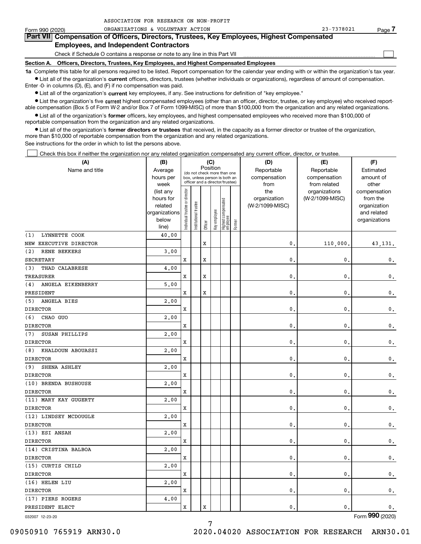| Form 990 (2020) | ORGANIZATIONS & VOLUNTARY ACTION                                                                                                                           | 23-7378021 | Page |
|-----------------|------------------------------------------------------------------------------------------------------------------------------------------------------------|------------|------|
|                 | Part VII Compensation of Officers, Directors, Trustees, Key Employees, Highest Compensated                                                                 |            |      |
|                 | <b>Employees, and Independent Contractors</b>                                                                                                              |            |      |
|                 | Check if Schedule O contains a response or note to any line in this Part VII                                                                               |            |      |
| Section A.      | Officers, Directors, Trustees, Key Employees, and Highest Compensated Employees                                                                            |            |      |
|                 | 1a Complete this table for all persons required to be listed. Report compensation for the calendar year ending with or within the organization's tax year. |            |      |

**•** List all of the organization's current officers, directors, trustees (whether individuals or organizations), regardless of amount of compensation. Enter -0- in columns (D), (E), and (F) if no compensation was paid.

 $\bullet$  List all of the organization's  $\,$ current key employees, if any. See instructions for definition of "key employee."

ASSOCIATION FOR RESEARCH ON NON-PROFIT

**•** List the organization's five current highest compensated employees (other than an officer, director, trustee, or key employee) who received reportable compensation (Box 5 of Form W-2 and/or Box 7 of Form 1099-MISC) of more than \$100,000 from the organization and any related organizations.

**•** List all of the organization's former officers, key employees, and highest compensated employees who received more than \$100,000 of reportable compensation from the organization and any related organizations.

**former directors or trustees**  ¥ List all of the organization's that received, in the capacity as a former director or trustee of the organization, more than \$10,000 of reportable compensation from the organization and any related organizations.

See instructions for the order in which to list the persons above.

Check this box if neither the organization nor any related organization compensated any current officer, director, or trustee.  $\mathcal{L}^{\text{max}}$ 

| (A)                      | (B)                                                                  |                               |                                                                                                             | (C)         |              |                                  |        | (D)                                    | (E)                                        | (F)                                                                      |
|--------------------------|----------------------------------------------------------------------|-------------------------------|-------------------------------------------------------------------------------------------------------------|-------------|--------------|----------------------------------|--------|----------------------------------------|--------------------------------------------|--------------------------------------------------------------------------|
| Name and title           | Average<br>hours per<br>week                                         |                               | Position<br>(do not check more than one<br>box, unless person is both an<br>officer and a director/trustee) |             |              |                                  |        | Reportable<br>compensation<br>from     | Reportable<br>compensation<br>from related | Estimated<br>amount of<br>other                                          |
|                          | (list any<br>hours for<br>related<br>organizations<br>below<br>line) | ndividual trustee or director | Institutional trustee                                                                                       | Officer     | Key employee | Highest compensated<br> employee | Former | the<br>organization<br>(W-2/1099-MISC) | organizations<br>(W-2/1099-MISC)           | compensation<br>from the<br>organization<br>and related<br>organizations |
| LYNNETTE COOK<br>(1)     | 40.00                                                                |                               |                                                                                                             |             |              |                                  |        |                                        |                                            |                                                                          |
| NEW EXECUTIVE DIRECTOR   |                                                                      |                               |                                                                                                             | $\mathbf x$ |              |                                  |        | $\mathbf{0}$ .                         | 110,000.                                   | 43, 131.                                                                 |
| (2)<br>RENE BEKKERS      | 3.00                                                                 |                               |                                                                                                             |             |              |                                  |        |                                        |                                            |                                                                          |
| SECRETARY                |                                                                      | x                             |                                                                                                             | $\rm X$     |              |                                  |        | 0                                      | $\mathbf{0}$ .                             | 0.                                                                       |
| THAD CALABRESE<br>(3)    | 4.00                                                                 |                               |                                                                                                             |             |              |                                  |        |                                        |                                            |                                                                          |
| <b>TREASURER</b>         |                                                                      | x                             |                                                                                                             | X           |              |                                  |        | 0                                      | $\mathbf{0}$ .                             | 0.                                                                       |
| ANGELA EIKENBERRY<br>(4) | 5,00                                                                 |                               |                                                                                                             |             |              |                                  |        |                                        |                                            |                                                                          |
| PRESIDENT                |                                                                      | X                             |                                                                                                             | $\rm X$     |              |                                  |        | $\mathbf{0}$                           | $\mathbf{0}$ .                             | $\mathbf 0$ .                                                            |
| ANGELA BIES<br>(5)       | 2,00                                                                 |                               |                                                                                                             |             |              |                                  |        |                                        |                                            |                                                                          |
| <b>DIRECTOR</b>          |                                                                      | x                             |                                                                                                             |             |              |                                  |        | $\mathbf{0}$                           | $\mathbf{0}$                               | $\mathbf 0$ .                                                            |
| (6)<br>CHAO GUO          | 2,00                                                                 |                               |                                                                                                             |             |              |                                  |        |                                        |                                            |                                                                          |
| <b>DIRECTOR</b>          |                                                                      | X                             |                                                                                                             |             |              |                                  |        | 0                                      | $\mathbf{0}$                               | $\mathbf 0$ .                                                            |
| (7)<br>SUSAN PHILLIPS    | 2,00                                                                 |                               |                                                                                                             |             |              |                                  |        |                                        |                                            |                                                                          |
| <b>DIRECTOR</b>          |                                                                      | x                             |                                                                                                             |             |              |                                  |        | 0                                      | $\mathbf{0}$ .                             | $\mathbf 0$ .                                                            |
| (8)<br>KHALDOUN ABOUASSI | 2,00                                                                 |                               |                                                                                                             |             |              |                                  |        |                                        |                                            |                                                                          |
| <b>DIRECTOR</b>          |                                                                      | X                             |                                                                                                             |             |              |                                  |        | 0                                      | $\mathbf{0}$ .                             | $\mathbf 0$ .                                                            |
| (9)<br>SHENA ASHLEY      | 2,00                                                                 |                               |                                                                                                             |             |              |                                  |        |                                        |                                            |                                                                          |
| <b>DIRECTOR</b>          |                                                                      | x                             |                                                                                                             |             |              |                                  |        | $\mathbf{0}$                           | $\mathbf{0}$ .                             | $\mathbf 0$ .                                                            |
| (10) BRENDA BUSHOUSE     | 2,00                                                                 |                               |                                                                                                             |             |              |                                  |        |                                        |                                            |                                                                          |
| <b>DIRECTOR</b>          |                                                                      | x                             |                                                                                                             |             |              |                                  |        | 0                                      | $\mathbf{0}$ .                             | $\mathbf 0$ .                                                            |
| (11) MARY KAY GUGERTY    | 2,00                                                                 |                               |                                                                                                             |             |              |                                  |        |                                        |                                            |                                                                          |
| <b>DIRECTOR</b>          |                                                                      | x                             |                                                                                                             |             |              |                                  |        | $\mathbf{0}$                           | $\mathbf{0}$ .                             | $\mathsf{0}\,.$                                                          |
| (12) LINDSEY MCDOUGLE    | 2,00                                                                 |                               |                                                                                                             |             |              |                                  |        |                                        |                                            |                                                                          |
| <b>DIRECTOR</b>          |                                                                      | X                             |                                                                                                             |             |              |                                  |        | 0                                      | $\mathbf{0}$ .                             | $\mathbf{0}$ .                                                           |
| (13) ESI ANSAH           | 2,00                                                                 |                               |                                                                                                             |             |              |                                  |        |                                        |                                            |                                                                          |
| <b>DIRECTOR</b>          |                                                                      | X                             |                                                                                                             |             |              |                                  |        | $\mathbf{0}$                           | $\mathbf{0}$ .                             | $\mathbf 0$ .                                                            |
| (14) CRISTINA BALBOA     | 2,00                                                                 |                               |                                                                                                             |             |              |                                  |        |                                        |                                            |                                                                          |
| <b>DIRECTOR</b>          |                                                                      | x                             |                                                                                                             |             |              |                                  |        | 0                                      | $\mathbf{0}$ .                             | $\mathbf 0$ .                                                            |
| (15) CURTIS CHILD        | 2,00                                                                 |                               |                                                                                                             |             |              |                                  |        |                                        |                                            |                                                                          |
| <b>DIRECTOR</b>          |                                                                      | x                             |                                                                                                             |             |              |                                  |        | $\mathbf{0}$                           | $\mathbf{0}$ .                             | $\mathsf{0}\,.$                                                          |
| (16) HELEN LIU           | 2,00                                                                 |                               |                                                                                                             |             |              |                                  |        |                                        |                                            |                                                                          |
| <b>DIRECTOR</b>          |                                                                      | x                             |                                                                                                             |             |              |                                  |        | 0                                      | $\mathbf{0}$                               | $\mathbf{0}$ .                                                           |
| (17) PIERS ROGERS        | 4.00                                                                 |                               |                                                                                                             |             |              |                                  |        |                                        |                                            |                                                                          |
| PRESIDENT ELECT          |                                                                      | x                             |                                                                                                             | X           |              |                                  |        | $\mathbf{0}$                           | $\mathbf{0}$ .                             | $\mathbf{0}$ .                                                           |

032007 12-23-20

Form (2020) **990**

7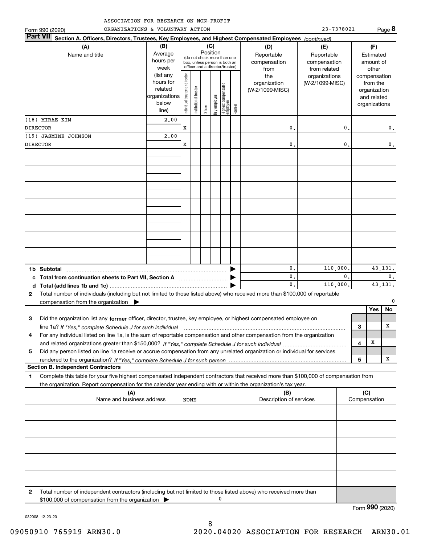| ASSOCIATION FOR RESEARCH ON NON-PROFIT |  |
|----------------------------------------|--|
|----------------------------------------|--|

|                 | ORGANIZATIONS & VOLUNTARY ACTION<br>Form 990 (2020)                                                                                                                                                                                                          |                                                                      |                                |                       |          |              |                                                                                                 |        |                                                | 23-7378021                                       |                |                     |                                                                                   | Page 8                     |
|-----------------|--------------------------------------------------------------------------------------------------------------------------------------------------------------------------------------------------------------------------------------------------------------|----------------------------------------------------------------------|--------------------------------|-----------------------|----------|--------------|-------------------------------------------------------------------------------------------------|--------|------------------------------------------------|--------------------------------------------------|----------------|---------------------|-----------------------------------------------------------------------------------|----------------------------|
| <b>Part VII</b> | Section A. Officers, Directors, Trustees, Key Employees, and Highest Compensated Employees (continued)                                                                                                                                                       |                                                                      |                                |                       |          |              |                                                                                                 |        |                                                |                                                  |                |                     |                                                                                   |                            |
|                 | (A)<br>Name and title                                                                                                                                                                                                                                        | (B)<br>Average<br>hours per<br>week                                  |                                |                       | Position | (C)          | (do not check more than one<br>box, unless person is both an<br>officer and a director/trustee) |        | (D)<br>Reportable<br>compensation              | (E)<br>Reportable<br>compensation                |                |                     | (F)<br>Estimated<br>amount of                                                     |                            |
|                 |                                                                                                                                                                                                                                                              | (list any<br>hours for<br>related<br>organizations<br>below<br>line) | Individual trustee or director | Institutional trustee | Officer  | Key employee | Highest compensated<br>employee                                                                 | Former | from<br>the<br>organization<br>(W-2/1099-MISC) | from related<br>organizations<br>(W-2/1099-MISC) |                |                     | other<br>compensation<br>from the<br>organization<br>and related<br>organizations |                            |
|                 | (18) MIRAE KIM                                                                                                                                                                                                                                               | 2,00                                                                 |                                |                       |          |              |                                                                                                 |        |                                                |                                                  |                |                     |                                                                                   |                            |
| <b>DIRECTOR</b> |                                                                                                                                                                                                                                                              |                                                                      | X                              |                       |          |              |                                                                                                 |        | 0.                                             |                                                  | 0.             |                     |                                                                                   | 0.                         |
|                 | (19) JASMINE JOHNSON                                                                                                                                                                                                                                         | 2,00                                                                 |                                |                       |          |              |                                                                                                 |        |                                                |                                                  |                |                     |                                                                                   |                            |
| DIRECTOR        |                                                                                                                                                                                                                                                              |                                                                      | x                              |                       |          |              |                                                                                                 |        | 0.                                             |                                                  | $\mathbf{0}$ . |                     |                                                                                   | $\mathsf{0}\,.$            |
|                 |                                                                                                                                                                                                                                                              |                                                                      |                                |                       |          |              |                                                                                                 |        |                                                |                                                  |                |                     |                                                                                   |                            |
|                 |                                                                                                                                                                                                                                                              |                                                                      |                                |                       |          |              |                                                                                                 |        |                                                |                                                  |                |                     |                                                                                   |                            |
|                 |                                                                                                                                                                                                                                                              |                                                                      |                                |                       |          |              |                                                                                                 |        |                                                |                                                  |                |                     |                                                                                   |                            |
|                 |                                                                                                                                                                                                                                                              |                                                                      |                                |                       |          |              |                                                                                                 |        |                                                |                                                  |                |                     |                                                                                   |                            |
|                 | 1b Subtotal                                                                                                                                                                                                                                                  |                                                                      |                                |                       |          |              |                                                                                                 |        | 0.                                             | 110,000.                                         |                |                     |                                                                                   | 43, 131.                   |
| d               |                                                                                                                                                                                                                                                              |                                                                      |                                |                       |          |              |                                                                                                 |        | 0.<br>$\mathbf{0}$ .                           | 110,000.                                         | $\mathbf{0}$ . |                     |                                                                                   | $\mathbf{0}$ .<br>43, 131. |
| $\mathbf{2}$    | Total number of individuals (including but not limited to those listed above) who received more than \$100,000 of reportable<br>compensation from the organization                                                                                           |                                                                      |                                |                       |          |              |                                                                                                 |        |                                                |                                                  |                |                     | Yes                                                                               | $\mathbf{0}$<br>No         |
| 3               | Did the organization list any former officer, director, trustee, key employee, or highest compensated employee on<br>line 1a? If "Yes," complete Schedule J for such individual manufactured contained and the Yes," complete Schedule J for such individual |                                                                      |                                |                       |          |              |                                                                                                 |        |                                                |                                                  |                | 3                   |                                                                                   | х                          |
| 4               | For any individual listed on line 1a, is the sum of reportable compensation and other compensation from the organization                                                                                                                                     |                                                                      |                                |                       |          |              |                                                                                                 |        |                                                |                                                  |                |                     |                                                                                   |                            |
|                 |                                                                                                                                                                                                                                                              |                                                                      |                                |                       |          |              |                                                                                                 |        |                                                |                                                  |                | 4                   | х                                                                                 |                            |
| 5               | Did any person listed on line 1a receive or accrue compensation from any unrelated organization or individual for services                                                                                                                                   |                                                                      |                                |                       |          |              |                                                                                                 |        |                                                |                                                  |                |                     |                                                                                   | x                          |
|                 | <b>Section B. Independent Contractors</b>                                                                                                                                                                                                                    |                                                                      |                                |                       |          |              |                                                                                                 |        |                                                |                                                  |                | 5                   |                                                                                   |                            |
| 1               | Complete this table for your five highest compensated independent contractors that received more than \$100,000 of compensation from<br>the organization. Report compensation for the calendar year ending with or within the organization's tax year.       |                                                                      |                                |                       |          |              |                                                                                                 |        |                                                |                                                  |                |                     |                                                                                   |                            |
|                 | (A)<br>Name and business address                                                                                                                                                                                                                             |                                                                      | NONE                           |                       |          |              |                                                                                                 |        | (B)<br>Description of services                 |                                                  |                | (C)<br>Compensation |                                                                                   |                            |
|                 |                                                                                                                                                                                                                                                              |                                                                      |                                |                       |          |              |                                                                                                 |        |                                                |                                                  |                |                     |                                                                                   |                            |
|                 |                                                                                                                                                                                                                                                              |                                                                      |                                |                       |          |              |                                                                                                 |        |                                                |                                                  |                |                     |                                                                                   |                            |
|                 |                                                                                                                                                                                                                                                              |                                                                      |                                |                       |          |              |                                                                                                 |        |                                                |                                                  |                |                     |                                                                                   |                            |
|                 |                                                                                                                                                                                                                                                              |                                                                      |                                |                       |          |              |                                                                                                 |        |                                                |                                                  |                |                     |                                                                                   |                            |
|                 |                                                                                                                                                                                                                                                              |                                                                      |                                |                       |          |              |                                                                                                 |        |                                                |                                                  |                |                     |                                                                                   |                            |

**2**Total number of independent contractors (including but not limited to those listed above) who received more than \$100,000 of compensation from the organization  $\pmb{0}$ 

Form (2020) **990**

032008 12-23-20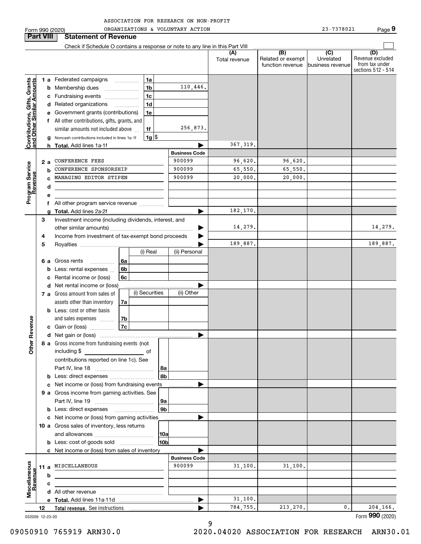| Form 990 (2020)                                           |     |   | ORGANIZATIONS & VOLUNTARY ACTION                                                |                        |                      |                                              | 23-7378021                                        | Page 9                                                          |
|-----------------------------------------------------------|-----|---|---------------------------------------------------------------------------------|------------------------|----------------------|----------------------------------------------|---------------------------------------------------|-----------------------------------------------------------------|
| <b>Part VIII</b>                                          |     |   | <b>Statement of Revenue</b>                                                     |                        |                      |                                              |                                                   |                                                                 |
|                                                           |     |   | Check if Schedule O contains a response or note to any line in this Part VIII   |                        |                      |                                              |                                                   |                                                                 |
|                                                           |     |   |                                                                                 |                        | (A)<br>Total revenue | (B)<br>Related or exempt<br>function revenue | $\overline{(C)}$<br>Unrelated<br>business revenue | (D)<br>Revenue excluded<br>from tax under<br>sections 512 - 514 |
|                                                           |     |   | 1a<br>1 a Federated campaigns                                                   |                        |                      |                                              |                                                   |                                                                 |
|                                                           |     | b | 1 <sub>b</sub><br>Membership dues                                               | 110,446.               |                      |                                              |                                                   |                                                                 |
| Contributions, Gifts, Grants<br>and Other Similar Amounts |     | c | 1 <sub>c</sub><br>Fundraising events                                            |                        |                      |                                              |                                                   |                                                                 |
|                                                           |     |   | 1 <sub>d</sub><br>d Related organizations<br>$\overline{\phantom{a}}$           |                        |                      |                                              |                                                   |                                                                 |
|                                                           |     |   | e Government grants (contributions)<br>1e                                       |                        |                      |                                              |                                                   |                                                                 |
|                                                           |     |   | f All other contributions, gifts, grants, and                                   |                        |                      |                                              |                                                   |                                                                 |
|                                                           |     |   | similar amounts not included above<br>1f                                        | 256,873.               |                      |                                              |                                                   |                                                                 |
|                                                           |     |   | $1g$ \$<br>Noncash contributions included in lines 1a-1f                        |                        |                      |                                              |                                                   |                                                                 |
|                                                           |     |   |                                                                                 | <b>Business Code</b>   | 367, 319.            |                                              |                                                   |                                                                 |
|                                                           |     |   | CONFERENCE FEES                                                                 | 900099                 | 96,620.              | 96,620.                                      |                                                   |                                                                 |
| Program Service<br>Revenue                                | 2 a | b | CONFERENCE SPONSORSHIP                                                          | 900099                 | 65,550.              | 65,550.                                      |                                                   |                                                                 |
|                                                           |     |   | MANAGING EDITOR STIPEN                                                          | 900099                 | 20,000.              | 20,000.                                      |                                                   |                                                                 |
|                                                           |     | d |                                                                                 |                        |                      |                                              |                                                   |                                                                 |
|                                                           |     | е |                                                                                 |                        |                      |                                              |                                                   |                                                                 |
|                                                           |     |   | All other program service revenue                                               |                        |                      |                                              |                                                   |                                                                 |
|                                                           |     | g |                                                                                 |                        | 182,170.             |                                              |                                                   |                                                                 |
|                                                           | 3   |   | Investment income (including dividends, interest, and                           |                        |                      |                                              |                                                   |                                                                 |
|                                                           |     |   |                                                                                 |                        | 14,279.              |                                              |                                                   | 14,279.                                                         |
|                                                           | 4   |   | Income from investment of tax-exempt bond proceeds                              |                        |                      |                                              |                                                   |                                                                 |
|                                                           | 5   |   |                                                                                 |                        | 189,887.             |                                              |                                                   | 189,887.                                                        |
|                                                           |     |   | (i) Real                                                                        | (ii) Personal          |                      |                                              |                                                   |                                                                 |
|                                                           | 6а  |   | Gross rents<br>6a<br>.                                                          |                        |                      |                                              |                                                   |                                                                 |
|                                                           |     | b | 6b<br>Less: rental expenses                                                     |                        |                      |                                              |                                                   |                                                                 |
|                                                           |     | c | 6c<br>Rental income or (loss)                                                   |                        |                      |                                              |                                                   |                                                                 |
|                                                           |     | d | Net rental income or (loss)<br>(i) Securities<br>7 a Gross amount from sales of | (ii) Other             |                      |                                              |                                                   |                                                                 |
|                                                           |     |   | assets other than inventory<br>7a                                               |                        |                      |                                              |                                                   |                                                                 |
|                                                           |     | b | Less: cost or other basis                                                       |                        |                      |                                              |                                                   |                                                                 |
|                                                           |     |   | and sales expenses<br>7b                                                        |                        |                      |                                              |                                                   |                                                                 |
| venue                                                     |     |   | 7c<br>c Gain or (loss)                                                          |                        |                      |                                              |                                                   |                                                                 |
| č                                                         |     |   |                                                                                 |                        |                      |                                              |                                                   |                                                                 |
|                                                           |     |   | 8 a Gross income from fundraising events (not                                   |                        |                      |                                              |                                                   |                                                                 |
| Other                                                     |     |   | including \$<br>of                                                              |                        |                      |                                              |                                                   |                                                                 |
|                                                           |     |   | contributions reported on line 1c). See                                         |                        |                      |                                              |                                                   |                                                                 |
|                                                           |     |   |                                                                                 | 8a                     |                      |                                              |                                                   |                                                                 |
|                                                           |     | b |                                                                                 | 8 <sub>b</sub>         |                      |                                              |                                                   |                                                                 |
|                                                           |     | c | Net income or (loss) from fundraising events                                    |                        |                      |                                              |                                                   |                                                                 |
|                                                           |     |   | 9 a Gross income from gaming activities. See                                    |                        |                      |                                              |                                                   |                                                                 |
|                                                           |     |   |                                                                                 | 9a                     |                      |                                              |                                                   |                                                                 |
|                                                           |     | b |                                                                                 | 9 <sub>b</sub>         |                      |                                              |                                                   |                                                                 |
|                                                           |     |   | c Net income or (loss) from gaming activities ______________                    |                        |                      |                                              |                                                   |                                                                 |
|                                                           |     |   | 10 a Gross sales of inventory, less returns                                     |                        |                      |                                              |                                                   |                                                                 |
|                                                           |     |   | <b>b</b> Less: cost of goods sold                                               | 10a<br>10 <sub>b</sub> |                      |                                              |                                                   |                                                                 |
|                                                           |     |   | c Net income or (loss) from sales of inventory                                  |                        |                      |                                              |                                                   |                                                                 |
|                                                           |     |   |                                                                                 | <b>Business Code</b>   |                      |                                              |                                                   |                                                                 |
|                                                           |     |   | 11 a MISCELLANEOUS                                                              | 900099                 | 31,100.              | 31,100.                                      |                                                   |                                                                 |
| Miscellaneous<br>Revenue                                  |     | b |                                                                                 |                        |                      |                                              |                                                   |                                                                 |
|                                                           |     | с |                                                                                 |                        |                      |                                              |                                                   |                                                                 |
|                                                           |     |   |                                                                                 |                        |                      |                                              |                                                   |                                                                 |
|                                                           |     |   |                                                                                 | ▶                      | 31,100.              |                                              |                                                   |                                                                 |
|                                                           | 12  |   |                                                                                 |                        | 784,755.             | 213,270.                                     | 0.                                                | 204,166.                                                        |
| 032009 12-23-20                                           |     |   |                                                                                 |                        |                      |                                              |                                                   | Form 990 (2020)                                                 |

9

032009 12-23-20

09050910 765919 ARN30.0 2020.04020 ASSOCIATION FOR RESEARCH ARN30.01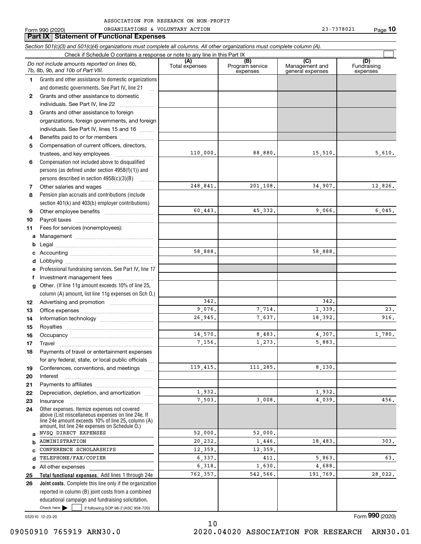|        | <b>Part IX   Statement of Functional Expenses</b>                                                                                                                                                          |                       |                                    |                                           |                                |
|--------|------------------------------------------------------------------------------------------------------------------------------------------------------------------------------------------------------------|-----------------------|------------------------------------|-------------------------------------------|--------------------------------|
|        | Section 501(c)(3) and 501(c)(4) organizations must complete all columns. All other organizations must complete column (A).                                                                                 |                       |                                    |                                           |                                |
|        | Check if Schedule O contains a response or note to any line in this Part IX                                                                                                                                |                       |                                    |                                           |                                |
|        | Do not include amounts reported on lines 6b,<br>7b, 8b, 9b, and 10b of Part VIII.                                                                                                                          | (A)<br>Total expenses | (B)<br>Program service<br>expenses | (C)<br>Management and<br>general expenses | (D)<br>Fundraising<br>expenses |
| 1.     | Grants and other assistance to domestic organizations                                                                                                                                                      |                       |                                    |                                           |                                |
|        | and domestic governments. See Part IV, line 21                                                                                                                                                             |                       |                                    |                                           |                                |
| 2      | Grants and other assistance to domestic                                                                                                                                                                    |                       |                                    |                                           |                                |
|        | individuals. See Part IV, line 22<br>$\mathcal{L} = \{1, 2, \ldots, n\}$                                                                                                                                   |                       |                                    |                                           |                                |
| 3      | Grants and other assistance to foreign                                                                                                                                                                     |                       |                                    |                                           |                                |
|        | organizations, foreign governments, and foreign                                                                                                                                                            |                       |                                    |                                           |                                |
|        | individuals. See Part IV, lines 15 and 16                                                                                                                                                                  |                       |                                    |                                           |                                |
| 4      | Benefits paid to or for members                                                                                                                                                                            |                       |                                    |                                           |                                |
| 5      | Compensation of current officers, directors,                                                                                                                                                               |                       |                                    |                                           |                                |
|        | trustees, and key employees                                                                                                                                                                                | 110,000.              | 88,880.                            | 15,510.                                   | 5,610.                         |
| 6      | Compensation not included above to disqualified                                                                                                                                                            |                       |                                    |                                           |                                |
|        | persons (as defined under section 4958(f)(1)) and                                                                                                                                                          |                       |                                    |                                           |                                |
|        | persons described in section $4958(c)(3)(B)$                                                                                                                                                               |                       |                                    |                                           |                                |
| 7      |                                                                                                                                                                                                            | 248,841.              | 201,108.                           | 34,907.                                   | 12,826.                        |
| 8      | Pension plan accruals and contributions (include                                                                                                                                                           |                       |                                    |                                           |                                |
|        | section 401(k) and 403(b) employer contributions)                                                                                                                                                          | 60,443.               | 45, 332.                           | 9,066.                                    | 6,045.                         |
| 9      |                                                                                                                                                                                                            |                       |                                    |                                           |                                |
| 10     |                                                                                                                                                                                                            |                       |                                    |                                           |                                |
| 11     | Fees for services (nonemployees):                                                                                                                                                                          |                       |                                    |                                           |                                |
| a<br>b |                                                                                                                                                                                                            |                       |                                    |                                           |                                |
| с      |                                                                                                                                                                                                            | 58,888.               |                                    | 58,888.                                   |                                |
| d      |                                                                                                                                                                                                            |                       |                                    |                                           |                                |
|        | Professional fundraising services. See Part IV, line 17                                                                                                                                                    |                       |                                    |                                           |                                |
| f      | Investment management fees                                                                                                                                                                                 |                       |                                    |                                           |                                |
| g      | Other. (If line 11g amount exceeds 10% of line 25,                                                                                                                                                         |                       |                                    |                                           |                                |
|        | column (A) amount, list line 11g expenses on Sch O.)                                                                                                                                                       |                       |                                    |                                           |                                |
| 12     |                                                                                                                                                                                                            | 342.                  |                                    | 342.                                      |                                |
| 13     |                                                                                                                                                                                                            | 9,076.                | 7,714.                             | 1,339.                                    | 23.                            |
| 14     |                                                                                                                                                                                                            | 26,945.               | 7,637.                             | 18,392.                                   | 916.                           |
| 15     |                                                                                                                                                                                                            |                       |                                    |                                           |                                |
| 16     |                                                                                                                                                                                                            | 14,570.               | 8,483.                             | 4,307.                                    | 1,780.                         |
| 17     | <b>I</b> ravel                                                                                                                                                                                             | 7,156.                | 1,273.                             | 5,883.                                    |                                |
| 18     | Payments of travel or entertainment expenses                                                                                                                                                               |                       |                                    |                                           |                                |
|        | for any federal, state, or local public officials                                                                                                                                                          |                       |                                    |                                           |                                |
| 19     | Conferences, conventions, and meetings                                                                                                                                                                     | 119,415.              | 111,285.                           | 8,130.                                    |                                |
| 20     | Interest                                                                                                                                                                                                   |                       |                                    |                                           |                                |
| 21     |                                                                                                                                                                                                            |                       |                                    |                                           |                                |
| 22     | Depreciation, depletion, and amortization                                                                                                                                                                  | 1,932.                |                                    | 1,932.                                    |                                |
| 23     | Insurance                                                                                                                                                                                                  | 7.503.                | 3,008.                             | 4,039.                                    | 456.                           |
| 24     | Other expenses. Itemize expenses not covered<br>above (List miscellaneous expenses on line 24e. If<br>line 24e amount exceeds 10% of line 25, column (A)<br>amount, list line 24e expenses on Schedule O.) |                       |                                    |                                           |                                |
| a      | NVSQ DIRECT EXPENSES                                                                                                                                                                                       | 52,000.               | 52,000.                            |                                           |                                |
| b      | ADMINISTRATION                                                                                                                                                                                             | 20,232.               | 1,446.                             | 18,483.                                   | 303.                           |
| C      | CONFERENCE SCHOLARSHIPS                                                                                                                                                                                    | 12,359.               | 12,359.                            |                                           |                                |
| d      | TELEPHONE/FAX/COPIER                                                                                                                                                                                       | 6,337.                | 411.                               | 5,863.                                    | 63.                            |
|        | e All other expenses                                                                                                                                                                                       | 6,318.                | 1,630.                             | 4,688.                                    |                                |
| 25     | Total functional expenses. Add lines 1 through 24e                                                                                                                                                         | 762,357.              | 542,566.                           | 191,769.                                  | 28,022.                        |
|        |                                                                                                                                                                                                            |                       |                                    |                                           |                                |

Check here  $\bullet$  if following SOP 98-2 (ASC 958-720) **Joint costs.** Complete this line only if the organization **26** reported in column (B) joint costs from a combined educational campaign and fundraising solicitation.  $Check here$ 

032010 12-23-20

Form (2020) **990**

10 09050910 765919 ARN30.0 2020.04020 ASSOCIATION FOR RESEARCH ARN30.01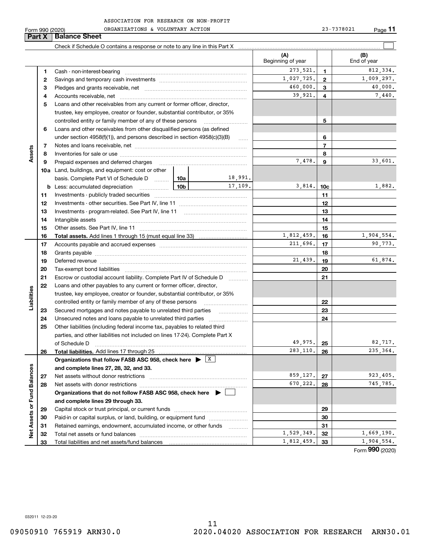| ASSOCIATION FOR RESEARCH ON NON-PROFIT |  |  |
|----------------------------------------|--|--|

|                             | Form 990 (2020) | ORGANIZATIONS & VOLUNTARY ACTION                                                                                                                                                                                               |       |                   |                          |                         | 23-7378021 | Page 11            |
|-----------------------------|-----------------|--------------------------------------------------------------------------------------------------------------------------------------------------------------------------------------------------------------------------------|-------|-------------------|--------------------------|-------------------------|------------|--------------------|
| Part X                      |                 | <b>Balance Sheet</b>                                                                                                                                                                                                           |       |                   |                          |                         |            |                    |
|                             |                 | Check if Schedule O contains a response or note to any line in this Part X [11] manufacture in this part X and the Schedule O contains a response or note to any line in this Part X [12] manufacture in the Schedule O contai |       |                   |                          |                         |            |                    |
|                             |                 |                                                                                                                                                                                                                                |       |                   | (A)<br>Beginning of year |                         |            | (B)<br>End of year |
|                             | 1               |                                                                                                                                                                                                                                |       | 273,521.          | $\mathbf{1}$             |                         | 812,334.   |                    |
|                             | 2               |                                                                                                                                                                                                                                |       |                   | 1,027,725.               | $\mathbf{2}$            |            | 1,009,297.         |
|                             | з               |                                                                                                                                                                                                                                |       | 460,000.          | $\mathbf{3}$             |                         | 40,000.    |                    |
|                             | 4               |                                                                                                                                                                                                                                |       |                   | 39,921.                  | $\overline{\mathbf{4}}$ |            | 7,440.             |
|                             | 5               | Loans and other receivables from any current or former officer, director,                                                                                                                                                      |       |                   |                          |                         |            |                    |
|                             |                 | trustee, key employee, creator or founder, substantial contributor, or 35%                                                                                                                                                     |       |                   |                          |                         |            |                    |
|                             |                 | controlled entity or family member of any of these persons                                                                                                                                                                     |       |                   |                          | 5                       |            |                    |
|                             | 6               | Loans and other receivables from other disqualified persons (as defined                                                                                                                                                        |       |                   |                          |                         |            |                    |
|                             |                 | under section $4958(f)(1)$ , and persons described in section $4958(c)(3)(B)$                                                                                                                                                  |       |                   |                          | 6                       |            |                    |
|                             | 7               |                                                                                                                                                                                                                                |       |                   |                          | $\overline{7}$          |            |                    |
| Assets                      | 8               |                                                                                                                                                                                                                                |       |                   |                          | 8                       |            |                    |
|                             | 9               | Prepaid expenses and deferred charges                                                                                                                                                                                          |       |                   | 7,478.                   | $\boldsymbol{9}$        |            | 33,601.            |
|                             |                 | <b>10a</b> Land, buildings, and equipment: cost or other                                                                                                                                                                       |       |                   |                          |                         |            |                    |
|                             |                 | basis. Complete Part VI of Schedule D  10a                                                                                                                                                                                     |       | 18,991.           |                          |                         |            |                    |
|                             |                 | <b>b</b> Less: accumulated depreciation                                                                                                                                                                                        | 10b l | 17,109.           | 3,814.                   | 10 <sub>c</sub>         |            | 1,882.             |
|                             | 11              |                                                                                                                                                                                                                                |       |                   |                          | 11                      |            |                    |
|                             | 12              |                                                                                                                                                                                                                                |       |                   |                          | 12                      |            |                    |
|                             | 13              |                                                                                                                                                                                                                                |       |                   | 13                       |                         |            |                    |
|                             | 14              |                                                                                                                                                                                                                                |       | 14                |                          |                         |            |                    |
|                             | 15              |                                                                                                                                                                                                                                |       | 15                |                          |                         |            |                    |
|                             | 16              |                                                                                                                                                                                                                                |       |                   | 1,812,459.               | 16                      |            | 1,904,554.         |
|                             | 17              |                                                                                                                                                                                                                                |       |                   | 211,696.                 | 17                      |            | 90,773.            |
|                             | 18              |                                                                                                                                                                                                                                |       |                   |                          | 18                      |            |                    |
|                             | 19              | Deferred revenue manual contracts and contracts are all the contracts and contracts are contracted and contracts are contracted and contract are contracted and contract are contracted and contract are contracted and contra |       |                   | 21,439.                  | 19                      |            | 61,874.            |
|                             | 20              |                                                                                                                                                                                                                                |       |                   |                          | 20                      |            |                    |
|                             | 21              | Escrow or custodial account liability. Complete Part IV of Schedule D                                                                                                                                                          |       | 1.1.1.1.1.1.1.1.1 |                          | 21                      |            |                    |
|                             | 22              | Loans and other payables to any current or former officer, director,                                                                                                                                                           |       |                   |                          |                         |            |                    |
| Liabilities                 |                 | trustee, key employee, creator or founder, substantial contributor, or 35%                                                                                                                                                     |       |                   |                          |                         |            |                    |
|                             |                 | controlled entity or family member of any of these persons                                                                                                                                                                     |       |                   |                          | 22                      |            |                    |
|                             | 23              | Secured mortgages and notes payable to unrelated third parties                                                                                                                                                                 |       |                   |                          | 23                      |            |                    |
|                             | 24              | Unsecured notes and loans payable to unrelated third parties                                                                                                                                                                   |       |                   |                          | 24                      |            |                    |
|                             | 25              | Other liabilities (including federal income tax, payables to related third                                                                                                                                                     |       |                   |                          |                         |            |                    |
|                             |                 | parties, and other liabilities not included on lines 17-24). Complete Part X                                                                                                                                                   |       |                   | 49,975.                  |                         |            | 82,717.            |
|                             |                 | of Schedule D<br>Total liabilities. Add lines 17 through 25                                                                                                                                                                    |       |                   | 283.110.                 | 25<br>26                |            | 235, 364.          |
|                             | 26              | Organizations that follow FASB ASC 958, check here $\blacktriangleright$ $\boxed{X}$                                                                                                                                           |       |                   |                          |                         |            |                    |
|                             |                 | and complete lines 27, 28, 32, and 33.                                                                                                                                                                                         |       |                   |                          |                         |            |                    |
|                             | 27              | Net assets without donor restrictions                                                                                                                                                                                          |       |                   | 859,127.                 | 27                      |            | 923,405.           |
|                             | 28              | Net assets with donor restrictions                                                                                                                                                                                             |       |                   | 670,222.                 | 28                      |            | 745,785.           |
|                             |                 | Organizations that do not follow FASB ASC 958, check here ▶ [                                                                                                                                                                  |       |                   |                          |                         |            |                    |
|                             |                 | and complete lines 29 through 33.                                                                                                                                                                                              |       |                   |                          |                         |            |                    |
|                             | 29              |                                                                                                                                                                                                                                |       |                   |                          | 29                      |            |                    |
|                             | 30              | Paid-in or capital surplus, or land, building, or equipment fund                                                                                                                                                               |       |                   |                          | 30                      |            |                    |
| Net Assets or Fund Balances | 31              | Retained earnings, endowment, accumulated income, or other funds                                                                                                                                                               |       |                   |                          | 31                      |            |                    |
|                             | 32              |                                                                                                                                                                                                                                |       |                   | 1,529,349.               | 32                      |            | 1,669,190.         |
|                             | 33              |                                                                                                                                                                                                                                |       |                   | 1,812,459.               | 33                      |            | 1,904,554.         |

Form (2020) **990**

032011 12-23-20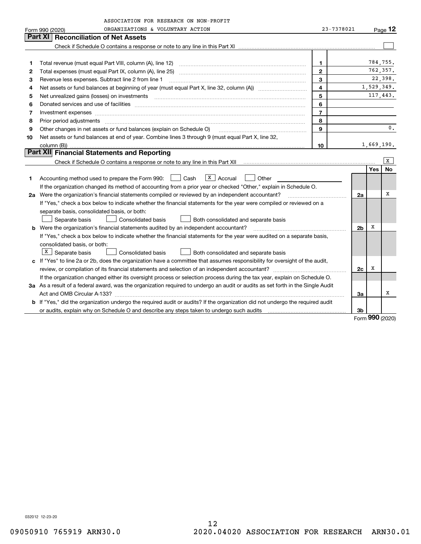|    | ASSOCIATION FOR RESEARCH ON NON-PROFIT                                                                                          |                         |                |            |                     |
|----|---------------------------------------------------------------------------------------------------------------------------------|-------------------------|----------------|------------|---------------------|
|    | ORGANIZATIONS & VOLUNTARY ACTION<br>Form 990 (2020)                                                                             | 23-7378021              |                |            | $P_{\text{aqe}}$ 12 |
|    | Part XI<br><b>Reconciliation of Net Assets</b>                                                                                  |                         |                |            |                     |
|    |                                                                                                                                 |                         |                |            |                     |
|    |                                                                                                                                 |                         |                |            |                     |
| 1  |                                                                                                                                 | 1                       |                |            | 784,755.            |
| 2  |                                                                                                                                 | $\mathbf{2}$            |                |            | 762,357.            |
| 3  | Revenue less expenses. Subtract line 2 from line 1                                                                              | 3                       |                |            | 22,398.             |
| 4  |                                                                                                                                 | $\overline{\mathbf{4}}$ |                | 1,529,349. |                     |
| 5  |                                                                                                                                 | 5                       |                |            | 117,443.            |
| 6  |                                                                                                                                 | 6                       |                |            |                     |
| 7  | Investment expenses                                                                                                             | $\overline{7}$          |                |            |                     |
| 8  | Prior period adjustments www.communication.communication.communication.com/                                                     | 8                       |                |            |                     |
| 9  | Other changes in net assets or fund balances (explain on Schedule O)                                                            | 9                       |                |            | 0.                  |
| 10 | Net assets or fund balances at end of year. Combine lines 3 through 9 (must equal Part X, line 32,                              |                         |                |            |                     |
|    | column (B))                                                                                                                     | 10                      |                | 1,669,190. |                     |
|    | Part XII Financial Statements and Reporting                                                                                     |                         |                |            |                     |
|    |                                                                                                                                 |                         |                |            | x                   |
|    |                                                                                                                                 |                         |                | Yes        | No                  |
| 1  | $\boxed{\textbf{X}}$ Accrual<br>Accounting method used to prepare the Form 990: <u>[16</u> ] Cash<br>Other                      |                         |                |            |                     |
|    | If the organization changed its method of accounting from a prior year or checked "Other," explain in Schedule O.               |                         |                |            |                     |
|    | 2a Were the organization's financial statements compiled or reviewed by an independent accountant?                              |                         | 2a             |            | х                   |
|    | If "Yes," check a box below to indicate whether the financial statements for the year were compiled or reviewed on a            |                         |                |            |                     |
|    | separate basis, consolidated basis, or both:                                                                                    |                         |                |            |                     |
|    | Consolidated basis<br>Separate basis<br>Both consolidated and separate basis                                                    |                         |                |            |                     |
|    | b Were the organization's financial statements audited by an independent accountant?                                            |                         | 2 <sub>b</sub> | х          |                     |
|    | If "Yes," check a box below to indicate whether the financial statements for the year were audited on a separate basis,         |                         |                |            |                     |
|    | consolidated basis, or both:                                                                                                    |                         |                |            |                     |
|    | X Separate basis<br>Consolidated basis<br>Both consolidated and separate basis                                                  |                         |                |            |                     |
|    | c If "Yes" to line 2a or 2b, does the organization have a committee that assumes responsibility for oversight of the audit,     |                         |                |            |                     |
|    |                                                                                                                                 |                         | 2c             | х          |                     |
|    | If the organization changed either its oversight process or selection process during the tax year, explain on Schedule O.       |                         |                |            |                     |
|    | 3a As a result of a federal award, was the organization required to undergo an audit or audits as set forth in the Single Audit |                         |                |            |                     |
|    |                                                                                                                                 |                         | За             |            | x                   |
|    | b If "Yes," did the organization undergo the required audit or audits? If the organization did not undergo the required audit   |                         |                |            |                     |
|    |                                                                                                                                 |                         | 3b             | מחח        |                     |

Form (2020) **990**

032012 12-23-20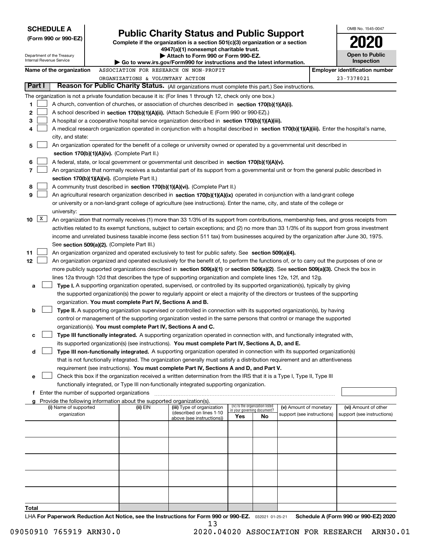| <b>SCHEDULE A</b>                                                                                              |                                                                        |                                                                                                                                                                                                                                                                 |     |                                                                |                            | OMB No. 1545-0047                     |
|----------------------------------------------------------------------------------------------------------------|------------------------------------------------------------------------|-----------------------------------------------------------------------------------------------------------------------------------------------------------------------------------------------------------------------------------------------------------------|-----|----------------------------------------------------------------|----------------------------|---------------------------------------|
| (Form 990 or 990-EZ)                                                                                           |                                                                        | <b>Public Charity Status and Public Support</b>                                                                                                                                                                                                                 |     |                                                                |                            |                                       |
|                                                                                                                |                                                                        | Complete if the organization is a section $501(c)(3)$ organization or a section<br>4947(a)(1) nonexempt charitable trust.                                                                                                                                       |     |                                                                |                            |                                       |
| Department of the Treasury<br>Internal Revenue Service                                                         |                                                                        | Attach to Form 990 or Form 990-EZ.                                                                                                                                                                                                                              |     |                                                                |                            | <b>Open to Public</b>                 |
|                                                                                                                |                                                                        | Go to www.irs.gov/Form990 for instructions and the latest information.                                                                                                                                                                                          |     |                                                                |                            | Inspection                            |
| Name of the organization                                                                                       |                                                                        | ASSOCIATION FOR RESEARCH ON NON-PROFIT                                                                                                                                                                                                                          |     |                                                                |                            | <b>Employer identification number</b> |
| Part I                                                                                                         | ORGANIZATIONS & VOLUNTARY ACTION                                       | Reason for Public Charity Status. (All organizations must complete this part.) See instructions.                                                                                                                                                                |     |                                                                |                            | 23-7378021                            |
|                                                                                                                |                                                                        |                                                                                                                                                                                                                                                                 |     |                                                                |                            |                                       |
| The organization is not a private foundation because it is: (For lines 1 through 12, check only one box.)<br>1 |                                                                        | A church, convention of churches, or association of churches described in section 170(b)(1)(A)(i).                                                                                                                                                              |     |                                                                |                            |                                       |
| 2                                                                                                              |                                                                        | A school described in section 170(b)(1)(A)(ii). (Attach Schedule E (Form 990 or 990-EZ).)                                                                                                                                                                       |     |                                                                |                            |                                       |
| 3                                                                                                              |                                                                        | A hospital or a cooperative hospital service organization described in section 170(b)(1)(A)(iii).                                                                                                                                                               |     |                                                                |                            |                                       |
| 4                                                                                                              |                                                                        | A medical research organization operated in conjunction with a hospital described in section 170(b)(1)(A)(iii). Enter the hospital's name,                                                                                                                      |     |                                                                |                            |                                       |
| city, and state:                                                                                               |                                                                        |                                                                                                                                                                                                                                                                 |     |                                                                |                            |                                       |
| 5                                                                                                              |                                                                        | An organization operated for the benefit of a college or university owned or operated by a governmental unit described in                                                                                                                                       |     |                                                                |                            |                                       |
|                                                                                                                | section $170(b)(1)(A)(iv)$ . (Complete Part II.)                       |                                                                                                                                                                                                                                                                 |     |                                                                |                            |                                       |
| 6                                                                                                              |                                                                        | A federal, state, or local government or governmental unit described in section 170(b)(1)(A)(v).                                                                                                                                                                |     |                                                                |                            |                                       |
| 7                                                                                                              |                                                                        | An organization that normally receives a substantial part of its support from a governmental unit or from the general public described in                                                                                                                       |     |                                                                |                            |                                       |
|                                                                                                                | section 170(b)(1)(A)(vi). (Complete Part II.)                          |                                                                                                                                                                                                                                                                 |     |                                                                |                            |                                       |
| 8<br>9                                                                                                         |                                                                        | A community trust described in section 170(b)(1)(A)(vi). (Complete Part II.)                                                                                                                                                                                    |     |                                                                |                            |                                       |
|                                                                                                                |                                                                        | An agricultural research organization described in section 170(b)(1)(A)(ix) operated in conjunction with a land-grant college<br>or university or a non-land-grant college of agriculture (see instructions). Enter the name, city, and state of the college or |     |                                                                |                            |                                       |
| university:                                                                                                    |                                                                        |                                                                                                                                                                                                                                                                 |     |                                                                |                            |                                       |
| $\mathbf{X}$<br>10                                                                                             |                                                                        | An organization that normally receives (1) more than 33 1/3% of its support from contributions, membership fees, and gross receipts from                                                                                                                        |     |                                                                |                            |                                       |
|                                                                                                                |                                                                        | activities related to its exempt functions, subject to certain exceptions; and (2) no more than 33 1/3% of its support from gross investment                                                                                                                    |     |                                                                |                            |                                       |
|                                                                                                                |                                                                        | income and unrelated business taxable income (less section 511 tax) from businesses acquired by the organization after June 30, 1975.                                                                                                                           |     |                                                                |                            |                                       |
|                                                                                                                | See section 509(a)(2). (Complete Part III.)                            |                                                                                                                                                                                                                                                                 |     |                                                                |                            |                                       |
| 11                                                                                                             |                                                                        | An organization organized and operated exclusively to test for public safety. See section 509(a)(4).                                                                                                                                                            |     |                                                                |                            |                                       |
| 12                                                                                                             |                                                                        | An organization organized and operated exclusively for the benefit of, to perform the functions of, or to carry out the purposes of one or                                                                                                                      |     |                                                                |                            |                                       |
|                                                                                                                |                                                                        | more publicly supported organizations described in section 509(a)(1) or section 509(a)(2). See section 509(a)(3). Check the box in                                                                                                                              |     |                                                                |                            |                                       |
|                                                                                                                |                                                                        | lines 12a through 12d that describes the type of supporting organization and complete lines 12e, 12f, and 12g.                                                                                                                                                  |     |                                                                |                            |                                       |
| a                                                                                                              |                                                                        | Type I. A supporting organization operated, supervised, or controlled by its supported organization(s), typically by giving<br>the supported organization(s) the power to regularly appoint or elect a majority of the directors or trustees of the supporting  |     |                                                                |                            |                                       |
|                                                                                                                | organization. You must complete Part IV, Sections A and B.             |                                                                                                                                                                                                                                                                 |     |                                                                |                            |                                       |
| b                                                                                                              |                                                                        | Type II. A supporting organization supervised or controlled in connection with its supported organization(s), by having                                                                                                                                         |     |                                                                |                            |                                       |
|                                                                                                                |                                                                        | control or management of the supporting organization vested in the same persons that control or manage the supported                                                                                                                                            |     |                                                                |                            |                                       |
|                                                                                                                | organization(s). You must complete Part IV, Sections A and C.          |                                                                                                                                                                                                                                                                 |     |                                                                |                            |                                       |
| с                                                                                                              |                                                                        | Type III functionally integrated. A supporting organization operated in connection with, and functionally integrated with,                                                                                                                                      |     |                                                                |                            |                                       |
|                                                                                                                |                                                                        | its supported organization(s) (see instructions). You must complete Part IV, Sections A, D, and E.                                                                                                                                                              |     |                                                                |                            |                                       |
| d                                                                                                              |                                                                        | Type III non-functionally integrated. A supporting organization operated in connection with its supported organization(s)                                                                                                                                       |     |                                                                |                            |                                       |
|                                                                                                                |                                                                        | that is not functionally integrated. The organization generally must satisfy a distribution requirement and an attentiveness                                                                                                                                    |     |                                                                |                            |                                       |
|                                                                                                                |                                                                        | requirement (see instructions). You must complete Part IV, Sections A and D, and Part V.<br>Check this box if the organization received a written determination from the IRS that it is a Type I, Type II, Type III                                             |     |                                                                |                            |                                       |
| е                                                                                                              |                                                                        | functionally integrated, or Type III non-functionally integrated supporting organization.                                                                                                                                                                       |     |                                                                |                            |                                       |
| Enter the number of supported organizations<br>f                                                               |                                                                        |                                                                                                                                                                                                                                                                 |     |                                                                |                            |                                       |
| g                                                                                                              | Provide the following information about the supported organization(s). |                                                                                                                                                                                                                                                                 |     |                                                                |                            |                                       |
| (i) Name of supported                                                                                          | (ii) EIN                                                               | (iii) Type of organization<br>(described on lines 1-10                                                                                                                                                                                                          |     | (iv) Is the organization listed<br>in your governing document? | (v) Amount of monetary     | (vi) Amount of other                  |
| organization                                                                                                   |                                                                        | above (see instructions))                                                                                                                                                                                                                                       | Yes | No                                                             | support (see instructions) | support (see instructions)            |
|                                                                                                                |                                                                        |                                                                                                                                                                                                                                                                 |     |                                                                |                            |                                       |
|                                                                                                                |                                                                        |                                                                                                                                                                                                                                                                 |     |                                                                |                            |                                       |
|                                                                                                                |                                                                        |                                                                                                                                                                                                                                                                 |     |                                                                |                            |                                       |
|                                                                                                                |                                                                        |                                                                                                                                                                                                                                                                 |     |                                                                |                            |                                       |
|                                                                                                                |                                                                        |                                                                                                                                                                                                                                                                 |     |                                                                |                            |                                       |
|                                                                                                                |                                                                        |                                                                                                                                                                                                                                                                 |     |                                                                |                            |                                       |
|                                                                                                                |                                                                        |                                                                                                                                                                                                                                                                 |     |                                                                |                            |                                       |
|                                                                                                                |                                                                        |                                                                                                                                                                                                                                                                 |     |                                                                |                            |                                       |
|                                                                                                                |                                                                        |                                                                                                                                                                                                                                                                 |     |                                                                |                            |                                       |
| Total                                                                                                          |                                                                        |                                                                                                                                                                                                                                                                 |     |                                                                |                            |                                       |
|                                                                                                                |                                                                        | UA For Danorwork Poduction Act Notice, see the Instructions for Form 000 or 000 F7 - 000001 01.05.01                                                                                                                                                            |     |                                                                |                            | Schodule A (Form 000 or 000 F7) 2020  |

**or 990-EZ.** 032021 01-25-21 **For Paperwork Reduction Act Notice, see the Instructions for Form 990 or 990-EZ. Schedule A (Form 990 or 990-EZ) 2020 LHA For Paperwork Reduction Act** orm 990<br>13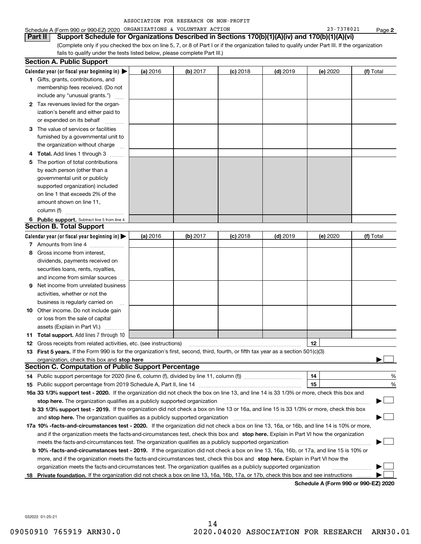| ASSOCIATION FOR RESEARCH ON NON-PROFIT |  |  |  |  |
|----------------------------------------|--|--|--|--|
|----------------------------------------|--|--|--|--|

(Complete only if you checked the box on line 5, 7, or 8 of Part I or if the organization failed to qualify under Part III. If the organization fails to qualify under the tests listed below, please complete Part III.) **Part II Support Schedule for Organizations Described in Sections 170(b)(1)(A)(iv) and 170(b)(1)(A)(vi)**

|     | <b>Section A. Public Support</b>                                                                                                                                                                                |          |          |                 |            |          |           |
|-----|-----------------------------------------------------------------------------------------------------------------------------------------------------------------------------------------------------------------|----------|----------|-----------------|------------|----------|-----------|
|     | Calendar year (or fiscal year beginning in) $\blacktriangleright$                                                                                                                                               | (a) 2016 | (b) 2017 | <b>(c)</b> 2018 | $(d)$ 2019 | (e) 2020 | (f) Total |
|     | <b>1</b> Gifts, grants, contributions, and                                                                                                                                                                      |          |          |                 |            |          |           |
|     | membership fees received. (Do not                                                                                                                                                                               |          |          |                 |            |          |           |
|     | include any "unusual grants.")                                                                                                                                                                                  |          |          |                 |            |          |           |
|     | 2 Tax revenues levied for the organ-                                                                                                                                                                            |          |          |                 |            |          |           |
|     | ization's benefit and either paid to                                                                                                                                                                            |          |          |                 |            |          |           |
|     | or expended on its behalf                                                                                                                                                                                       |          |          |                 |            |          |           |
|     | 3 The value of services or facilities                                                                                                                                                                           |          |          |                 |            |          |           |
|     | furnished by a governmental unit to                                                                                                                                                                             |          |          |                 |            |          |           |
|     | the organization without charge                                                                                                                                                                                 |          |          |                 |            |          |           |
| 4   | <b>Total.</b> Add lines 1 through 3                                                                                                                                                                             |          |          |                 |            |          |           |
| 5   | The portion of total contributions                                                                                                                                                                              |          |          |                 |            |          |           |
|     | by each person (other than a                                                                                                                                                                                    |          |          |                 |            |          |           |
|     | governmental unit or publicly                                                                                                                                                                                   |          |          |                 |            |          |           |
|     | supported organization) included                                                                                                                                                                                |          |          |                 |            |          |           |
|     | on line 1 that exceeds 2% of the                                                                                                                                                                                |          |          |                 |            |          |           |
|     | amount shown on line 11,                                                                                                                                                                                        |          |          |                 |            |          |           |
|     | column (f)                                                                                                                                                                                                      |          |          |                 |            |          |           |
|     | 6 Public support. Subtract line 5 from line 4.                                                                                                                                                                  |          |          |                 |            |          |           |
|     | <b>Section B. Total Support</b>                                                                                                                                                                                 |          |          |                 |            |          |           |
|     | Calendar year (or fiscal year beginning in) $\blacktriangleright$                                                                                                                                               | (a) 2016 | (b) 2017 | $(c)$ 2018      | $(d)$ 2019 | (e) 2020 | (f) Total |
|     | 7 Amounts from line 4                                                                                                                                                                                           |          |          |                 |            |          |           |
| 8   | Gross income from interest,                                                                                                                                                                                     |          |          |                 |            |          |           |
|     | dividends, payments received on                                                                                                                                                                                 |          |          |                 |            |          |           |
|     | securities loans, rents, royalties,                                                                                                                                                                             |          |          |                 |            |          |           |
|     | and income from similar sources                                                                                                                                                                                 |          |          |                 |            |          |           |
| 9   | Net income from unrelated business                                                                                                                                                                              |          |          |                 |            |          |           |
|     | activities, whether or not the                                                                                                                                                                                  |          |          |                 |            |          |           |
|     | business is regularly carried on                                                                                                                                                                                |          |          |                 |            |          |           |
| 10  | Other income. Do not include gain                                                                                                                                                                               |          |          |                 |            |          |           |
|     | or loss from the sale of capital                                                                                                                                                                                |          |          |                 |            |          |           |
|     | assets (Explain in Part VI.)                                                                                                                                                                                    |          |          |                 |            |          |           |
|     | <b>11 Total support.</b> Add lines 7 through 10                                                                                                                                                                 |          |          |                 |            |          |           |
|     |                                                                                                                                                                                                                 |          |          |                 |            | 12       |           |
|     | <b>12</b> Gross receipts from related activities, etc. (see instructions)<br>13 First 5 years. If the Form 990 is for the organization's first, second, third, fourth, or fifth tax year as a section 501(c)(3) |          |          |                 |            |          |           |
|     |                                                                                                                                                                                                                 |          |          |                 |            |          |           |
|     | <b>Section C. Computation of Public Support Percentage</b>                                                                                                                                                      |          |          |                 |            |          |           |
|     | 14 Public support percentage for 2020 (line 6, column (f), divided by line 11, column (f) <i>mummumumum</i>                                                                                                     |          |          |                 |            | 14       | %         |
|     |                                                                                                                                                                                                                 |          |          |                 |            | 15       | %         |
|     | 16a 33 1/3% support test - 2020. If the organization did not check the box on line 13, and line 14 is 33 1/3% or more, check this box and                                                                       |          |          |                 |            |          |           |
|     | stop here. The organization qualifies as a publicly supported organization                                                                                                                                      |          |          |                 |            |          |           |
|     | b 33 1/3% support test - 2019. If the organization did not check a box on line 13 or 16a, and line 15 is 33 1/3% or more, check this box                                                                        |          |          |                 |            |          |           |
|     | and stop here. The organization qualifies as a publicly supported organization                                                                                                                                  |          |          |                 |            |          |           |
|     |                                                                                                                                                                                                                 |          |          |                 |            |          |           |
|     | 17a 10% -facts-and-circumstances test - 2020. If the organization did not check a box on line 13, 16a, or 16b, and line 14 is 10% or more,                                                                      |          |          |                 |            |          |           |
|     | and if the organization meets the facts-and-circumstances test, check this box and stop here. Explain in Part VI how the organization                                                                           |          |          |                 |            |          |           |
|     | meets the facts-and-circumstances test. The organization qualifies as a publicly supported organization                                                                                                         |          |          |                 |            |          |           |
|     | <b>b 10% -facts-and-circumstances test - 2019.</b> If the organization did not check a box on line 13, 16a, 16b, or 17a, and line 15 is 10% or                                                                  |          |          |                 |            |          |           |
|     | more, and if the organization meets the facts-and-circumstances test, check this box and stop here. Explain in Part VI how the                                                                                  |          |          |                 |            |          |           |
|     | organization meets the facts-and-circumstances test. The organization qualifies as a publicly supported organization                                                                                            |          |          |                 |            |          |           |
| 18. | Private foundation. If the organization did not check a box on line 13, 16a, 16b, 17a, or 17b, check this box and see instructions                                                                              |          |          |                 |            |          |           |

**Schedule A (Form 990 or 990-EZ) 2020**

032022 01-25-21

**2**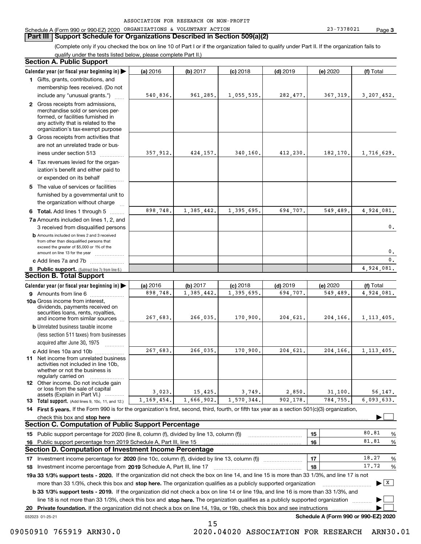### **Part III Support Schedule for Organizations Described in Section 509(a)(2)**

(Complete only if you checked the box on line 10 of Part I or if the organization failed to qualify under Part II. If the organization fails to qualify under the tests listed below, please complete Part II.)

### **8 Public support.** (Subtract line 7c from line 6.) **b** Amounts included on lines 2 and 3 received from other than disqualified persons that exceed the greater of \$5,000 or 1% of the amount on line 13 for the year  $\ldots$ ............... **13 Total support.** (Add lines 9, 10c, 11, and 12.) 032023 01-25-21 **Calendar year (or fiscal year beginning in) | Calendar year (or fiscal year beginning in) | (a)** 2016 **| (b)** 2017 **| (c)** 2018 **| (d)** 2019 **| (e)** 2020 **| (f) 1**Gifts, grants, contributions, and **2** Gross receipts from admissions, **3** Gross receipts from activities that **4**Tax revenues levied for the organ-**5** The value of services or facilities **6 Total.** Add lines 1 through 5  $\,\ldots\ldots\,$ **7a**Amounts included on lines 1, 2, and **c** Add lines 7a and 7b  $\ldots$   $\ldots$   $\ldots$  ... **(a)** 2016 **| (b)** 2017 **| (c)** 2018 **| (d)** 2019 **| (e)** 2020 **| (f) 9** Amounts from line 6  $^{10}$ **10a**Gross income from interest, **b** Unrelated business taxable income **c** Add lines 10a and 10b  $^{100}$ **11** Net income from unrelated business **12** Other income. Do not include gain **14 First 5 years.**  If the Form 990 is for the organization's first, second, third, fourth, or fifth tax year as a section 501(c)(3) organization, **stop here** check this box and | **151615161718 2019** Investment income percentage from Schedule A, Part III, line 17 ~~~~~~~~~~~~~~~~~~**19a 33 1/3% support tests - 2020.** If the organization did not check the box on line 14, and line 15 is more than 33 1/3%, and line 17 is not **20Private foundation.**  If the organization did not check a box on line 14, 19a, or 19b, check this box and see instructions | Investment income percentage for 2020 (line 10c, column (f), divided by line 13, column (f)) **1718b 33 1/3% support tests - 2019.** If the organization did not check a box on line 14 or line 19a, and line 16 is more than 33 1/3%, and more than 33 1/3%, check this box and stop here. The organization qualifies as a publicly supported organization *manimumment* line 18 is not more than 33 1/3%, check this box and stop here. The organization qualifies as a publicly supported organization  $\Box$ **Schedule A (Form 990 or 990-EZ) 2020** (less section 511 taxes) from businesses acquired after June 30, 1975 (a) 2016 16 **| (b)** 2017 **| (c)** 2018 **| (d)** 2019 **| (e)** 2020 **| (f)** Total membership fees received. (Do not include any "unusual grants.") merchandise sold or services performed, or facilities furnished in any activity that is related to the organization's tax-exempt purpose are not an unrelated trade or business under section 513  $\quad$ ization's benefit and either paid to or expended on its behalf  $^{+}_{-}, \dots$ furnished by a governmental unit to the organization without charge 3 received from disqualified persons (a) 2016 16 **| (b)** 2017 **| (c)** 2018 **| (d)** 2019 **| (e)** 2020 **| (f)** Total dividends, payments received on securities loans, rents, royalties, and income from similar sources activities not included in line 10b, whether or not the business is regularly carried on or loss from the sale of capital assets (Explain in Part VI.) ............ Public support percentage for 2020 (line 8, column (f), divided by line 13, column (f)) Public support percentage from 2019 Schedule A, Part III, line 15 % 80.81 $\ldots$  | 16 |  $81.81\quad\%$  $\ldots$  | 17 | 18.27 %  $\ldots$  | 18 |  $\ldots$  | 17.72 % **Section A. Public Support Section B. Total Support Section C. Computation of Public Support Percentage Section D. Computation of Investment Income Percentage**  $\mathcal{L}^{\text{max}}$  $\boxed{\mathbf{X}}$  $\mathcal{L}^{\text{max}}$  $\mathcal{L}^{\text{max}}$  $540,836.$  961,285. 1,055,535. 282,477. 367,319. 3,207,452. 357,912. 424,157. 340,160. 412,230. 182,170. 1,716,629. 898,748. 1,385,442. 1,395,695. 694,707. 549,489. 4,924,081. 898,748. 1,385,442. 1,395,695. 694,707. 549,489. 4,924,081.  $\mathbf{0}$ . 0. $\overline{\mathbf{0}}$ . 4,924,081. 267,683. 266,035. 170,900. 204,621. 204,166. 1,113,405. 267,683. 266,035. 170,900. 204,621. 204,166. 1,113,405. 3,023. 15,425. 3,749. 2,850. 31,100. 56,147. 6,093,633. 81.8118.2717.721,169,454. 1,666,902. 1,570,344. 902,178. 784,755.

15

09050910 765919 ARN30.0 2020.04020 ASSOCIATION FOR RESEARCH ARN30.01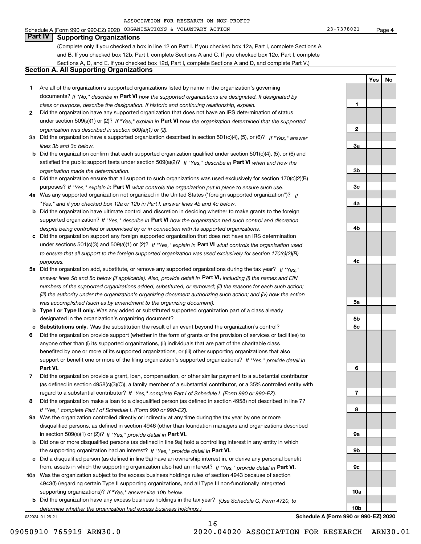**1**

**2**

**3a**

**3b**

**3c**

**4a**

**4b**

**4c**

**5a**

**5b5c**

**6**

**7**

**8**

**9a**

**9b**

**9c**

**10a**

**10b**

**YesNo**

# **Part IV Supporting Organizations**

(Complete only if you checked a box in line 12 on Part I. If you checked box 12a, Part I, complete Sections A and B. If you checked box 12b, Part I, complete Sections A and C. If you checked box 12c, Part I, complete Sections A, D, and E. If you checked box 12d, Part I, complete Sections A and D, and complete Part V.)

### **Section A. All Supporting Organizations**

- **1** Are all of the organization's supported organizations listed by name in the organization's governing documents? If "No," describe in **Part VI** how the supported organizations are designated. If designated by *class or purpose, describe the designation. If historic and continuing relationship, explain.*
- **2** Did the organization have any supported organization that does not have an IRS determination of status under section 509(a)(1) or (2)? If "Yes," explain in Part VI how the organization determined that the supported *organization was described in section 509(a)(1) or (2).*
- **3a** Did the organization have a supported organization described in section 501(c)(4), (5), or (6)? If "Yes," answer *lines 3b and 3c below.*
- **b** Did the organization confirm that each supported organization qualified under section 501(c)(4), (5), or (6) and satisfied the public support tests under section 509(a)(2)? If "Yes," describe in **Part VI** when and how the *organization made the determination.*
- **c**Did the organization ensure that all support to such organizations was used exclusively for section 170(c)(2)(B) purposes? If "Yes," explain in **Part VI** what controls the organization put in place to ensure such use.
- **4a***If* Was any supported organization not organized in the United States ("foreign supported organization")? *"Yes," and if you checked box 12a or 12b in Part I, answer lines 4b and 4c below.*
- **b** Did the organization have ultimate control and discretion in deciding whether to make grants to the foreign supported organization? If "Yes," describe in **Part VI** how the organization had such control and discretion *despite being controlled or supervised by or in connection with its supported organizations.*
- **c** Did the organization support any foreign supported organization that does not have an IRS determination under sections 501(c)(3) and 509(a)(1) or (2)? If "Yes," explain in **Part VI** what controls the organization used *to ensure that all support to the foreign supported organization was used exclusively for section 170(c)(2)(B) purposes.*
- **5a** Did the organization add, substitute, or remove any supported organizations during the tax year? If "Yes," answer lines 5b and 5c below (if applicable). Also, provide detail in **Part VI,** including (i) the names and EIN *numbers of the supported organizations added, substituted, or removed; (ii) the reasons for each such action; (iii) the authority under the organization's organizing document authorizing such action; and (iv) how the action was accomplished (such as by amendment to the organizing document).*
- **b** Type I or Type II only. Was any added or substituted supported organization part of a class already designated in the organization's organizing document?
- **cSubstitutions only.**  Was the substitution the result of an event beyond the organization's control?
- **6** Did the organization provide support (whether in the form of grants or the provision of services or facilities) to **Part VI.** *If "Yes," provide detail in* support or benefit one or more of the filing organization's supported organizations? anyone other than (i) its supported organizations, (ii) individuals that are part of the charitable class benefited by one or more of its supported organizations, or (iii) other supporting organizations that also
- **7**Did the organization provide a grant, loan, compensation, or other similar payment to a substantial contributor *If "Yes," complete Part I of Schedule L (Form 990 or 990-EZ).* regard to a substantial contributor? (as defined in section 4958(c)(3)(C)), a family member of a substantial contributor, or a 35% controlled entity with
- **8** Did the organization make a loan to a disqualified person (as defined in section 4958) not described in line 7? *If "Yes," complete Part I of Schedule L (Form 990 or 990-EZ).*
- **9a** Was the organization controlled directly or indirectly at any time during the tax year by one or more in section 509(a)(1) or (2))? If "Yes," *provide detail in* <code>Part VI.</code> disqualified persons, as defined in section 4946 (other than foundation managers and organizations described
- **b**the supporting organization had an interest? If "Yes," provide detail in P**art VI**. Did one or more disqualified persons (as defined in line 9a) hold a controlling interest in any entity in which
- **c**Did a disqualified person (as defined in line 9a) have an ownership interest in, or derive any personal benefit from, assets in which the supporting organization also had an interest? If "Yes," provide detail in P**art VI.**
- **10a** Was the organization subject to the excess business holdings rules of section 4943 because of section supporting organizations)? If "Yes," answer line 10b below. 4943(f) (regarding certain Type II supporting organizations, and all Type III non-functionally integrated
- **b** Did the organization have any excess business holdings in the tax year? (Use Schedule C, Form 4720, to *determine whether the organization had excess business holdings.)*

16

032024 01-25-21

**Schedule A (Form 990 or 990-EZ) 2020**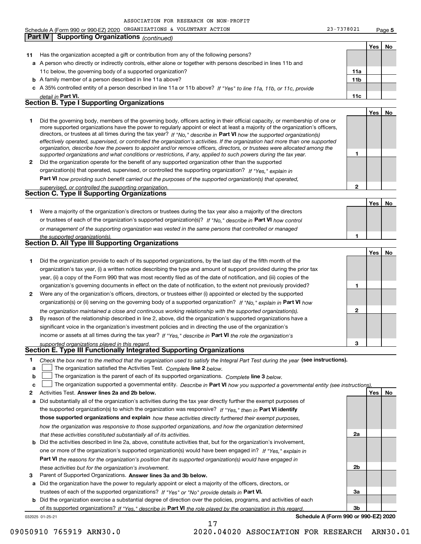032025 01-25-21 **Yes No 11** Has the organization accepted a gift or contribution from any of the following persons? **a**A person who directly or indirectly controls, either alone or together with persons described in lines 11b and **b** A family member of a person described in line 11a above? **c** A 35% controlled entity of a person described in line 11a or 11b above? If "Yes" to line 11a, 11b, or 11c, provide **11a11bPart VI. 11c Yes No 12** Did the organization operate for the benefit of any supported organization other than the supported directors, or trustees at all times during the tax year? If "No," describe in **Part VI** how the supported organization(s) **12Part VI**  *how providing such benefit carried out the purposes of the supported organization(s) that operated,* **Yes No 1** Were a majority of the organization's directors or trustees during the tax year also a majority of the directors or trustees of each of the organization's supported organization(s)? If "No," describe in **Part VI** how control **1Yes No 1** Did the organization provide to each of its supported organizations, by the last day of the fifth month of the **2** Were any of the organization's officers, directors, or trustees either (i) appointed or elected by the supported **3123**organization(s) or (ii) serving on the governing body of a supported organization? If "No," explain in **Part VI** how income or assets at all times during the tax year? If "Yes," describe in **Part VI** the role the organization's **12Answer lines 2a and 2b below. Yes No** Activities Test. **3**Check the box next to the method that the organization used to satisfy the Integral Part Test during the year (see instructions). **abclinupy** The organization satisfied the Activities Test. Complete line 2 below. The organization is the parent of each of its supported organizations. *Complete* line 3 *below.* The organization supported a governmental entity. *Describe in* Part **VI** *how you supported a governmental entity (see instruction<u>s).</u>* **a** Did substantially all of the organization's activities during the tax year directly further the exempt purposes of **b** Did the activities described in line 2a, above, constitute activities that, but for the organization's involvement, **a** Did the organization have the power to regularly appoint or elect a majority of the officers, directors, or **b** Did the organization exercise a substantial degree of direction over the policies, programs, and activities of each the supported organization(s) to which the organization was responsive? If "Yes," then in **Part VI identify those supported organizations and explain**  *how these activities directly furthered their exempt purposes,* **2a 2b3a3bPart VI**  *the reasons for the organization's position that its supported organization(s) would have engaged in* Parent of Supported Organizations. Answer lines 3a and 3b below. trustees of each of the supported organizations? If "Yes" or "No" provide details in **Part VI.** of its supported organizations? If "Yes," describe in Part VI the role played by the organization in this regard. **Schedule A (Form 990 or 990-EZ) 2020** *detail in effectively operated, supervised, or controlled the organization's activities. If the organization had more than one supported organization, describe how the powers to appoint and/or remove officers, directors, or trustees were allocated among the supported organizations and what conditions or restrictions, if any, applied to such powers during the tax year. If "Yes," explain in* organization(s) that operated, supervised, or controlled the supporting organization? *supervised, or controlled the supporting organization. or management of the supporting organization was vested in the same persons that controlled or managed the supported organization(s). the organization maintained a close and continuous working relationship with the supported organization(s). supported organizations played in this regard. how the organization was responsive to those supported organizations, and how the organization determined that these activities constituted substantially all of its activities.* one or more of the organization's supported organization(s) would have been engaged in? If "Yes," e*xplain in these activities but for the organization's involvement.* 11c below, the governing body of a supported organization? Did the governing body, members of the governing body, officers acting in their official capacity, or membership of one or more supported organizations have the power to regularly appoint or elect at least a majority of the organization's officers, organization's tax year, (i) a written notice describing the type and amount of support provided during the prior tax year, (ii) a copy of the Form 990 that was most recently filed as of the date of notification, and (iii) copies of the organization's governing documents in effect on the date of notification, to the extent not previously provided? By reason of the relationship described in line 2, above, did the organization's supported organizations have a significant voice in the organization's investment policies and in directing the use of the organization's **Part IV Supporting Organizations** *(continued)* **Section B. Type I Supporting Organizations Section C. Type II Supporting Organizations Section D. All Type III Supporting Organizations Section E. Type III Functionally Integrated Supporting Organizations**  $\mathcal{L}^{\text{max}}$  $\mathcal{L}^{\text{max}}$ 

17

09050910 765919 ARN30.0 2020.04020 ASSOCIATION FOR RESEARCH ARN30.01

**5**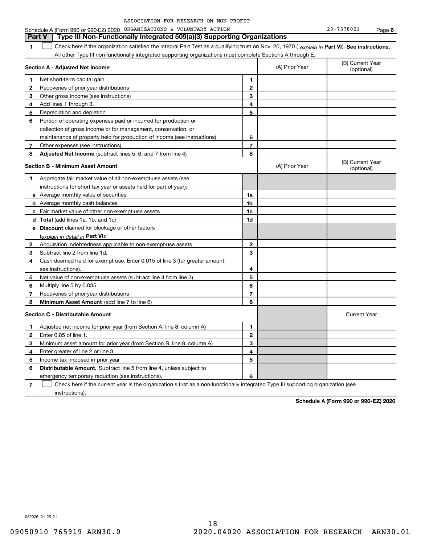| ASSOCIATION FOR RESEARCH ON NON-PROFIT |  |
|----------------------------------------|--|
|----------------------------------------|--|

|              | <b>Part V</b><br>Type III Non-Functionally Integrated 509(a)(3) Supporting Organizations                                                       |                |                |                                |
|--------------|------------------------------------------------------------------------------------------------------------------------------------------------|----------------|----------------|--------------------------------|
| 1            | Check here if the organization satisfied the Integral Part Test as a qualifying trust on Nov. 20, 1970 (explain in Part VI). See instructions. |                |                |                                |
|              | All other Type III non-functionally integrated supporting organizations must complete Sections A through E.                                    |                |                |                                |
|              | Section A - Adjusted Net Income                                                                                                                |                | (A) Prior Year | (B) Current Year<br>(optional) |
| 1            | Net short-term capital gain                                                                                                                    | 1              |                |                                |
| $\mathbf{2}$ | Recoveries of prior-year distributions                                                                                                         | $\mathbf{2}$   |                |                                |
| 3            | Other gross income (see instructions)                                                                                                          | 3              |                |                                |
| 4            | Add lines 1 through 3.                                                                                                                         | 4              |                |                                |
| 5            | Depreciation and depletion                                                                                                                     | 5              |                |                                |
| 6            | Portion of operating expenses paid or incurred for production or                                                                               |                |                |                                |
|              | collection of gross income or for management, conservation, or                                                                                 |                |                |                                |
|              | maintenance of property held for production of income (see instructions)                                                                       | 6              |                |                                |
| 7            | Other expenses (see instructions)                                                                                                              | $\overline{7}$ |                |                                |
| 8            | Adjusted Net Income (subtract lines 5, 6, and 7 from line 4)                                                                                   | 8              |                |                                |
|              | <b>Section B - Minimum Asset Amount</b>                                                                                                        |                | (A) Prior Year | (B) Current Year<br>(optional) |
| 1            | Aggregate fair market value of all non-exempt-use assets (see                                                                                  |                |                |                                |
|              | instructions for short tax year or assets held for part of year):                                                                              |                |                |                                |
|              | a Average monthly value of securities                                                                                                          | 1a             |                |                                |
|              | <b>b</b> Average monthly cash balances                                                                                                         | 1b             |                |                                |
|              | c Fair market value of other non-exempt-use assets                                                                                             | 1c             |                |                                |
|              | <b>d</b> Total (add lines 1a, 1b, and 1c)                                                                                                      | 1d             |                |                                |
|              | e Discount claimed for blockage or other factors                                                                                               |                |                |                                |
|              | (explain in detail in <b>Part VI</b> ):                                                                                                        |                |                |                                |
| $\mathbf{2}$ | Acquisition indebtedness applicable to non-exempt-use assets                                                                                   | $\mathbf{2}$   |                |                                |
| 3            | Subtract line 2 from line 1d.                                                                                                                  | 3              |                |                                |
| 4            | Cash deemed held for exempt use. Enter 0.015 of line 3 (for greater amount,                                                                    |                |                |                                |
|              | see instructions).                                                                                                                             | 4              |                |                                |
| 5            | Net value of non-exempt-use assets (subtract line 4 from line 3)                                                                               | 5              |                |                                |
| 6            | Multiply line 5 by 0.035.                                                                                                                      | 6              |                |                                |
| 7            | Recoveries of prior-year distributions                                                                                                         | 7              |                |                                |
| 8            | Minimum Asset Amount (add line 7 to line 6)                                                                                                    | 8              |                |                                |
|              | <b>Section C - Distributable Amount</b>                                                                                                        |                |                | <b>Current Year</b>            |
| 1            | Adjusted net income for prior year (from Section A, line 8, column A)                                                                          | 1              |                |                                |
| 2            | Enter 0.85 of line 1.                                                                                                                          | $\mathbf{2}$   |                |                                |
| з            | Minimum asset amount for prior year (from Section B, line 8, column A)                                                                         | 3              |                |                                |
| 4            | Enter greater of line 2 or line 3.                                                                                                             | 4              |                |                                |
| 5            | Income tax imposed in prior year                                                                                                               | 5              |                |                                |
| 6            | <b>Distributable Amount.</b> Subtract line 5 from line 4, unless subject to                                                                    |                |                |                                |
|              | emergency temporary reduction (see instructions).                                                                                              | 6              |                |                                |

**7**Check here if the current year is the organization's first as a non-functionally integrated Type III supporting organization (see instructions).

**Schedule A (Form 990 or 990-EZ) 2020**

032026 01-25-21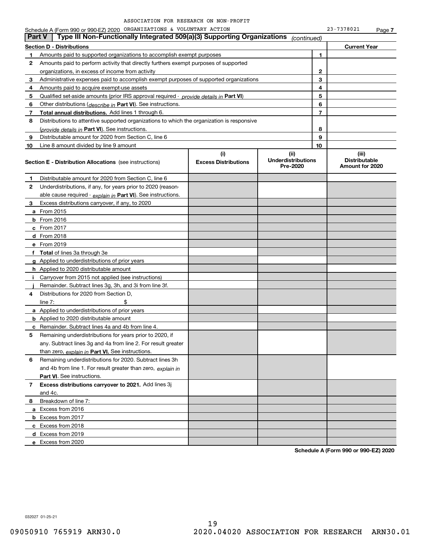|               | Schedule A (Form 990 or 990-EZ) 2020 ORGANIZATIONS & VOLUNTARY ACTION                      |                                    |                                               |    | 23-7378021                                       | Page 7 |
|---------------|--------------------------------------------------------------------------------------------|------------------------------------|-----------------------------------------------|----|--------------------------------------------------|--------|
| <b>Part V</b> | Type III Non-Functionally Integrated 509(a)(3) Supporting Organizations                    |                                    | (continued)                                   |    |                                                  |        |
|               | <b>Section D - Distributions</b>                                                           |                                    |                                               |    | <b>Current Year</b>                              |        |
| 1             | Amounts paid to supported organizations to accomplish exempt purposes                      |                                    |                                               | 1  |                                                  |        |
| $\mathbf{2}$  | Amounts paid to perform activity that directly furthers exempt purposes of supported       |                                    |                                               |    |                                                  |        |
|               | organizations, in excess of income from activity                                           |                                    |                                               | 2  |                                                  |        |
| 3             | Administrative expenses paid to accomplish exempt purposes of supported organizations      |                                    |                                               | 3  |                                                  |        |
| 4             | Amounts paid to acquire exempt-use assets                                                  |                                    |                                               | 4  |                                                  |        |
| 5             | Qualified set-aside amounts (prior IRS approval required - provide details in Part VI)     |                                    |                                               | 5  |                                                  |        |
| 6             | Other distributions ( <i>describe in</i> Part VI). See instructions.                       |                                    |                                               | 6  |                                                  |        |
| 7             | <b>Total annual distributions.</b> Add lines 1 through 6.                                  |                                    |                                               | 7  |                                                  |        |
| 8             | Distributions to attentive supported organizations to which the organization is responsive |                                    |                                               |    |                                                  |        |
|               | (provide details in Part VI). See instructions.                                            |                                    |                                               | 8  |                                                  |        |
| 9             | Distributable amount for 2020 from Section C, line 6                                       |                                    |                                               | 9  |                                                  |        |
| 10            | Line 8 amount divided by line 9 amount                                                     |                                    |                                               | 10 |                                                  |        |
|               | <b>Section E - Distribution Allocations</b> (see instructions)                             | (i)<br><b>Excess Distributions</b> | (ii)<br><b>Underdistributions</b><br>Pre-2020 |    | (iii)<br><b>Distributable</b><br>Amount for 2020 |        |
| 1             | Distributable amount for 2020 from Section C, line 6                                       |                                    |                                               |    |                                                  |        |
| $\mathbf{2}$  | Underdistributions, if any, for years prior to 2020 (reason-                               |                                    |                                               |    |                                                  |        |
|               | able cause required - explain in Part VI). See instructions.                               |                                    |                                               |    |                                                  |        |
| 3             | Excess distributions carryover, if any, to 2020                                            |                                    |                                               |    |                                                  |        |
|               | <b>a</b> From 2015                                                                         |                                    |                                               |    |                                                  |        |
|               | <b>b</b> From $2016$                                                                       |                                    |                                               |    |                                                  |        |
|               | $c$ From 2017                                                                              |                                    |                                               |    |                                                  |        |
|               | $d$ From 2018                                                                              |                                    |                                               |    |                                                  |        |
|               | e From 2019                                                                                |                                    |                                               |    |                                                  |        |
|               | f Total of lines 3a through 3e                                                             |                                    |                                               |    |                                                  |        |
|               | g Applied to underdistributions of prior years                                             |                                    |                                               |    |                                                  |        |
|               | <b>h</b> Applied to 2020 distributable amount                                              |                                    |                                               |    |                                                  |        |
| л.            | Carryover from 2015 not applied (see instructions)                                         |                                    |                                               |    |                                                  |        |
|               | Remainder. Subtract lines 3g, 3h, and 3i from line 3f.                                     |                                    |                                               |    |                                                  |        |
| 4             | Distributions for 2020 from Section D.                                                     |                                    |                                               |    |                                                  |        |
|               | \$<br>line $7:$                                                                            |                                    |                                               |    |                                                  |        |
|               | <b>a</b> Applied to underdistributions of prior years                                      |                                    |                                               |    |                                                  |        |
|               | <b>b</b> Applied to 2020 distributable amount                                              |                                    |                                               |    |                                                  |        |
|               | <b>c</b> Remainder. Subtract lines 4a and 4b from line 4.                                  |                                    |                                               |    |                                                  |        |
|               | Remaining underdistributions for years prior to 2020, if                                   |                                    |                                               |    |                                                  |        |
|               | any. Subtract lines 3g and 4a from line 2. For result greater                              |                                    |                                               |    |                                                  |        |
|               | than zero, explain in Part VI. See instructions.                                           |                                    |                                               |    |                                                  |        |
| 6             | Remaining underdistributions for 2020. Subtract lines 3h                                   |                                    |                                               |    |                                                  |        |
|               | and 4b from line 1. For result greater than zero, explain in                               |                                    |                                               |    |                                                  |        |
|               | <b>Part VI.</b> See instructions.                                                          |                                    |                                               |    |                                                  |        |
| 7             | Excess distributions carryover to 2021. Add lines 3j                                       |                                    |                                               |    |                                                  |        |
|               | and 4c.                                                                                    |                                    |                                               |    |                                                  |        |
| 8             | Breakdown of line 7:                                                                       |                                    |                                               |    |                                                  |        |
|               | a Excess from 2016                                                                         |                                    |                                               |    |                                                  |        |
|               | <b>b</b> Excess from 2017                                                                  |                                    |                                               |    |                                                  |        |
|               | c Excess from 2018                                                                         |                                    |                                               |    |                                                  |        |
|               | d Excess from 2019                                                                         |                                    |                                               |    |                                                  |        |
|               | e Excess from 2020                                                                         |                                    |                                               |    |                                                  |        |
|               |                                                                                            |                                    |                                               |    |                                                  |        |

**Schedule A (Form 990 or 990-EZ) 2020**

032027 01-25-21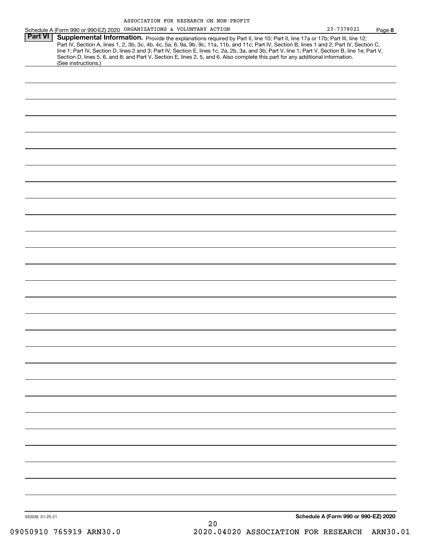|                 | Schedule A (Form 990 or 990-EZ) 2020 ORGANIZATIONS & VOLUNTARY ACTION                                                                                                                                                                                                                                                                                                                                                                                                                                                                                                | 23-7378021                           | Page 8 |
|-----------------|----------------------------------------------------------------------------------------------------------------------------------------------------------------------------------------------------------------------------------------------------------------------------------------------------------------------------------------------------------------------------------------------------------------------------------------------------------------------------------------------------------------------------------------------------------------------|--------------------------------------|--------|
| <b>Part VI</b>  | Supplemental Information. Provide the explanations required by Part II, line 10; Part II, line 17a or 17b; Part III, line 12;<br>Part IV, Section A, lines 1, 2, 3b, 3c, 4b, 4c, 5a, 6, 9a, 9b, 9c, 11a, 11b, and 11c; Part IV, Section B, lines 1 and 2; Part IV, Section C,<br>line 1; Part IV, Section D, lines 2 and 3; Part IV, Section E, lines 1c, 2a, 2b, 3a, and 3b; Part V, line 1; Part V, Section B, line 1e; Part V,<br>Section D, lines 5, 6, and 8; and Part V, Section E, lines 2, 5, and 6. Also complete this part for any additional information. |                                      |        |
|                 | (See instructions.)                                                                                                                                                                                                                                                                                                                                                                                                                                                                                                                                                  |                                      |        |
|                 |                                                                                                                                                                                                                                                                                                                                                                                                                                                                                                                                                                      |                                      |        |
|                 |                                                                                                                                                                                                                                                                                                                                                                                                                                                                                                                                                                      |                                      |        |
|                 |                                                                                                                                                                                                                                                                                                                                                                                                                                                                                                                                                                      |                                      |        |
|                 |                                                                                                                                                                                                                                                                                                                                                                                                                                                                                                                                                                      |                                      |        |
|                 |                                                                                                                                                                                                                                                                                                                                                                                                                                                                                                                                                                      |                                      |        |
|                 |                                                                                                                                                                                                                                                                                                                                                                                                                                                                                                                                                                      |                                      |        |
|                 |                                                                                                                                                                                                                                                                                                                                                                                                                                                                                                                                                                      |                                      |        |
|                 |                                                                                                                                                                                                                                                                                                                                                                                                                                                                                                                                                                      |                                      |        |
|                 |                                                                                                                                                                                                                                                                                                                                                                                                                                                                                                                                                                      |                                      |        |
|                 |                                                                                                                                                                                                                                                                                                                                                                                                                                                                                                                                                                      |                                      |        |
|                 |                                                                                                                                                                                                                                                                                                                                                                                                                                                                                                                                                                      |                                      |        |
|                 |                                                                                                                                                                                                                                                                                                                                                                                                                                                                                                                                                                      |                                      |        |
|                 |                                                                                                                                                                                                                                                                                                                                                                                                                                                                                                                                                                      |                                      |        |
|                 |                                                                                                                                                                                                                                                                                                                                                                                                                                                                                                                                                                      |                                      |        |
|                 |                                                                                                                                                                                                                                                                                                                                                                                                                                                                                                                                                                      |                                      |        |
|                 |                                                                                                                                                                                                                                                                                                                                                                                                                                                                                                                                                                      |                                      |        |
|                 |                                                                                                                                                                                                                                                                                                                                                                                                                                                                                                                                                                      |                                      |        |
|                 |                                                                                                                                                                                                                                                                                                                                                                                                                                                                                                                                                                      |                                      |        |
|                 |                                                                                                                                                                                                                                                                                                                                                                                                                                                                                                                                                                      |                                      |        |
|                 |                                                                                                                                                                                                                                                                                                                                                                                                                                                                                                                                                                      |                                      |        |
|                 |                                                                                                                                                                                                                                                                                                                                                                                                                                                                                                                                                                      |                                      |        |
|                 |                                                                                                                                                                                                                                                                                                                                                                                                                                                                                                                                                                      |                                      |        |
|                 |                                                                                                                                                                                                                                                                                                                                                                                                                                                                                                                                                                      |                                      |        |
|                 |                                                                                                                                                                                                                                                                                                                                                                                                                                                                                                                                                                      |                                      |        |
|                 |                                                                                                                                                                                                                                                                                                                                                                                                                                                                                                                                                                      |                                      |        |
|                 |                                                                                                                                                                                                                                                                                                                                                                                                                                                                                                                                                                      |                                      |        |
|                 |                                                                                                                                                                                                                                                                                                                                                                                                                                                                                                                                                                      |                                      |        |
|                 |                                                                                                                                                                                                                                                                                                                                                                                                                                                                                                                                                                      |                                      |        |
|                 |                                                                                                                                                                                                                                                                                                                                                                                                                                                                                                                                                                      |                                      |        |
|                 |                                                                                                                                                                                                                                                                                                                                                                                                                                                                                                                                                                      |                                      |        |
|                 |                                                                                                                                                                                                                                                                                                                                                                                                                                                                                                                                                                      |                                      |        |
| 032028 01-25-21 |                                                                                                                                                                                                                                                                                                                                                                                                                                                                                                                                                                      | Schedule A (Form 990 or 990-EZ) 2020 |        |

20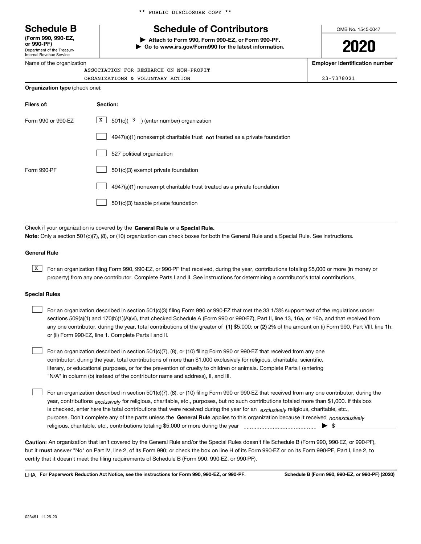Department of the Treasury **(Form 990, 990-EZ, or 990-PF)**

Internal Revenue Service Name of the organization

|  |  | ** PUBLIC DISCLOSURE COPY ** |  |  |
|--|--|------------------------------|--|--|
|--|--|------------------------------|--|--|

# **Schedule B Schedule of Contributors**

**| Attach to Form 990, Form 990-EZ, or Form 990-PF. | Go to www.irs.gov/Form990 for the latest information.** OMB No. 1545-0047

**2020**

**Employer identification number**

| ORGANIZATIONS & VOLUNTARY ACTION      | 23-7378021 |
|---------------------------------------|------------|
| <b>Organization type</b> (check one): |            |

| Filers of:         | Section:                                                                  |
|--------------------|---------------------------------------------------------------------------|
| Form 990 or 990-EZ | x<br>$501(c)$ $3$ ) (enter number) organization                           |
|                    | 4947(a)(1) nonexempt charitable trust not treated as a private foundation |
|                    | 527 political organization                                                |
| Form 990-PF        | 501(c)(3) exempt private foundation                                       |
|                    | 4947(a)(1) nonexempt charitable trust treated as a private foundation     |
|                    | 501(c)(3) taxable private foundation                                      |

Check if your organization is covered by the **General Rule** or a **Special Rule. Note:**  Only a section 501(c)(7), (8), or (10) organization can check boxes for both the General Rule and a Special Rule. See instructions.

### **General Rule**

 $\overline{X}$  For an organization filing Form 990, 990-EZ, or 990-PF that received, during the year, contributions totaling \$5,000 or more (in money or property) from any one contributor. Complete Parts I and II. See instructions for determining a contributor's total contributions.

### **Special Rules**

| For an organization described in section 501(c)(3) filing Form 990 or 990-EZ that met the 33 1/3% support test of the regulations under               |
|-------------------------------------------------------------------------------------------------------------------------------------------------------|
| sections 509(a)(1) and 170(b)(1)(A)(vi), that checked Schedule A (Form 990 or 990-EZ), Part II, line 13, 16a, or 16b, and that received from          |
| any one contributor, during the year, total contributions of the greater of (1) \$5,000; or (2) 2% of the amount on (i) Form 990, Part VIII, line 1h; |
| or (ii) Form 990-EZ, line 1. Complete Parts I and II.                                                                                                 |

For an organization described in section 501(c)(7), (8), or (10) filing Form 990 or 990-EZ that received from any one contributor, during the year, total contributions of more than \$1,000 exclusively for religious, charitable, scientific, literary, or educational purposes, or for the prevention of cruelty to children or animals. Complete Parts I (entering "N/A" in column (b) instead of the contributor name and address), II, and III.  $\mathcal{L}^{\text{max}}$ 

purpose. Don't complete any of the parts unless the **General Rule** applies to this organization because it received *nonexclusively* year, contributions <sub>exclusively</sub> for religious, charitable, etc., purposes, but no such contributions totaled more than \$1,000. If this box is checked, enter here the total contributions that were received during the year for an  $\;$ exclusively religious, charitable, etc., For an organization described in section 501(c)(7), (8), or (10) filing Form 990 or 990-EZ that received from any one contributor, during the religious, charitable, etc., contributions totaling \$5,000 or more during the year  $\Box$ — $\Box$   $\Box$  $\mathcal{L}^{\text{max}}$ 

**Caution:**  An organization that isn't covered by the General Rule and/or the Special Rules doesn't file Schedule B (Form 990, 990-EZ, or 990-PF),  **must** but it answer "No" on Part IV, line 2, of its Form 990; or check the box on line H of its Form 990-EZ or on its Form 990-PF, Part I, line 2, to certify that it doesn't meet the filing requirements of Schedule B (Form 990, 990-EZ, or 990-PF).

**For Paperwork Reduction Act Notice, see the instructions for Form 990, 990-EZ, or 990-PF. Schedule B (Form 990, 990-EZ, or 990-PF) (2020)** LHA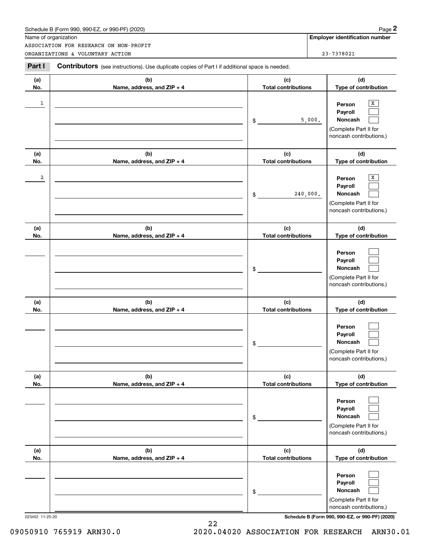| Schedule B (Form 990. 990-EZ. or 990-PF) (2020) | Page |  |
|-------------------------------------------------|------|--|
|-------------------------------------------------|------|--|

|                | Schedule B (Form 990, 990-EZ, or 990-PF) (2020)<br>Name of organization                        |                                   | Page 2<br><b>Employer identification number</b>                                                   |
|----------------|------------------------------------------------------------------------------------------------|-----------------------------------|---------------------------------------------------------------------------------------------------|
|                | ASSOCIATION FOR RESEARCH ON NON-PROFIT                                                         |                                   |                                                                                                   |
|                | ORGANIZATIONS & VOLUNTARY ACTION                                                               |                                   | 23-7378021                                                                                        |
| Part I         | Contributors (see instructions). Use duplicate copies of Part I if additional space is needed. |                                   |                                                                                                   |
| (a)<br>No.     | (b)<br>Name, address, and ZIP + 4                                                              | (c)<br><b>Total contributions</b> | (d)<br>Type of contribution                                                                       |
| 1              |                                                                                                | \$                                | х<br>Person<br>Payroll<br>Noncash<br>5,000.<br>(Complete Part II for<br>noncash contributions.)   |
| (a)<br>No.     | (b)<br>Name, address, and ZIP + 4                                                              | (c)<br><b>Total contributions</b> | (d)<br>Type of contribution                                                                       |
| $\overline{a}$ |                                                                                                | \$                                | х<br>Person<br>Payroll<br>Noncash<br>240,000.<br>(Complete Part II for<br>noncash contributions.) |
| (a)<br>No.     | (b)<br>Name, address, and ZIP + 4                                                              | (c)<br><b>Total contributions</b> | (d)<br>Type of contribution                                                                       |
|                |                                                                                                | \$                                | Person<br>Payroll<br>Noncash<br>(Complete Part II for<br>noncash contributions.)                  |
| (a)<br>No.     | (b)<br>Name, address, and ZIP + 4                                                              | (c)<br><b>Total contributions</b> | (d)<br>Type of contribution                                                                       |
|                |                                                                                                | \$                                | Person<br>Payroll<br>Noncash<br>(Complete Part II for<br>noncash contributions.)                  |
| (a)<br>No.     | (b)<br>Name, address, and ZIP + 4                                                              | (c)<br><b>Total contributions</b> | (d)<br>Type of contribution                                                                       |
|                |                                                                                                | \$                                | Person<br>Payroll<br>Noncash<br>(Complete Part II for<br>noncash contributions.)                  |
| (a)<br>No.     | (b)<br>Name, address, and ZIP + 4                                                              | (c)<br><b>Total contributions</b> | (d)<br>Type of contribution                                                                       |
|                |                                                                                                | \$                                | Person<br>Payroll<br>Noncash<br>(Complete Part II for<br>noncash contributions.)                  |

023452 11-25-20 **Schedule B (Form 990, 990-EZ, or 990-PF) (2020)**

22

09050910 765919 ARN30.0 2020.04020 ASSOCIATION FOR RESEARCH ARN30.01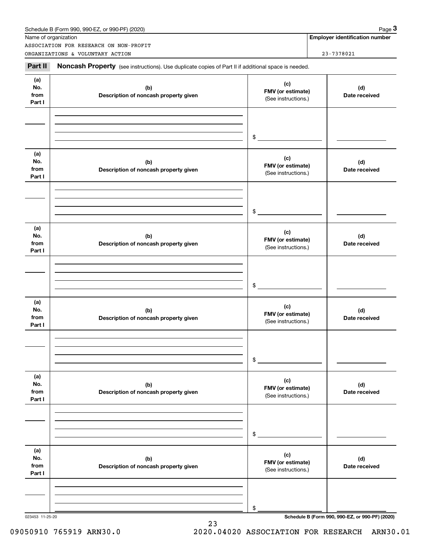|                              | Name of organization<br>ASSOCIATION FOR RESEARCH ON NON-PROFIT                                      |                                                 | <b>Employer identification number</b> |
|------------------------------|-----------------------------------------------------------------------------------------------------|-------------------------------------------------|---------------------------------------|
|                              | ORGANIZATIONS & VOLUNTARY ACTION                                                                    |                                                 | 23-7378021                            |
| Part II                      | Noncash Property (see instructions). Use duplicate copies of Part II if additional space is needed. |                                                 |                                       |
| (a)<br>No.<br>from<br>Part I | (b)<br>Description of noncash property given                                                        | (c)<br>FMV (or estimate)<br>(See instructions.) | (d)<br>Date received                  |
|                              |                                                                                                     | \$                                              |                                       |
| (a)<br>No.<br>from<br>Part I | (b)<br>Description of noncash property given                                                        | (c)<br>FMV (or estimate)<br>(See instructions.) | (d)<br>Date received                  |
|                              |                                                                                                     | \$                                              |                                       |
| (a)<br>No.<br>from<br>Part I | (b)<br>Description of noncash property given                                                        | (c)<br>FMV (or estimate)<br>(See instructions.) | (d)<br>Date received                  |
|                              |                                                                                                     | \$                                              |                                       |
| (a)<br>No.<br>from<br>Part I | (b)<br>Description of noncash property given                                                        | (c)<br>FMV (or estimate)<br>(See instructions.) | (d)<br>Date received                  |
|                              |                                                                                                     | \$                                              |                                       |
| (a)<br>No.<br>from<br>Part I | (b)<br>Description of noncash property given                                                        | (c)<br>FMV (or estimate)<br>(See instructions.) | (d)<br>Date received                  |
|                              |                                                                                                     | \$                                              |                                       |
| (a)<br>No.<br>from<br>Part I | (b)<br>Description of noncash property given                                                        | (c)<br>FMV (or estimate)<br>(See instructions.) | (d)<br>Date received                  |
|                              |                                                                                                     |                                                 |                                       |

23

023453 11-25-20 **Schedule B (Form 990, 990-EZ, or 990-PF) (2020)**

## 09050910 765919 ARN30.0 2020.04020 ASSOCIATION FOR RESEARCH ARN30.01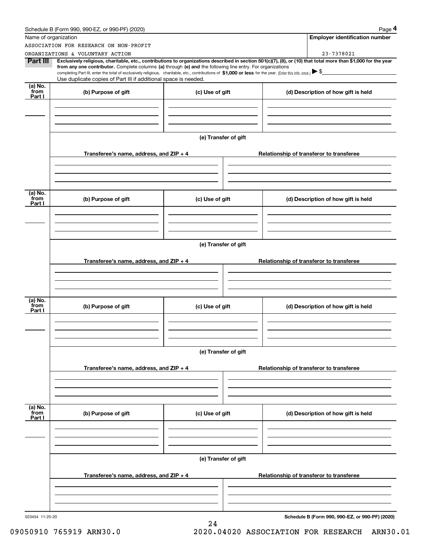|                           | Schedule B (Form 990, 990-EZ, or 990-PF) (2020)                                                                                                                                                                                                                              |                      |                                          | Page 4                                          |  |  |  |
|---------------------------|------------------------------------------------------------------------------------------------------------------------------------------------------------------------------------------------------------------------------------------------------------------------------|----------------------|------------------------------------------|-------------------------------------------------|--|--|--|
| Name of organization      |                                                                                                                                                                                                                                                                              |                      |                                          | <b>Employer identification number</b>           |  |  |  |
|                           | ASSOCIATION FOR RESEARCH ON NON-PROFIT                                                                                                                                                                                                                                       |                      |                                          |                                                 |  |  |  |
|                           | ORGANIZATIONS & VOLUNTARY ACTION                                                                                                                                                                                                                                             |                      |                                          | 23-7378021                                      |  |  |  |
| Part III                  | Exclusively religious, charitable, etc., contributions to organizations described in section 501(c)(7), (8), or (10) that total more than \$1,000 for the year<br>from any one contributor. Complete columns (a) through (e) and the following line entry. For organizations |                      |                                          |                                                 |  |  |  |
|                           | completing Part III, enter the total of exclusively religious, charitable, etc., contributions of \$1,000 or less for the year. (Enter this info. once.) \\$                                                                                                                 |                      |                                          |                                                 |  |  |  |
|                           | Use duplicate copies of Part III if additional space is needed.                                                                                                                                                                                                              |                      |                                          |                                                 |  |  |  |
| (a) No.<br>from<br>Part I | (b) Purpose of gift                                                                                                                                                                                                                                                          | (c) Use of gift      |                                          | (d) Description of how gift is held             |  |  |  |
|                           |                                                                                                                                                                                                                                                                              |                      |                                          |                                                 |  |  |  |
|                           |                                                                                                                                                                                                                                                                              |                      |                                          |                                                 |  |  |  |
|                           |                                                                                                                                                                                                                                                                              | (e) Transfer of gift |                                          |                                                 |  |  |  |
|                           |                                                                                                                                                                                                                                                                              |                      |                                          |                                                 |  |  |  |
|                           | Transferee's name, address, and $ZIP + 4$                                                                                                                                                                                                                                    |                      |                                          | Relationship of transferor to transferee        |  |  |  |
|                           |                                                                                                                                                                                                                                                                              |                      |                                          |                                                 |  |  |  |
|                           |                                                                                                                                                                                                                                                                              |                      |                                          |                                                 |  |  |  |
| (a) No.<br>from           | (b) Purpose of gift                                                                                                                                                                                                                                                          | (c) Use of gift      |                                          | (d) Description of how gift is held             |  |  |  |
| Part I                    |                                                                                                                                                                                                                                                                              |                      |                                          |                                                 |  |  |  |
|                           |                                                                                                                                                                                                                                                                              |                      |                                          |                                                 |  |  |  |
|                           |                                                                                                                                                                                                                                                                              |                      |                                          |                                                 |  |  |  |
|                           | (e) Transfer of gift                                                                                                                                                                                                                                                         |                      |                                          |                                                 |  |  |  |
|                           | Transferee's name, address, and ZIP + 4                                                                                                                                                                                                                                      |                      | Relationship of transferor to transferee |                                                 |  |  |  |
|                           |                                                                                                                                                                                                                                                                              |                      |                                          |                                                 |  |  |  |
|                           |                                                                                                                                                                                                                                                                              |                      |                                          |                                                 |  |  |  |
|                           |                                                                                                                                                                                                                                                                              |                      |                                          |                                                 |  |  |  |
| (a) No.<br>from<br>Part I | (b) Purpose of gift                                                                                                                                                                                                                                                          | (c) Use of gift      |                                          | (d) Description of how gift is held             |  |  |  |
|                           |                                                                                                                                                                                                                                                                              |                      |                                          |                                                 |  |  |  |
|                           |                                                                                                                                                                                                                                                                              |                      |                                          |                                                 |  |  |  |
|                           |                                                                                                                                                                                                                                                                              |                      |                                          |                                                 |  |  |  |
|                           | (e) Transfer of gift                                                                                                                                                                                                                                                         |                      |                                          |                                                 |  |  |  |
|                           | Transferee's name, address, and ZIP + 4                                                                                                                                                                                                                                      |                      |                                          | Relationship of transferor to transferee        |  |  |  |
|                           |                                                                                                                                                                                                                                                                              |                      |                                          |                                                 |  |  |  |
|                           |                                                                                                                                                                                                                                                                              |                      |                                          |                                                 |  |  |  |
| (a) No.<br>from           |                                                                                                                                                                                                                                                                              |                      |                                          |                                                 |  |  |  |
| Part I                    | (b) Purpose of gift                                                                                                                                                                                                                                                          | (c) Use of gift      |                                          | (d) Description of how gift is held             |  |  |  |
|                           |                                                                                                                                                                                                                                                                              |                      |                                          |                                                 |  |  |  |
|                           |                                                                                                                                                                                                                                                                              |                      |                                          |                                                 |  |  |  |
|                           | (e) Transfer of gift                                                                                                                                                                                                                                                         |                      |                                          |                                                 |  |  |  |
|                           |                                                                                                                                                                                                                                                                              |                      |                                          |                                                 |  |  |  |
|                           | Transferee's name, address, and $ZIP + 4$                                                                                                                                                                                                                                    |                      |                                          | Relationship of transferor to transferee        |  |  |  |
|                           |                                                                                                                                                                                                                                                                              |                      |                                          |                                                 |  |  |  |
|                           |                                                                                                                                                                                                                                                                              |                      |                                          |                                                 |  |  |  |
| 023454 11-25-20           |                                                                                                                                                                                                                                                                              |                      |                                          | Schedule B (Form 990, 990-EZ, or 990-PF) (2020) |  |  |  |
|                           |                                                                                                                                                                                                                                                                              | 24                   |                                          |                                                 |  |  |  |

# 09050910 765919 ARN30.0 2020.04020 ASSOCIATION FOR RESEARCH ARN30.01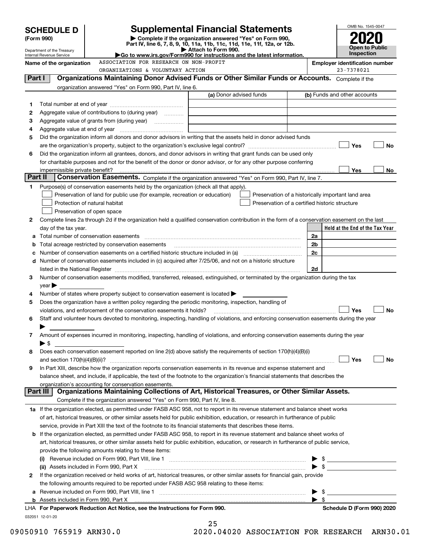|          | <b>SCHEDULE D</b>                                      |                                                                                                                                                                                                                               | <b>Supplemental Financial Statements</b>                                                        |                                                    |                | OMB No. 1545-0047                     |
|----------|--------------------------------------------------------|-------------------------------------------------------------------------------------------------------------------------------------------------------------------------------------------------------------------------------|-------------------------------------------------------------------------------------------------|----------------------------------------------------|----------------|---------------------------------------|
|          | (Form 990)                                             |                                                                                                                                                                                                                               | Complete if the organization answered "Yes" on Form 990,                                        |                                                    |                |                                       |
|          |                                                        |                                                                                                                                                                                                                               | Part IV, line 6, 7, 8, 9, 10, 11a, 11b, 11c, 11d, 11e, 11f, 12a, or 12b.<br>Attach to Form 990. |                                                    |                | Open to Public                        |
|          | Department of the Treasury<br>Internal Revenue Service | Go to www.irs.gov/Form990 for instructions and the latest information.                                                                                                                                                        |                                                                                                 |                                                    |                | <b>Inspection</b>                     |
|          | Name of the organization                               | ASSOCIATION FOR RESEARCH ON NON-PROFIT                                                                                                                                                                                        |                                                                                                 |                                                    |                | <b>Employer identification number</b> |
|          |                                                        | ORGANIZATIONS & VOLUNTARY ACTION                                                                                                                                                                                              |                                                                                                 |                                                    |                | 23-7378021                            |
| Part I   |                                                        | Organizations Maintaining Donor Advised Funds or Other Similar Funds or Accounts. Complete if the                                                                                                                             |                                                                                                 |                                                    |                |                                       |
|          |                                                        | organization answered "Yes" on Form 990, Part IV, line 6.                                                                                                                                                                     | (a) Donor advised funds                                                                         |                                                    |                | (b) Funds and other accounts          |
|          |                                                        |                                                                                                                                                                                                                               |                                                                                                 |                                                    |                |                                       |
| 1        |                                                        | Aggregate value of contributions to (during year)                                                                                                                                                                             |                                                                                                 |                                                    |                |                                       |
| 2<br>з   |                                                        |                                                                                                                                                                                                                               |                                                                                                 |                                                    |                |                                       |
| 4        |                                                        |                                                                                                                                                                                                                               |                                                                                                 |                                                    |                |                                       |
| 5        |                                                        | Did the organization inform all donors and donor advisors in writing that the assets held in donor advised funds                                                                                                              |                                                                                                 |                                                    |                |                                       |
|          |                                                        |                                                                                                                                                                                                                               |                                                                                                 |                                                    |                | Yes<br>No                             |
| 6        |                                                        | Did the organization inform all grantees, donors, and donor advisors in writing that grant funds can be used only                                                                                                             |                                                                                                 |                                                    |                |                                       |
|          |                                                        | for charitable purposes and not for the benefit of the donor or donor advisor, or for any other purpose conferring                                                                                                            |                                                                                                 |                                                    |                |                                       |
|          | impermissible private benefit?                         |                                                                                                                                                                                                                               |                                                                                                 |                                                    |                | Yes<br>No.                            |
| Part II  |                                                        | Conservation Easements. Complete if the organization answered "Yes" on Form 990, Part IV, line 7.                                                                                                                             |                                                                                                 |                                                    |                |                                       |
| 1.       |                                                        | Purpose(s) of conservation easements held by the organization (check all that apply).                                                                                                                                         |                                                                                                 |                                                    |                |                                       |
|          |                                                        | Preservation of land for public use (for example, recreation or education)                                                                                                                                                    |                                                                                                 | Preservation of a historically important land area |                |                                       |
|          |                                                        | Protection of natural habitat                                                                                                                                                                                                 |                                                                                                 | Preservation of a certified historic structure     |                |                                       |
|          |                                                        | Preservation of open space                                                                                                                                                                                                    |                                                                                                 |                                                    |                |                                       |
| 2        |                                                        | Complete lines 2a through 2d if the organization held a qualified conservation contribution in the form of a conservation easement on the last                                                                                |                                                                                                 |                                                    |                |                                       |
| а        | day of the tax year.                                   |                                                                                                                                                                                                                               |                                                                                                 |                                                    | 2a             | Held at the End of the Tax Year       |
| b        |                                                        | Total acreage restricted by conservation easements                                                                                                                                                                            |                                                                                                 |                                                    | 2 <sub>b</sub> |                                       |
|          |                                                        | Number of conservation easements on a certified historic structure included in (a) manufacture included in (a)                                                                                                                |                                                                                                 |                                                    | 2 <sub>c</sub> |                                       |
|          |                                                        | d Number of conservation easements included in (c) acquired after 7/25/06, and not on a historic structure                                                                                                                    |                                                                                                 |                                                    |                |                                       |
|          |                                                        | listed in the National Register [111] Marshall Register [11] Marshall Register [11] Marshall Register [11] Marshall Register [11] Marshall Register [11] Marshall Register [11] Marshall Register [11] Marshall Register [11] |                                                                                                 |                                                    | 2d             |                                       |
| 3        |                                                        | Number of conservation easements modified, transferred, released, extinguished, or terminated by the organization during the tax                                                                                              |                                                                                                 |                                                    |                |                                       |
|          | vear                                                   |                                                                                                                                                                                                                               |                                                                                                 |                                                    |                |                                       |
| 4        |                                                        | Number of states where property subject to conservation easement is located >                                                                                                                                                 |                                                                                                 |                                                    |                |                                       |
| 5        |                                                        | Does the organization have a written policy regarding the periodic monitoring, inspection, handling of                                                                                                                        |                                                                                                 |                                                    |                |                                       |
|          |                                                        | violations, and enforcement of the conservation easements it holds?                                                                                                                                                           |                                                                                                 |                                                    |                | Yes<br>No                             |
| 6        |                                                        | Staff and volunteer hours devoted to monitoring, inspecting, handling of violations, and enforcing conservation easements during the year                                                                                     |                                                                                                 |                                                    |                |                                       |
|          |                                                        |                                                                                                                                                                                                                               |                                                                                                 |                                                    |                |                                       |
| 7        |                                                        | Amount of expenses incurred in monitoring, inspecting, handling of violations, and enforcing conservation easements during the year                                                                                           |                                                                                                 |                                                    |                |                                       |
|          | $\blacktriangleright$ \$                               |                                                                                                                                                                                                                               |                                                                                                 |                                                    |                |                                       |
| 8        |                                                        | Does each conservation easement reported on line 2(d) above satisfy the requirements of section 170(h)(4)(B)(i)                                                                                                               |                                                                                                 |                                                    |                | Yes                                   |
| 9        |                                                        | In Part XIII, describe how the organization reports conservation easements in its revenue and expense statement and                                                                                                           |                                                                                                 |                                                    |                | No                                    |
|          |                                                        | balance sheet, and include, if applicable, the text of the footnote to the organization's financial statements that describes the                                                                                             |                                                                                                 |                                                    |                |                                       |
|          |                                                        | organization's accounting for conservation easements.                                                                                                                                                                         |                                                                                                 |                                                    |                |                                       |
| Part III |                                                        | Organizations Maintaining Collections of Art, Historical Treasures, or Other Similar Assets.                                                                                                                                  |                                                                                                 |                                                    |                |                                       |
|          |                                                        | Complete if the organization answered "Yes" on Form 990, Part IV, line 8.                                                                                                                                                     |                                                                                                 |                                                    |                |                                       |
|          |                                                        | 1a If the organization elected, as permitted under FASB ASC 958, not to report in its revenue statement and balance sheet works                                                                                               |                                                                                                 |                                                    |                |                                       |
|          |                                                        | of art, historical treasures, or other similar assets held for public exhibition, education, or research in furtherance of public                                                                                             |                                                                                                 |                                                    |                |                                       |
|          |                                                        | service, provide in Part XIII the text of the footnote to its financial statements that describes these items.                                                                                                                |                                                                                                 |                                                    |                |                                       |
|          |                                                        | <b>b</b> If the organization elected, as permitted under FASB ASC 958, to report in its revenue statement and balance sheet works of                                                                                          |                                                                                                 |                                                    |                |                                       |
|          |                                                        | art, historical treasures, or other similar assets held for public exhibition, education, or research in furtherance of public service,                                                                                       |                                                                                                 |                                                    |                |                                       |
|          |                                                        | provide the following amounts relating to these items:                                                                                                                                                                        |                                                                                                 |                                                    |                |                                       |
|          | $\left( 1\right)$                                      | Revenue included on Form 990, Part VIII, line 1 [2000] [2000] [2000] [2000] [2000] [2000] [2000] [2000] [2000                                                                                                                 |                                                                                                 |                                                    |                |                                       |
|          |                                                        | (ii) Assets included in Form 990, Part X                                                                                                                                                                                      |                                                                                                 |                                                    |                | $\bullet$ \$                          |
| 2        |                                                        | If the organization received or held works of art, historical treasures, or other similar assets for financial gain, provide                                                                                                  |                                                                                                 |                                                    |                |                                       |
|          |                                                        | the following amounts required to be reported under FASB ASC 958 relating to these items:                                                                                                                                     |                                                                                                 |                                                    |                |                                       |
| а        |                                                        |                                                                                                                                                                                                                               |                                                                                                 |                                                    | \$             |                                       |
|          |                                                        |                                                                                                                                                                                                                               |                                                                                                 |                                                    |                |                                       |
|          |                                                        | LHA For Paperwork Reduction Act Notice, see the Instructions for Form 990.                                                                                                                                                    |                                                                                                 |                                                    |                | Schedule D (Form 990) 2020            |
|          | 032051 12-01-20                                        |                                                                                                                                                                                                                               | っに                                                                                              |                                                    |                |                                       |

| ر ہے |  |  |  |              |  |
|------|--|--|--|--------------|--|
|      |  |  |  | 0 01020 1001 |  |

09050910 765919 ARN30.0 2020.04020 ASSOCIATION FOR RESEARCH ARN30.01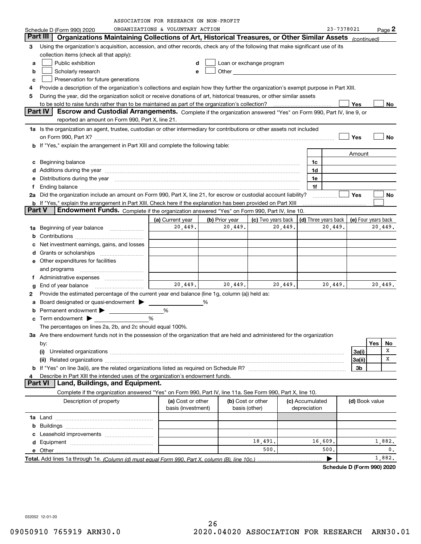|               |                                                                                                                                                                                                                                                                                                                                        | ASSOCIATION FOR RESEARCH ON NON-PROFIT |                |                                                                                                                                                                                                                                     |         |                                              |            |                |     |         |
|---------------|----------------------------------------------------------------------------------------------------------------------------------------------------------------------------------------------------------------------------------------------------------------------------------------------------------------------------------------|----------------------------------------|----------------|-------------------------------------------------------------------------------------------------------------------------------------------------------------------------------------------------------------------------------------|---------|----------------------------------------------|------------|----------------|-----|---------|
|               | Schedule D (Form 990) 2020                                                                                                                                                                                                                                                                                                             | ORGANIZATIONS & VOLUNTARY ACTION       |                |                                                                                                                                                                                                                                     |         |                                              | 23-7378021 |                |     | Page 2  |
|               | Part III<br>Organizations Maintaining Collections of Art, Historical Treasures, or Other Similar Assets (continued)                                                                                                                                                                                                                    |                                        |                |                                                                                                                                                                                                                                     |         |                                              |            |                |     |         |
| 3             | Using the organization's acquisition, accession, and other records, check any of the following that make significant use of its                                                                                                                                                                                                        |                                        |                |                                                                                                                                                                                                                                     |         |                                              |            |                |     |         |
|               | collection items (check all that apply):                                                                                                                                                                                                                                                                                               |                                        |                |                                                                                                                                                                                                                                     |         |                                              |            |                |     |         |
| a             | Public exhibition                                                                                                                                                                                                                                                                                                                      | d                                      |                | Loan or exchange program                                                                                                                                                                                                            |         |                                              |            |                |     |         |
| b             | Scholarly research                                                                                                                                                                                                                                                                                                                     | e                                      |                | Other <b>Community</b> Change of the Community of the Community of the Community of the Community of the Community of the Community of the Community of the Community of the Community of the Community of the Community of the Com |         |                                              |            |                |     |         |
| c             | Preservation for future generations                                                                                                                                                                                                                                                                                                    |                                        |                |                                                                                                                                                                                                                                     |         |                                              |            |                |     |         |
| 4             | Provide a description of the organization's collections and explain how they further the organization's exempt purpose in Part XIII.                                                                                                                                                                                                   |                                        |                |                                                                                                                                                                                                                                     |         |                                              |            |                |     |         |
| 5             | During the year, did the organization solicit or receive donations of art, historical treasures, or other similar assets                                                                                                                                                                                                               |                                        |                |                                                                                                                                                                                                                                     |         |                                              |            |                |     |         |
|               | to be sold to raise funds rather than to be maintained as part of the organization's collection?                                                                                                                                                                                                                                       |                                        |                |                                                                                                                                                                                                                                     |         |                                              |            | Yes            |     | No      |
|               | Part IV<br>Escrow and Custodial Arrangements. Complete if the organization answered "Yes" on Form 990, Part IV, line 9, or                                                                                                                                                                                                             |                                        |                |                                                                                                                                                                                                                                     |         |                                              |            |                |     |         |
|               | reported an amount on Form 990, Part X, line 21.                                                                                                                                                                                                                                                                                       |                                        |                |                                                                                                                                                                                                                                     |         |                                              |            |                |     |         |
|               |                                                                                                                                                                                                                                                                                                                                        |                                        |                |                                                                                                                                                                                                                                     |         |                                              |            |                |     |         |
|               | 1a Is the organization an agent, trustee, custodian or other intermediary for contributions or other assets not included                                                                                                                                                                                                               |                                        |                |                                                                                                                                                                                                                                     |         |                                              |            |                |     |         |
|               |                                                                                                                                                                                                                                                                                                                                        |                                        |                |                                                                                                                                                                                                                                     |         |                                              |            | Yes            |     | No      |
|               | b If "Yes," explain the arrangement in Part XIII and complete the following table:                                                                                                                                                                                                                                                     |                                        |                |                                                                                                                                                                                                                                     |         |                                              |            |                |     |         |
|               |                                                                                                                                                                                                                                                                                                                                        |                                        |                |                                                                                                                                                                                                                                     |         |                                              |            | Amount         |     |         |
| с             | Beginning balance <b>contract the contract of the contract of the contract of the contract of the contract of the contract of the contract of the contract of the contract of the contract of the contract of the contract of th</b>                                                                                                   |                                        |                |                                                                                                                                                                                                                                     |         | 1c                                           |            |                |     |         |
| d             | Additions during the year manufactured and an account of the state of the state of the state of the state of the state of the state of the state of the state of the state of the state of the state of the state of the state                                                                                                         |                                        |                |                                                                                                                                                                                                                                     |         | 1d                                           |            |                |     |         |
| е             | Distributions during the year manufactured and continuum control of the year manufactured and control of the year manufactured and control of the year manufactured and control of the year manufactured and control of the ye                                                                                                         |                                        |                |                                                                                                                                                                                                                                     |         | 1e                                           |            |                |     |         |
| f             |                                                                                                                                                                                                                                                                                                                                        |                                        |                |                                                                                                                                                                                                                                     |         | 1f                                           |            |                |     |         |
|               | 2a Did the organization include an amount on Form 990, Part X, line 21, for escrow or custodial account liability?                                                                                                                                                                                                                     |                                        |                |                                                                                                                                                                                                                                     |         |                                              |            | Yes            |     | No      |
|               | <b>b</b> If "Yes," explain the arrangement in Part XIII. Check here if the explanation has been provided on Part XIII                                                                                                                                                                                                                  |                                        |                |                                                                                                                                                                                                                                     |         |                                              |            |                |     |         |
| <b>Part V</b> | Endowment Funds. Complete if the organization answered "Yes" on Form 990, Part IV, line 10.                                                                                                                                                                                                                                            |                                        |                |                                                                                                                                                                                                                                     |         |                                              |            |                |     |         |
|               |                                                                                                                                                                                                                                                                                                                                        | (a) Current year                       | (b) Prior year | (c) Two years back                                                                                                                                                                                                                  |         | (d) Three years back $ $ (e) Four years back |            |                |     |         |
| 1a            | Beginning of year balance                                                                                                                                                                                                                                                                                                              | 20,449.                                | 20,449.        |                                                                                                                                                                                                                                     | 20,449. | 20,449.                                      |            |                |     | 20,449. |
| b             |                                                                                                                                                                                                                                                                                                                                        |                                        |                |                                                                                                                                                                                                                                     |         |                                              |            |                |     |         |
| c             | Net investment earnings, gains, and losses                                                                                                                                                                                                                                                                                             |                                        |                |                                                                                                                                                                                                                                     |         |                                              |            |                |     |         |
| d             | Grants or scholarships                                                                                                                                                                                                                                                                                                                 |                                        |                |                                                                                                                                                                                                                                     |         |                                              |            |                |     |         |
|               | <b>e</b> Other expenditures for facilities                                                                                                                                                                                                                                                                                             |                                        |                |                                                                                                                                                                                                                                     |         |                                              |            |                |     |         |
|               | and programs                                                                                                                                                                                                                                                                                                                           |                                        |                |                                                                                                                                                                                                                                     |         |                                              |            |                |     |         |
|               |                                                                                                                                                                                                                                                                                                                                        |                                        |                |                                                                                                                                                                                                                                     |         |                                              |            |                |     |         |
|               |                                                                                                                                                                                                                                                                                                                                        | 20,449.                                | 20,449.        |                                                                                                                                                                                                                                     | 20,449. | 20,449.                                      |            |                |     | 20,449. |
| g             | End of year balance                                                                                                                                                                                                                                                                                                                    |                                        |                |                                                                                                                                                                                                                                     |         |                                              |            |                |     |         |
| 2             | Provide the estimated percentage of the current year end balance (line 1g, column (a)) held as:                                                                                                                                                                                                                                        |                                        |                |                                                                                                                                                                                                                                     |         |                                              |            |                |     |         |
| a             | Board designated or quasi-endowment >                                                                                                                                                                                                                                                                                                  |                                        | %              |                                                                                                                                                                                                                                     |         |                                              |            |                |     |         |
| b             |                                                                                                                                                                                                                                                                                                                                        | %                                      |                |                                                                                                                                                                                                                                     |         |                                              |            |                |     |         |
|               | Term endowment $\begin{picture}(180,170)(0,0) \put(0,0){\line(1,0){10}} \put(150,0){\line(1,0){10}} \put(150,0){\line(1,0){10}} \put(150,0){\line(1,0){10}} \put(150,0){\line(1,0){10}} \put(150,0){\line(1,0){10}} \put(150,0){\line(1,0){10}} \put(150,0){\line(1,0){10}} \put(150,0){\line(1,0){10}} \put(150,0){\line(1,0){10}} \$ | %                                      |                |                                                                                                                                                                                                                                     |         |                                              |            |                |     |         |
|               | The percentages on lines 2a, 2b, and 2c should equal 100%.                                                                                                                                                                                                                                                                             |                                        |                |                                                                                                                                                                                                                                     |         |                                              |            |                |     |         |
|               | 3a Are there endowment funds not in the possession of the organization that are held and administered for the organization                                                                                                                                                                                                             |                                        |                |                                                                                                                                                                                                                                     |         |                                              |            |                |     |         |
|               | by:                                                                                                                                                                                                                                                                                                                                    |                                        |                |                                                                                                                                                                                                                                     |         |                                              |            |                | Yes | No      |
|               |                                                                                                                                                                                                                                                                                                                                        |                                        |                |                                                                                                                                                                                                                                     |         |                                              |            | 3a(i)          |     | х       |
|               | (ii) Related organizations <b>constructions</b> and construction of the construction of the construction of the construction of the construction of the construction of the construction of the construction of the construction of                                                                                                    |                                        |                |                                                                                                                                                                                                                                     |         |                                              |            | 3a(ii)         |     | Χ       |
|               |                                                                                                                                                                                                                                                                                                                                        |                                        |                |                                                                                                                                                                                                                                     |         |                                              |            | 3b             |     |         |
| 4             | Describe in Part XIII the intended uses of the organization's endowment funds.                                                                                                                                                                                                                                                         |                                        |                |                                                                                                                                                                                                                                     |         |                                              |            |                |     |         |
|               | Land, Buildings, and Equipment.<br><b>Part VI</b>                                                                                                                                                                                                                                                                                      |                                        |                |                                                                                                                                                                                                                                     |         |                                              |            |                |     |         |
|               | Complete if the organization answered "Yes" on Form 990, Part IV, line 11a. See Form 990, Part X, line 10.                                                                                                                                                                                                                             |                                        |                |                                                                                                                                                                                                                                     |         |                                              |            |                |     |         |
|               | Description of property                                                                                                                                                                                                                                                                                                                | (a) Cost or other                      |                | (b) Cost or other                                                                                                                                                                                                                   |         | (c) Accumulated                              |            | (d) Book value |     |         |
|               |                                                                                                                                                                                                                                                                                                                                        | basis (investment)                     |                | basis (other)                                                                                                                                                                                                                       |         | depreciation                                 |            |                |     |         |
|               |                                                                                                                                                                                                                                                                                                                                        |                                        |                |                                                                                                                                                                                                                                     |         |                                              |            |                |     |         |
|               |                                                                                                                                                                                                                                                                                                                                        |                                        |                |                                                                                                                                                                                                                                     |         |                                              |            |                |     |         |
|               |                                                                                                                                                                                                                                                                                                                                        |                                        |                |                                                                                                                                                                                                                                     |         |                                              |            |                |     |         |
|               |                                                                                                                                                                                                                                                                                                                                        |                                        |                |                                                                                                                                                                                                                                     |         |                                              |            |                |     |         |
|               |                                                                                                                                                                                                                                                                                                                                        |                                        |                | 18,491.                                                                                                                                                                                                                             |         | 16,609.                                      |            |                |     | 1,882.  |
|               |                                                                                                                                                                                                                                                                                                                                        |                                        |                | 500.                                                                                                                                                                                                                                |         | 500.                                         |            |                |     | 0.      |
|               | Total. Add lines 1a through 1e. (Column (d) must equal Form 990. Part X. column (B). line 10c.)                                                                                                                                                                                                                                        |                                        |                |                                                                                                                                                                                                                                     |         | ▶                                            |            |                |     | 1,882.  |

**Schedule D (Form 990) 2020**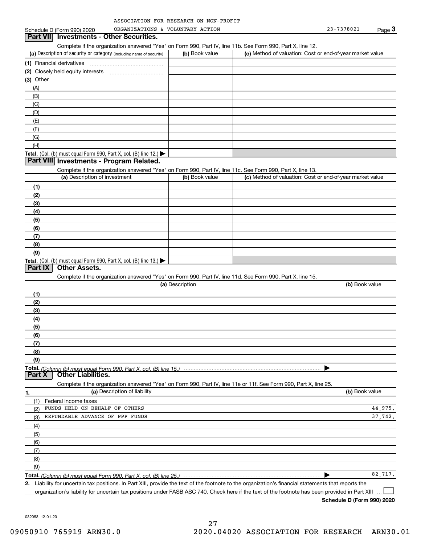| ASSOCIATION FOR RESEARCH ON NON-PROFIT |  |  |
|----------------------------------------|--|--|
|                                        |  |  |

|             | Schedule D (Form 990) 2020                                                                                        | ORGANIZATIONS & VOLUNTARY ACTION |                                                           | 23-7378021     | Page $3$ |
|-------------|-------------------------------------------------------------------------------------------------------------------|----------------------------------|-----------------------------------------------------------|----------------|----------|
|             | Part VII Investments - Other Securities.                                                                          |                                  |                                                           |                |          |
|             | Complete if the organization answered "Yes" on Form 990, Part IV, line 11b. See Form 990, Part X, line 12.        |                                  |                                                           |                |          |
|             | (a) Description of security or category (including name of security)                                              | (b) Book value                   | (c) Method of valuation: Cost or end-of-year market value |                |          |
|             |                                                                                                                   |                                  |                                                           |                |          |
|             |                                                                                                                   |                                  |                                                           |                |          |
| $(3)$ Other |                                                                                                                   |                                  |                                                           |                |          |
| (A)         |                                                                                                                   |                                  |                                                           |                |          |
| (B)         |                                                                                                                   |                                  |                                                           |                |          |
| (C)         |                                                                                                                   |                                  |                                                           |                |          |
| (D)         |                                                                                                                   |                                  |                                                           |                |          |
| (E)         |                                                                                                                   |                                  |                                                           |                |          |
| (F)         |                                                                                                                   |                                  |                                                           |                |          |
| (G)         |                                                                                                                   |                                  |                                                           |                |          |
| (H)         |                                                                                                                   |                                  |                                                           |                |          |
|             | Total. (Col. (b) must equal Form 990, Part X, col. (B) line 12.) $\blacktriangleright$                            |                                  |                                                           |                |          |
|             | Part VIII Investments - Program Related.                                                                          |                                  |                                                           |                |          |
|             | Complete if the organization answered "Yes" on Form 990, Part IV, line 11c. See Form 990, Part X, line 13.        |                                  |                                                           |                |          |
|             | (a) Description of investment                                                                                     | (b) Book value                   | (c) Method of valuation: Cost or end-of-year market value |                |          |
| (1)         |                                                                                                                   |                                  |                                                           |                |          |
| (2)         |                                                                                                                   |                                  |                                                           |                |          |
| (3)         |                                                                                                                   |                                  |                                                           |                |          |
| (4)         |                                                                                                                   |                                  |                                                           |                |          |
| (5)         |                                                                                                                   |                                  |                                                           |                |          |
| (6)         |                                                                                                                   |                                  |                                                           |                |          |
| (7)         |                                                                                                                   |                                  |                                                           |                |          |
| (8)         |                                                                                                                   |                                  |                                                           |                |          |
| (9)         |                                                                                                                   |                                  |                                                           |                |          |
|             | Total. (Col. (b) must equal Form 990, Part X, col. (B) line 13.)                                                  |                                  |                                                           |                |          |
| Part IX     | <b>Other Assets.</b>                                                                                              |                                  |                                                           |                |          |
|             | Complete if the organization answered "Yes" on Form 990, Part IV, line 11d. See Form 990, Part X, line 15.        |                                  |                                                           |                |          |
|             |                                                                                                                   | (a) Description                  |                                                           | (b) Book value |          |
| (1)         |                                                                                                                   |                                  |                                                           |                |          |
| (2)         |                                                                                                                   |                                  |                                                           |                |          |
| (3)         |                                                                                                                   |                                  |                                                           |                |          |
| (4)         |                                                                                                                   |                                  |                                                           |                |          |
| (5)         |                                                                                                                   |                                  |                                                           |                |          |
| (6)         |                                                                                                                   |                                  |                                                           |                |          |
| (7)         |                                                                                                                   |                                  |                                                           |                |          |
| (8)         |                                                                                                                   |                                  |                                                           |                |          |
| (9)         |                                                                                                                   |                                  |                                                           |                |          |
| Part X      | <b>Other Liabilities.</b>                                                                                         |                                  |                                                           |                |          |
|             | Complete if the organization answered "Yes" on Form 990, Part IV, line 11e or 11f. See Form 990, Part X, line 25. |                                  |                                                           |                |          |
| 1.          | (a) Description of liability                                                                                      |                                  |                                                           | (b) Book value |          |
| (1)         | Federal income taxes                                                                                              |                                  |                                                           |                |          |
| (2)         | FUNDS HELD ON BEHALF OF OTHERS                                                                                    |                                  |                                                           |                | 44,975.  |
| (3)         | REFUNDABLE ADVANCE OF PPP FUNDS                                                                                   |                                  |                                                           |                | 37.742.  |
| (4)         |                                                                                                                   |                                  |                                                           |                |          |
| (5)         |                                                                                                                   |                                  |                                                           |                |          |
| (6)         |                                                                                                                   |                                  |                                                           |                |          |
| (7)         |                                                                                                                   |                                  |                                                           |                |          |
| (8)         |                                                                                                                   |                                  |                                                           |                |          |
| (9)         |                                                                                                                   |                                  |                                                           |                |          |
|             |                                                                                                                   |                                  |                                                           |                | 82,717.  |
|             | Total. (Column (b) must equal Form 990. Part X, col. (B) line 25.)                                                |                                  |                                                           |                |          |

**2.** Liability for uncertain tax positions. In Part XIII, provide the text of the footnote to the organization's financial statements that reports the organization's liability for uncertain tax positions under FASB ASC 740. Check here if the text of the footnote has been provided in Part XIII

**Schedule D (Form 990) 2020**

 $\mathcal{L}^{\text{max}}$ 

032053 12-01-20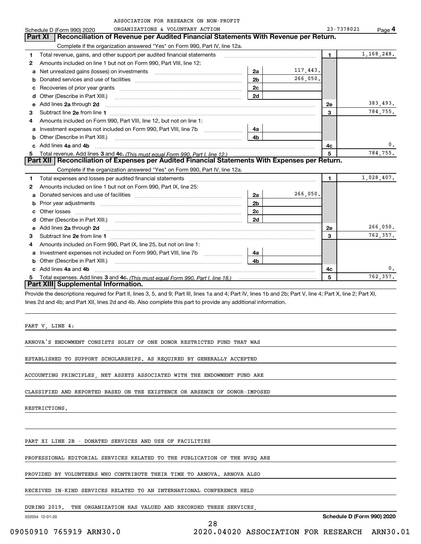|    | ASSOCIATION FOR RESEARCH ON NON-PROFIT                                                                                                                                                                                             |                |          |                |            |
|----|------------------------------------------------------------------------------------------------------------------------------------------------------------------------------------------------------------------------------------|----------------|----------|----------------|------------|
|    | ORGANIZATIONS & VOLUNTARY ACTION<br>Schedule D (Form 990) 2020                                                                                                                                                                     |                |          | 23-7378021     | Page 4     |
|    | Part XI<br>Reconciliation of Revenue per Audited Financial Statements With Revenue per Return.                                                                                                                                     |                |          |                |            |
|    | Complete if the organization answered "Yes" on Form 990, Part IV, line 12a.                                                                                                                                                        |                |          |                |            |
| 1  | Total revenue, gains, and other support per audited financial statements                                                                                                                                                           |                |          | $\blacksquare$ | 1,168,248. |
| 2  | Amounts included on line 1 but not on Form 990, Part VIII, line 12:                                                                                                                                                                |                |          |                |            |
| a  | Net unrealized gains (losses) on investments [11] matter contracts and the unrealized gains (losses) on investments                                                                                                                | 2a             | 117,443. |                |            |
| b  |                                                                                                                                                                                                                                    | 2 <sub>b</sub> | 266,050. |                |            |
| с  |                                                                                                                                                                                                                                    | 2c             |          |                |            |
|    | Other (Describe in Part XIII.)                                                                                                                                                                                                     | 2d             |          |                |            |
| е  | Add lines 2a through 2d                                                                                                                                                                                                            |                |          | 2e             | 383,493.   |
| 3  | Subtract line 2e from line 1                                                                                                                                                                                                       |                |          | 3              | 784,755.   |
| 4  | Amounts included on Form 990, Part VIII, line 12, but not on line 1:                                                                                                                                                               |                |          |                |            |
| a  | Investment expenses not included on Form 990, Part VIII, line 7b [1000000000000000000000000000000000                                                                                                                               | 4a             |          |                |            |
| b  | Other (Describe in Part XIII.)                                                                                                                                                                                                     | 4b             |          |                |            |
| C. | Add lines 4a and 4b                                                                                                                                                                                                                |                |          | 4с             | 0.         |
|    |                                                                                                                                                                                                                                    |                |          | 5              | 784,755.   |
|    | Part XII   Reconciliation of Expenses per Audited Financial Statements With Expenses per Return.                                                                                                                                   |                |          |                |            |
|    | Complete if the organization answered "Yes" on Form 990, Part IV, line 12a.                                                                                                                                                        |                |          |                |            |
| 1  | Total expenses and losses per audited financial statements                                                                                                                                                                         |                |          | $\blacksquare$ | 1,028,407. |
| 2  | Amounts included on line 1 but not on Form 990, Part IX, line 25:                                                                                                                                                                  |                |          |                |            |
| a  |                                                                                                                                                                                                                                    | 2a             | 266.050. |                |            |
| b  | Prior year adjustments [111] Prior year adjustments [11] measure material measurements [11] measurements and t                                                                                                                     | 2b             |          |                |            |
| c  |                                                                                                                                                                                                                                    | 2 <sub>c</sub> |          |                |            |
| d  |                                                                                                                                                                                                                                    | 2d             |          |                |            |
| е  | Add lines 2a through 2d <b>contained a contained a contained a contained a</b> contained a contained a contained a contained a contained a contact a contact a contact a contact a contact a contact a contact a contact a contact |                |          | <b>2e</b>      | 266,050.   |
| 3  |                                                                                                                                                                                                                                    |                |          | 3              | 762,357.   |
| 4  | Amounts included on Form 990, Part IX, line 25, but not on line 1:                                                                                                                                                                 |                |          |                |            |
| a  |                                                                                                                                                                                                                                    | 4a             |          |                |            |
| b  | Other (Describe in Part XIII.)                                                                                                                                                                                                     | 4 <sub>b</sub> |          |                |            |
|    | Add lines 4a and 4b                                                                                                                                                                                                                |                |          | 4c             | 0.         |
| 5  |                                                                                                                                                                                                                                    |                |          | 5              | 762,357.   |
|    | Part XIII Supplemental Information.                                                                                                                                                                                                |                |          |                |            |
|    | <u>is a sure of top there is the there is to put to the twe</u> op the                                                                                                                                                             |                |          |                |            |

Provide the descriptions required for Part II, lines 3, 5, and 9; Part III, lines 1a and 4; Part IV, lines 1b and 2b; Part V, line 4; Part X, line 2; Part XI, lines 2d and 4b; and Part XII, lines 2d and 4b. Also complete this part to provide any additional information.

PART V, LINE 4:

ARNOVA'S ENDOWMENT CONSISTS SOLEY OF ONE DONOR RESTRICTED FUND THAT WAS

ESTABLISHED TO SUPPORT SCHOLARSHIPS. AS REQUIRED BY GENERALLY ACCEPTED

ACCOUNTING PRINCIPLES, NET ASSETS ASSOCIATED WITH THE ENDOWMENT FUND ARE

CLASSIFIED AND REPORTED BASED ON THE EXISTENCE OR ABSENCE OF DONOR-IMPOSED

RESTRICTIONS.

PART XI LINE 2B - DONATED SERVICES AND USE OF FACILITIES

PROFESSIONAL EDITORIAL SERVICES RELATED TO THE PUBLICATION OF THE NVSQ ARE

PROVIDED BY VOLUNTEERS WHO CONTRIBUTE THEIR TIME TO ARNOVA. ARNOVA ALSO

RECEIVED IN-KIND SERVICES RELATED TO AN INTERNATIONAL CONFERENCE HELD

DURING 2019. THE ORGANIZATION HAS VALUED AND RECORDED THESE SERVICES,

032054 12-01-20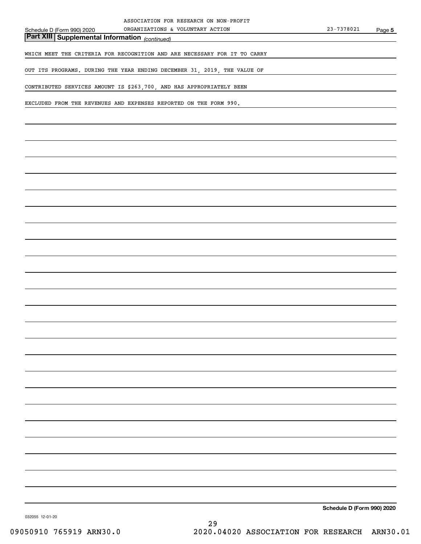*(continued)* **Part XIII Supplemental Information** 

WHICH MEET THE CRITERIA FOR RECOGNITION AND ARE NECESSARY FOR IT TO CARRY

OUT ITS PROGRAMS. DURING THE YEAR ENDING DECEMBER 31, 2019, THE VALUE OF

CONTRIBUTED SERVICES AMOUNT IS \$263,700, AND HAS APPROPRIATELY BEEN

EXCLUDED FROM THE REVENUES AND EXPENSES REPORTED ON THE FORM 990.

**Schedule D (Form 990) 2020**

032055 12-01-20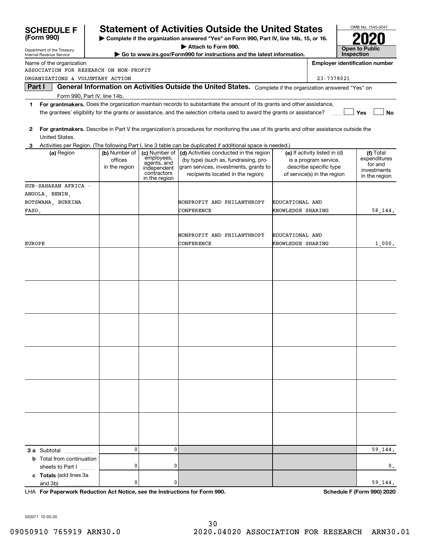| <b>SCHEDULE F</b>                                                                                    |               |                              | <b>Statement of Activities Outside the United States</b>                                                                                |                   |                               |            | OMB No. 1545-0047                     |
|------------------------------------------------------------------------------------------------------|---------------|------------------------------|-----------------------------------------------------------------------------------------------------------------------------------------|-------------------|-------------------------------|------------|---------------------------------------|
| (Form 990)<br>Complete if the organization answered "Yes" on Form 990, Part IV, line 14b, 15, or 16. |               |                              |                                                                                                                                         |                   |                               |            |                                       |
| Department of the Treasury                                                                           |               |                              | Attach to Form 990.                                                                                                                     |                   |                               |            | <b>Open to Public</b>                 |
| Internal Revenue Service                                                                             |               |                              | Go to www.irs.gov/Form990 for instructions and the latest information.                                                                  |                   |                               | Inspection |                                       |
| Name of the organization                                                                             |               |                              |                                                                                                                                         |                   |                               |            | <b>Employer identification number</b> |
| ASSOCIATION FOR RESEARCH ON NON-PROFIT                                                               |               |                              |                                                                                                                                         |                   |                               |            |                                       |
| ORGANIZATIONS & VOLUNTARY ACTION<br>Part I                                                           |               |                              | General Information on Activities Outside the United States. Complete if the organization answered "Yes" on                             |                   | 23-7378021                    |            |                                       |
| Form 990, Part IV, line 14b.                                                                         |               |                              |                                                                                                                                         |                   |                               |            |                                       |
| 1.                                                                                                   |               |                              | For grantmakers. Does the organization maintain records to substantiate the amount of its grants and other assistance,                  |                   |                               |            |                                       |
|                                                                                                      |               |                              | the grantees' eligibility for the grants or assistance, and the selection criteria used to award the grants or assistance?              |                   |                               |            | Yes<br>No                             |
| 2<br>United States.                                                                                  |               |                              | For grantmakers. Describe in Part V the organization's procedures for monitoring the use of its grants and other assistance outside the |                   |                               |            |                                       |
|                                                                                                      |               |                              | Activities per Region. (The following Part I, line 3 table can be duplicated if additional space is needed.)                            |                   |                               |            |                                       |
| (a) Region                                                                                           | (b) Number of | (c) Number of                | (d) Activities conducted in the region                                                                                                  |                   | (e) If activity listed in (d) |            | (f) Total                             |
|                                                                                                      | offices       | employees,<br>agents, and    | (by type) (such as, fundraising, pro-                                                                                                   |                   | is a program service,         |            | expenditures                          |
|                                                                                                      | in the region | independent                  | gram services, investments, grants to                                                                                                   |                   | describe specific type        |            | for and<br>investments                |
|                                                                                                      |               | contractors<br>in the region | recipients located in the region)                                                                                                       |                   | of service(s) in the region   |            | in the region                         |
| SUB-SAHARAN AFRICA -                                                                                 |               |                              |                                                                                                                                         |                   |                               |            |                                       |
| ANGOLA, BENIN,                                                                                       |               |                              |                                                                                                                                         |                   |                               |            |                                       |
| BOTSWANA, BURKINA                                                                                    |               |                              | NONPROFIT AND PHILANTHROPY                                                                                                              | EDUCATIONAL AND   |                               |            |                                       |
| FASO,                                                                                                |               |                              | CONFERENCE                                                                                                                              | KNOWLEDGE SHARING |                               |            | 58,144.                               |
|                                                                                                      |               |                              |                                                                                                                                         |                   |                               |            |                                       |
|                                                                                                      |               |                              |                                                                                                                                         |                   |                               |            |                                       |
|                                                                                                      |               |                              | NONPROFIT AND PHILANTHROPY                                                                                                              | EDUCATIONAL AND   |                               |            |                                       |
| <b>EUROPE</b>                                                                                        |               |                              | CONFERENCE                                                                                                                              | KNOWLEDGE SHARING |                               |            | 1,000.                                |
|                                                                                                      |               |                              |                                                                                                                                         |                   |                               |            |                                       |
|                                                                                                      |               |                              |                                                                                                                                         |                   |                               |            |                                       |
|                                                                                                      |               |                              |                                                                                                                                         |                   |                               |            |                                       |
|                                                                                                      |               |                              |                                                                                                                                         |                   |                               |            |                                       |
|                                                                                                      |               |                              |                                                                                                                                         |                   |                               |            |                                       |
|                                                                                                      |               |                              |                                                                                                                                         |                   |                               |            |                                       |
|                                                                                                      |               |                              |                                                                                                                                         |                   |                               |            |                                       |
|                                                                                                      |               |                              |                                                                                                                                         |                   |                               |            |                                       |
|                                                                                                      |               |                              |                                                                                                                                         |                   |                               |            |                                       |
|                                                                                                      |               |                              |                                                                                                                                         |                   |                               |            |                                       |
|                                                                                                      |               |                              |                                                                                                                                         |                   |                               |            |                                       |
|                                                                                                      |               |                              |                                                                                                                                         |                   |                               |            |                                       |
|                                                                                                      |               |                              |                                                                                                                                         |                   |                               |            |                                       |
|                                                                                                      |               |                              |                                                                                                                                         |                   |                               |            |                                       |
|                                                                                                      |               |                              |                                                                                                                                         |                   |                               |            |                                       |
|                                                                                                      |               |                              |                                                                                                                                         |                   |                               |            |                                       |
|                                                                                                      |               |                              |                                                                                                                                         |                   |                               |            |                                       |
|                                                                                                      |               |                              |                                                                                                                                         |                   |                               |            |                                       |
|                                                                                                      |               |                              |                                                                                                                                         |                   |                               |            |                                       |
|                                                                                                      |               |                              |                                                                                                                                         |                   |                               |            |                                       |
|                                                                                                      |               |                              |                                                                                                                                         |                   |                               |            |                                       |
|                                                                                                      |               |                              |                                                                                                                                         |                   |                               |            |                                       |
|                                                                                                      |               |                              |                                                                                                                                         |                   |                               |            |                                       |
|                                                                                                      |               |                              |                                                                                                                                         |                   |                               |            |                                       |
| <b>3 a</b> Subtotal                                                                                  | 0             | $\mathbf 0$                  |                                                                                                                                         |                   |                               |            | 59,144.                               |
| <b>b</b> Total from continuation                                                                     | 0             | 0                            |                                                                                                                                         |                   |                               |            |                                       |
| sheets to Part I                                                                                     |               |                              |                                                                                                                                         |                   |                               |            | 0.                                    |
| c Totals (add lines 3a<br>and 3b)                                                                    | 0             | 0                            |                                                                                                                                         |                   |                               |            | 59,144.                               |
|                                                                                                      |               |                              |                                                                                                                                         |                   |                               |            |                                       |

**For Paperwork Reduction Act Notice, see the Instructions for Form 990. Schedule F (Form 990) 2020** LHA

032071 12-03-20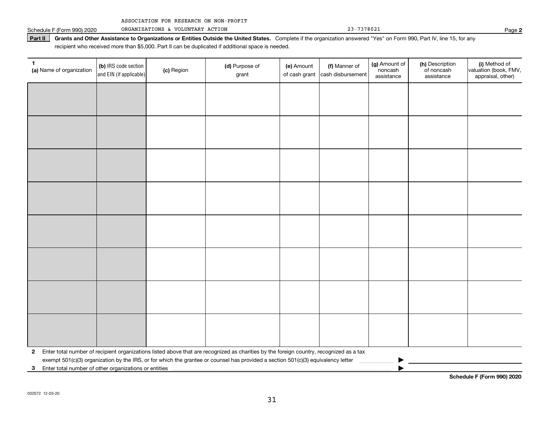|  | ASSOCIATION FOR RESEARCH ON NON-PROFIT |  |  |  |  |
|--|----------------------------------------|--|--|--|--|
|--|----------------------------------------|--|--|--|--|

Part II | Grants and Other Assistance to Organizations or Entities Outside the United States. Complete if the organization answered "Yes" on Form 990, Part IV, line 15, for any recipient who received more than \$5,000. Part II can be duplicated if additional space is needed.

| $\mathbf{1}$<br>(a) Name of organization | (b) IRS code section<br>and EIN (if applicable)                                                                                                                                              | (c) Region | (d) Purpose of<br>grant                                                                                                                 | (e) Amount<br>of cash grant | (f) Manner of<br>cash disbursement | (g) Amount of<br>noncash<br>assistance | (h) Description<br>of noncash<br>assistance | (i) Method of<br>valuation (book, FMV,<br>appraisal, other) |  |
|------------------------------------------|----------------------------------------------------------------------------------------------------------------------------------------------------------------------------------------------|------------|-----------------------------------------------------------------------------------------------------------------------------------------|-----------------------------|------------------------------------|----------------------------------------|---------------------------------------------|-------------------------------------------------------------|--|
|                                          |                                                                                                                                                                                              |            |                                                                                                                                         |                             |                                    |                                        |                                             |                                                             |  |
|                                          |                                                                                                                                                                                              |            |                                                                                                                                         |                             |                                    |                                        |                                             |                                                             |  |
|                                          |                                                                                                                                                                                              |            |                                                                                                                                         |                             |                                    |                                        |                                             |                                                             |  |
|                                          |                                                                                                                                                                                              |            |                                                                                                                                         |                             |                                    |                                        |                                             |                                                             |  |
|                                          |                                                                                                                                                                                              |            |                                                                                                                                         |                             |                                    |                                        |                                             |                                                             |  |
|                                          |                                                                                                                                                                                              |            |                                                                                                                                         |                             |                                    |                                        |                                             |                                                             |  |
|                                          |                                                                                                                                                                                              |            |                                                                                                                                         |                             |                                    |                                        |                                             |                                                             |  |
|                                          |                                                                                                                                                                                              |            |                                                                                                                                         |                             |                                    |                                        |                                             |                                                             |  |
|                                          |                                                                                                                                                                                              |            |                                                                                                                                         |                             |                                    |                                        |                                             |                                                             |  |
|                                          |                                                                                                                                                                                              |            |                                                                                                                                         |                             |                                    |                                        |                                             |                                                             |  |
|                                          |                                                                                                                                                                                              |            |                                                                                                                                         |                             |                                    |                                        |                                             |                                                             |  |
|                                          |                                                                                                                                                                                              |            |                                                                                                                                         |                             |                                    |                                        |                                             |                                                             |  |
|                                          |                                                                                                                                                                                              |            |                                                                                                                                         |                             |                                    |                                        |                                             |                                                             |  |
|                                          |                                                                                                                                                                                              |            |                                                                                                                                         |                             |                                    |                                        |                                             |                                                             |  |
|                                          |                                                                                                                                                                                              |            |                                                                                                                                         |                             |                                    |                                        |                                             |                                                             |  |
|                                          |                                                                                                                                                                                              |            |                                                                                                                                         |                             |                                    |                                        |                                             |                                                             |  |
| $\mathbf{2}$                             |                                                                                                                                                                                              |            | Enter total number of recipient organizations listed above that are recognized as charities by the foreign country, recognized as a tax |                             |                                    |                                        |                                             |                                                             |  |
|                                          | exempt 501(c)(3) organization by the IRS, or for which the grantee or counsel has provided a section 501(c)(3) equivalency letter<br>3 Enter total number of other organizations or entities |            |                                                                                                                                         |                             |                                    |                                        |                                             |                                                             |  |

**Schedule F (Form 990) 2020**

**2**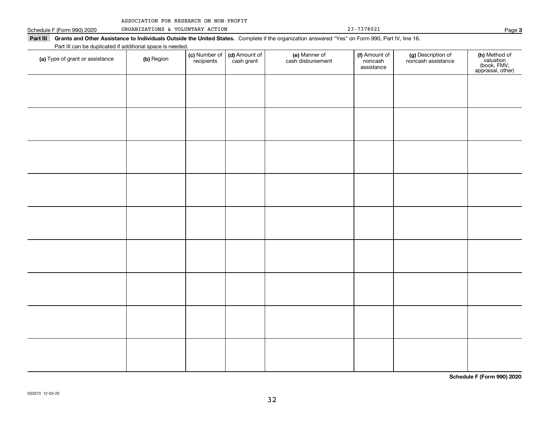| ASSOCIATION FOR RESEARCH ON NON-PROFIT |  |  |  |  |
|----------------------------------------|--|--|--|--|
|----------------------------------------|--|--|--|--|

| Part III Grants and Other Assistance to Individuals Outside the United States. Complete if the organization answered "Yes" on Form 990, Part IV, line 16.<br>Part III can be duplicated if additional space is needed. |                             |                             |                                    |                                        |                                          |                                                                |
|------------------------------------------------------------------------------------------------------------------------------------------------------------------------------------------------------------------------|-----------------------------|-----------------------------|------------------------------------|----------------------------------------|------------------------------------------|----------------------------------------------------------------|
| (b) Region                                                                                                                                                                                                             | (c) Number of<br>recipients | (d) Amount of<br>cash grant | (e) Manner of<br>cash disbursement | (f) Amount of<br>noncash<br>assistance | (g) Description of<br>noncash assistance | (h) Method of<br>valuation<br>(book, FMV,<br>appraisal, other) |
|                                                                                                                                                                                                                        |                             |                             |                                    |                                        |                                          |                                                                |
|                                                                                                                                                                                                                        |                             |                             |                                    |                                        |                                          |                                                                |
|                                                                                                                                                                                                                        |                             |                             |                                    |                                        |                                          |                                                                |
|                                                                                                                                                                                                                        |                             |                             |                                    |                                        |                                          |                                                                |
|                                                                                                                                                                                                                        |                             |                             |                                    |                                        |                                          |                                                                |
|                                                                                                                                                                                                                        |                             |                             |                                    |                                        |                                          |                                                                |
|                                                                                                                                                                                                                        |                             |                             |                                    |                                        |                                          |                                                                |
|                                                                                                                                                                                                                        |                             |                             |                                    |                                        |                                          |                                                                |
|                                                                                                                                                                                                                        |                             |                             |                                    |                                        |                                          |                                                                |
|                                                                                                                                                                                                                        |                             |                             |                                    |                                        |                                          |                                                                |
|                                                                                                                                                                                                                        |                             |                             |                                    |                                        |                                          |                                                                |

**Schedule F (Form 990) 2020**

**3**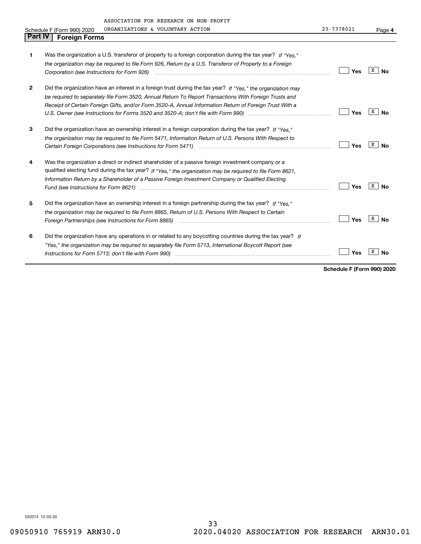| <b>Part IV</b> | <b>Foreign Forms</b>                                                                                           |     |                |
|----------------|----------------------------------------------------------------------------------------------------------------|-----|----------------|
|                |                                                                                                                |     |                |
| 1              | Was the organization a U.S. transferor of property to a foreign corporation during the tax year? If "Yes."     |     |                |
|                | the organization may be required to file Form 926, Return by a U.S. Transferor of Property to a Foreign        |     |                |
|                |                                                                                                                | Yes | X<br><b>No</b> |
| $\mathbf{2}$   | Did the organization have an interest in a foreign trust during the tax year? If "Yes," the organization may   |     |                |
|                | be required to separately file Form 3520, Annual Return To Report Transactions With Foreign Trusts and         |     |                |
|                | Receipt of Certain Foreign Gifts, and/or Form 3520-A, Annual Information Return of Foreign Trust With a        |     |                |
|                |                                                                                                                | Yes | x<br>No        |
| 3              | Did the organization have an ownership interest in a foreign corporation during the tax year? If "Yes."        |     |                |
|                | the organization may be required to file Form 5471, Information Return of U.S. Persons With Respect to         |     |                |
|                |                                                                                                                | Yes | x<br>No        |
| 4              | Was the organization a direct or indirect shareholder of a passive foreign investment company or a             |     |                |
|                | qualified electing fund during the tax year? If "Yes," the organization may be required to file Form 8621,     |     |                |
|                | Information Return by a Shareholder of a Passive Foreign Investment Company or Qualified Electing              |     |                |
|                | Fund (see Instructions for Form 8621) manufactured control to the control of the control of the control of the | Yes | x<br><b>No</b> |
| 5              | Did the organization have an ownership interest in a foreign partnership during the tax year? If "Yes."        |     |                |
|                | the organization may be required to file Form 8865, Return of U.S. Persons With Respect to Certain             |     |                |
|                | Foreign Partnerships (see Instructions for Form 8865) manufactured continuum continuum continuum continuum con | Yes | X<br>No        |
| 6              | Did the organization have any operations in or related to any boycotting countries during the tax year? If     |     |                |
|                | "Yes," the organization may be required to separately file Form 5713, International Boycott Report (see        |     |                |
|                |                                                                                                                | Yes |                |
|                |                                                                                                                |     |                |

**Schedule F (Form 990) 2020**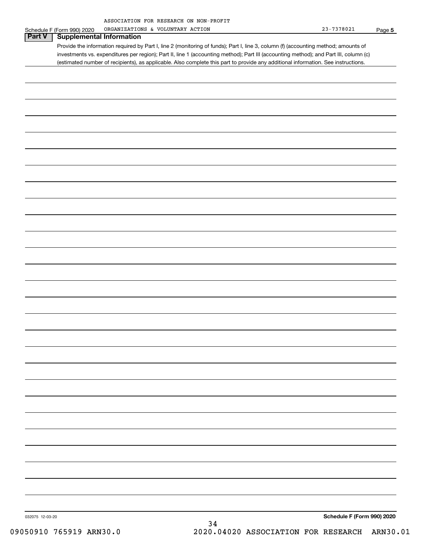| ASSOCIATION FOR RESEARCH ON NON-PROFIT |  |  |
|----------------------------------------|--|--|
|                                        |  |  |

|                 | Schedule F (Form 990) 2020      | ORGANIZATIONS & VOLUNTARY ACTION                                                                                                      | $23 - 7378021$<br>Page 5   |
|-----------------|---------------------------------|---------------------------------------------------------------------------------------------------------------------------------------|----------------------------|
| <b>Part V</b>   | <b>Supplemental Information</b> |                                                                                                                                       |                            |
|                 |                                 | Provide the information required by Part I, line 2 (monitoring of funds); Part I, line 3, column (f) (accounting method; amounts of   |                            |
|                 |                                 | investments vs. expenditures per region); Part II, line 1 (accounting method); Part III (accounting method); and Part III, column (c) |                            |
|                 |                                 | (estimated number of recipients), as applicable. Also complete this part to provide any additional information. See instructions.     |                            |
|                 |                                 |                                                                                                                                       |                            |
|                 |                                 |                                                                                                                                       |                            |
|                 |                                 |                                                                                                                                       |                            |
|                 |                                 |                                                                                                                                       |                            |
|                 |                                 |                                                                                                                                       |                            |
|                 |                                 |                                                                                                                                       |                            |
|                 |                                 |                                                                                                                                       |                            |
|                 |                                 |                                                                                                                                       |                            |
|                 |                                 |                                                                                                                                       |                            |
|                 |                                 |                                                                                                                                       |                            |
|                 |                                 |                                                                                                                                       |                            |
|                 |                                 |                                                                                                                                       |                            |
|                 |                                 |                                                                                                                                       |                            |
|                 |                                 |                                                                                                                                       |                            |
|                 |                                 |                                                                                                                                       |                            |
|                 |                                 |                                                                                                                                       |                            |
|                 |                                 |                                                                                                                                       |                            |
|                 |                                 |                                                                                                                                       |                            |
|                 |                                 |                                                                                                                                       |                            |
|                 |                                 |                                                                                                                                       |                            |
|                 |                                 |                                                                                                                                       |                            |
|                 |                                 |                                                                                                                                       |                            |
|                 |                                 |                                                                                                                                       |                            |
|                 |                                 |                                                                                                                                       |                            |
|                 |                                 |                                                                                                                                       |                            |
|                 |                                 |                                                                                                                                       |                            |
|                 |                                 |                                                                                                                                       |                            |
|                 |                                 |                                                                                                                                       |                            |
|                 |                                 |                                                                                                                                       |                            |
|                 |                                 |                                                                                                                                       |                            |
|                 |                                 |                                                                                                                                       |                            |
|                 |                                 |                                                                                                                                       |                            |
|                 |                                 |                                                                                                                                       |                            |
|                 |                                 |                                                                                                                                       |                            |
|                 |                                 |                                                                                                                                       |                            |
|                 |                                 |                                                                                                                                       |                            |
|                 |                                 |                                                                                                                                       |                            |
|                 |                                 |                                                                                                                                       |                            |
|                 |                                 |                                                                                                                                       |                            |
|                 |                                 |                                                                                                                                       |                            |
|                 |                                 |                                                                                                                                       |                            |
|                 |                                 |                                                                                                                                       |                            |
|                 |                                 |                                                                                                                                       |                            |
|                 |                                 |                                                                                                                                       |                            |
|                 |                                 |                                                                                                                                       |                            |
|                 |                                 |                                                                                                                                       |                            |
|                 |                                 |                                                                                                                                       |                            |
|                 |                                 |                                                                                                                                       |                            |
|                 |                                 |                                                                                                                                       |                            |
|                 |                                 |                                                                                                                                       |                            |
| 032075 12-03-20 |                                 |                                                                                                                                       | Schedule F (Form 990) 2020 |
|                 |                                 | 34                                                                                                                                    |                            |
|                 | −                               |                                                                                                                                       |                            |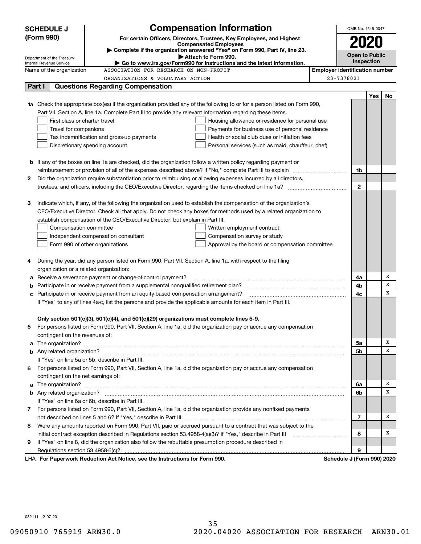| <b>Compensation Information</b><br><b>SCHEDULE J</b>                                |                                                                                                                                                                                                               |                                                                                                              |                                                                                                                        |  | OMB No. 1545-0047                     |     |    |  |  |
|-------------------------------------------------------------------------------------|---------------------------------------------------------------------------------------------------------------------------------------------------------------------------------------------------------------|--------------------------------------------------------------------------------------------------------------|------------------------------------------------------------------------------------------------------------------------|--|---------------------------------------|-----|----|--|--|
| (Form 990)<br>For certain Officers, Directors, Trustees, Key Employees, and Highest |                                                                                                                                                                                                               |                                                                                                              |                                                                                                                        |  |                                       |     |    |  |  |
|                                                                                     | <b>Compensated Employees</b>                                                                                                                                                                                  |                                                                                                              |                                                                                                                        |  |                                       |     |    |  |  |
|                                                                                     | Complete if the organization answered "Yes" on Form 990, Part IV, line 23.<br>Attach to Form 990.                                                                                                             |                                                                                                              |                                                                                                                        |  | Open to Public                        |     |    |  |  |
|                                                                                     | Department of the Treasury<br>Internal Revenue Service<br>Go to www.irs.gov/Form990 for instructions and the latest information.                                                                              |                                                                                                              |                                                                                                                        |  | <b>Inspection</b>                     |     |    |  |  |
|                                                                                     | Name of the organization<br>ASSOCIATION FOR RESEARCH ON NON-PROFIT                                                                                                                                            |                                                                                                              |                                                                                                                        |  | <b>Employer identification number</b> |     |    |  |  |
|                                                                                     |                                                                                                                                                                                                               | ORGANIZATIONS & VOLUNTARY ACTION                                                                             |                                                                                                                        |  | 23-7378021                            |     |    |  |  |
| <b>Questions Regarding Compensation</b><br>Part I                                   |                                                                                                                                                                                                               |                                                                                                              |                                                                                                                        |  |                                       |     |    |  |  |
|                                                                                     |                                                                                                                                                                                                               |                                                                                                              |                                                                                                                        |  |                                       | Yes | No |  |  |
|                                                                                     | <b>1a</b> Check the appropriate box(es) if the organization provided any of the following to or for a person listed on Form 990,                                                                              |                                                                                                              |                                                                                                                        |  |                                       |     |    |  |  |
|                                                                                     | Part VII, Section A, line 1a. Complete Part III to provide any relevant information regarding these items.                                                                                                    |                                                                                                              |                                                                                                                        |  |                                       |     |    |  |  |
|                                                                                     | First-class or charter travel                                                                                                                                                                                 |                                                                                                              | Housing allowance or residence for personal use                                                                        |  |                                       |     |    |  |  |
|                                                                                     | Travel for companions                                                                                                                                                                                         |                                                                                                              | Payments for business use of personal residence                                                                        |  |                                       |     |    |  |  |
|                                                                                     |                                                                                                                                                                                                               | Tax indemnification and gross-up payments                                                                    | Health or social club dues or initiation fees                                                                          |  |                                       |     |    |  |  |
|                                                                                     | Discretionary spending account                                                                                                                                                                                |                                                                                                              | Personal services (such as maid, chauffeur, chef)                                                                      |  |                                       |     |    |  |  |
|                                                                                     |                                                                                                                                                                                                               |                                                                                                              |                                                                                                                        |  |                                       |     |    |  |  |
|                                                                                     |                                                                                                                                                                                                               |                                                                                                              | <b>b</b> If any of the boxes on line 1a are checked, did the organization follow a written policy regarding payment or |  |                                       |     |    |  |  |
|                                                                                     |                                                                                                                                                                                                               |                                                                                                              | reimbursement or provision of all of the expenses described above? If "No," complete Part III to explain               |  | 1b                                    |     |    |  |  |
| 2                                                                                   |                                                                                                                                                                                                               |                                                                                                              | Did the organization require substantiation prior to reimbursing or allowing expenses incurred by all directors,       |  |                                       |     |    |  |  |
|                                                                                     |                                                                                                                                                                                                               |                                                                                                              | trustees, and officers, including the CEO/Executive Director, regarding the items checked on line 1a?                  |  | $\mathbf{2}$                          |     |    |  |  |
|                                                                                     |                                                                                                                                                                                                               |                                                                                                              |                                                                                                                        |  |                                       |     |    |  |  |
| з                                                                                   |                                                                                                                                                                                                               |                                                                                                              | Indicate which, if any, of the following the organization used to establish the compensation of the organization's     |  |                                       |     |    |  |  |
|                                                                                     |                                                                                                                                                                                                               |                                                                                                              | CEO/Executive Director. Check all that apply. Do not check any boxes for methods used by a related organization to     |  |                                       |     |    |  |  |
|                                                                                     |                                                                                                                                                                                                               | establish compensation of the CEO/Executive Director, but explain in Part III.                               |                                                                                                                        |  |                                       |     |    |  |  |
|                                                                                     | Compensation committee<br>Written employment contract                                                                                                                                                         |                                                                                                              |                                                                                                                        |  |                                       |     |    |  |  |
|                                                                                     |                                                                                                                                                                                                               | Independent compensation consultant                                                                          | Compensation survey or study                                                                                           |  |                                       |     |    |  |  |
|                                                                                     | Form 990 of other organizations                                                                                                                                                                               |                                                                                                              | Approval by the board or compensation committee                                                                        |  |                                       |     |    |  |  |
| 4                                                                                   |                                                                                                                                                                                                               | During the year, did any person listed on Form 990, Part VII, Section A, line 1a, with respect to the filing |                                                                                                                        |  |                                       |     |    |  |  |
|                                                                                     | organization or a related organization:                                                                                                                                                                       |                                                                                                              |                                                                                                                        |  |                                       |     |    |  |  |
|                                                                                     |                                                                                                                                                                                                               | Receive a severance payment or change-of-control payment?                                                    |                                                                                                                        |  | 4a                                    |     | х  |  |  |
| b                                                                                   |                                                                                                                                                                                                               | Participate in or receive payment from a supplemental nonqualified retirement plan?                          |                                                                                                                        |  | 4b                                    |     | X  |  |  |
| с                                                                                   |                                                                                                                                                                                                               |                                                                                                              |                                                                                                                        |  | 4c                                    |     | X  |  |  |
|                                                                                     | Participate in or receive payment from an equity-based compensation arrangement?<br>If "Yes" to any of lines 4a-c, list the persons and provide the applicable amounts for each item in Part III.             |                                                                                                              |                                                                                                                        |  |                                       |     |    |  |  |
|                                                                                     |                                                                                                                                                                                                               |                                                                                                              |                                                                                                                        |  |                                       |     |    |  |  |
|                                                                                     |                                                                                                                                                                                                               |                                                                                                              |                                                                                                                        |  |                                       |     |    |  |  |
|                                                                                     | Only section 501(c)(3), 501(c)(4), and 501(c)(29) organizations must complete lines 5-9.<br>For persons listed on Form 990, Part VII, Section A, line 1a, did the organization pay or accrue any compensation |                                                                                                              |                                                                                                                        |  |                                       |     |    |  |  |
|                                                                                     | contingent on the revenues of:                                                                                                                                                                                |                                                                                                              |                                                                                                                        |  |                                       |     |    |  |  |
| a                                                                                   |                                                                                                                                                                                                               |                                                                                                              |                                                                                                                        |  | 5а                                    |     | х  |  |  |
|                                                                                     |                                                                                                                                                                                                               |                                                                                                              |                                                                                                                        |  | <b>5b</b>                             |     | X  |  |  |
|                                                                                     |                                                                                                                                                                                                               | If "Yes" on line 5a or 5b, describe in Part III.                                                             |                                                                                                                        |  |                                       |     |    |  |  |
| 6                                                                                   |                                                                                                                                                                                                               |                                                                                                              | For persons listed on Form 990, Part VII, Section A, line 1a, did the organization pay or accrue any compensation      |  |                                       |     |    |  |  |
|                                                                                     | contingent on the net earnings of:                                                                                                                                                                            |                                                                                                              |                                                                                                                        |  |                                       |     |    |  |  |
| a                                                                                   |                                                                                                                                                                                                               |                                                                                                              |                                                                                                                        |  | 6a                                    |     | х  |  |  |
|                                                                                     |                                                                                                                                                                                                               |                                                                                                              |                                                                                                                        |  | 6b                                    |     | X  |  |  |
|                                                                                     |                                                                                                                                                                                                               | If "Yes" on line 6a or 6b, describe in Part III.                                                             |                                                                                                                        |  |                                       |     |    |  |  |
|                                                                                     | 7 For persons listed on Form 990, Part VII, Section A, line 1a, did the organization provide any nonfixed payments                                                                                            |                                                                                                              |                                                                                                                        |  |                                       |     |    |  |  |
|                                                                                     |                                                                                                                                                                                                               |                                                                                                              |                                                                                                                        |  | 7                                     |     | х  |  |  |
| 8                                                                                   |                                                                                                                                                                                                               |                                                                                                              | Were any amounts reported on Form 990, Part VII, paid or accrued pursuant to a contract that was subject to the        |  |                                       |     |    |  |  |
|                                                                                     | initial contract exception described in Regulations section 53.4958-4(a)(3)? If "Yes," describe in Part III                                                                                                   |                                                                                                              |                                                                                                                        |  |                                       |     | х  |  |  |
| 9                                                                                   |                                                                                                                                                                                                               | If "Yes" on line 8, did the organization also follow the rebuttable presumption procedure described in       |                                                                                                                        |  |                                       |     |    |  |  |
|                                                                                     |                                                                                                                                                                                                               |                                                                                                              |                                                                                                                        |  | 9                                     |     |    |  |  |
|                                                                                     |                                                                                                                                                                                                               | LHA For Paperwork Reduction Act Notice, see the Instructions for Form 990.                                   |                                                                                                                        |  | Schedule J (Form 990) 2020            |     |    |  |  |

032111 12-07-20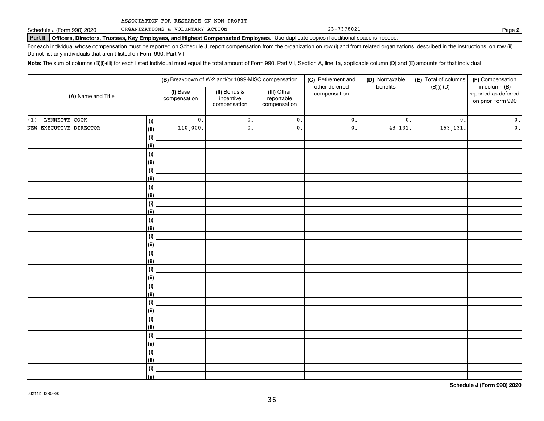ORGANIZATIONS & VOLUNTARY ACTION

**Part II Officers, Directors, Trustees, Key Employees, and Highest Compensated Employees.**  Schedule J (Form 990) 2020 Page Use duplicate copies if additional space is needed.

For each individual whose compensation must be reported on Schedule J, report compensation from the organization on row (i) and from related organizations, described in the instructions, on row (ii). Do not list any individuals that aren't listed on Form 990, Part VII.

**Note:**  The sum of columns (B)(i)-(iii) for each listed individual must equal the total amount of Form 990, Part VII, Section A, line 1a, applicable column (D) and (E) amounts for that individual.

| (A) Name and Title     |                    | (B) Breakdown of W-2 and/or 1099-MISC compensation |                                                                                                                          |               | (C) Retirement and | (D) Nontaxable                                             | (E) Total of columns | (F) Compensation |
|------------------------|--------------------|----------------------------------------------------|--------------------------------------------------------------------------------------------------------------------------|---------------|--------------------|------------------------------------------------------------|----------------------|------------------|
|                        |                    | (i) Base<br>compensation                           | other deferred<br>(ii) Bonus &<br>(iii) Other<br>compensation<br>incentive<br>reportable<br>compensation<br>compensation | benefits      | $(B)(i)-(D)$       | in column (B)<br>reported as deferred<br>on prior Form 990 |                      |                  |
| LYNNETTE COOK<br>(1)   | (i)                | $\mathfrak o$ .                                    | $\mathfrak o$ .                                                                                                          | $\mathbf 0$ . | $\mathfrak o$ .    | $\mathfrak o$ .                                            | $\mathbf{0}$ .       | $\mathbf 0$ .    |
| NEW EXECUTIVE DIRECTOR | <u>(ii)</u>        | 110,000.                                           | $\mathsf{0}$ .                                                                                                           | 0.            | $\mathsf{0}$ .     | 43,131.                                                    | 153,131.             | $\mathbf 0$ .    |
|                        | (i)                |                                                    |                                                                                                                          |               |                    |                                                            |                      |                  |
|                        | <u>(ii)</u>        |                                                    |                                                                                                                          |               |                    |                                                            |                      |                  |
|                        | $(\sf{i})$         |                                                    |                                                                                                                          |               |                    |                                                            |                      |                  |
|                        | <u>(ii)</u>        |                                                    |                                                                                                                          |               |                    |                                                            |                      |                  |
|                        | $(\sf{i})$         |                                                    |                                                                                                                          |               |                    |                                                            |                      |                  |
|                        | <u>(ii)</u>        |                                                    |                                                                                                                          |               |                    |                                                            |                      |                  |
|                        | $(\sf{i})$         |                                                    |                                                                                                                          |               |                    |                                                            |                      |                  |
|                        | <u>(ii)</u>        |                                                    |                                                                                                                          |               |                    |                                                            |                      |                  |
|                        | (i)                |                                                    |                                                                                                                          |               |                    |                                                            |                      |                  |
|                        | <u>(ii)</u><br>(i) |                                                    |                                                                                                                          |               |                    |                                                            |                      |                  |
|                        | <u>(ii)</u>        |                                                    |                                                                                                                          |               |                    |                                                            |                      |                  |
|                        | (i)                |                                                    |                                                                                                                          |               |                    |                                                            |                      |                  |
|                        | <u>(ii)</u>        |                                                    |                                                                                                                          |               |                    |                                                            |                      |                  |
|                        | (i)                |                                                    |                                                                                                                          |               |                    |                                                            |                      |                  |
|                        | <u>(ii)</u>        |                                                    |                                                                                                                          |               |                    |                                                            |                      |                  |
|                        | (i)                |                                                    |                                                                                                                          |               |                    |                                                            |                      |                  |
|                        | <u>(ii)</u>        |                                                    |                                                                                                                          |               |                    |                                                            |                      |                  |
|                        | (i)                |                                                    |                                                                                                                          |               |                    |                                                            |                      |                  |
|                        | <u>(ii)</u>        |                                                    |                                                                                                                          |               |                    |                                                            |                      |                  |
|                        | (i)                |                                                    |                                                                                                                          |               |                    |                                                            |                      |                  |
|                        | <u>(ii)</u>        |                                                    |                                                                                                                          |               |                    |                                                            |                      |                  |
|                        | (i)                |                                                    |                                                                                                                          |               |                    |                                                            |                      |                  |
|                        | <u>(ii)</u>        |                                                    |                                                                                                                          |               |                    |                                                            |                      |                  |
|                        | (i)                |                                                    |                                                                                                                          |               |                    |                                                            |                      |                  |
|                        | <u>(ii)</u>        |                                                    |                                                                                                                          |               |                    |                                                            |                      |                  |
|                        | (i)<br><u>(ii)</u> |                                                    |                                                                                                                          |               |                    |                                                            |                      |                  |
|                        | (i)                |                                                    |                                                                                                                          |               |                    |                                                            |                      |                  |
|                        | (ii)               |                                                    |                                                                                                                          |               |                    |                                                            |                      |                  |
|                        |                    |                                                    |                                                                                                                          |               |                    |                                                            |                      |                  |

**Schedule J (Form 990) 2020**

**2**

23-7378021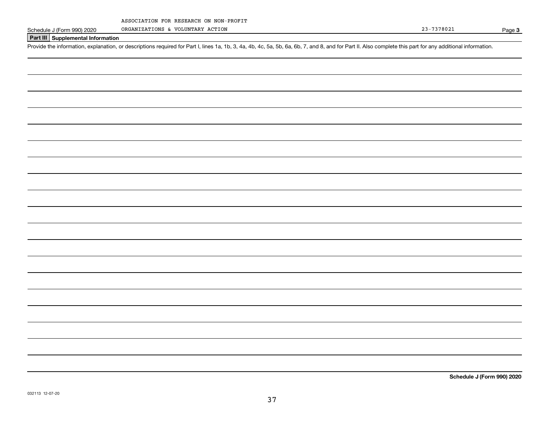ORGANIZATIONS & VOLUNTARY ACTION

Page 3

### **Part III Supplemental Information**

Schedule J (Form 990) 2020 ORGANIZATIONS & VOLUNTARY ACTION<br>Part III Supplemental Information<br>Provide the information, explanation, or descriptions required for Part I, lines 1a, 1b, 3, 4a, 4b, 4c, 5a, 5b, 6a, 6b, 7, and 8

**Schedule J (Form 990) 2020**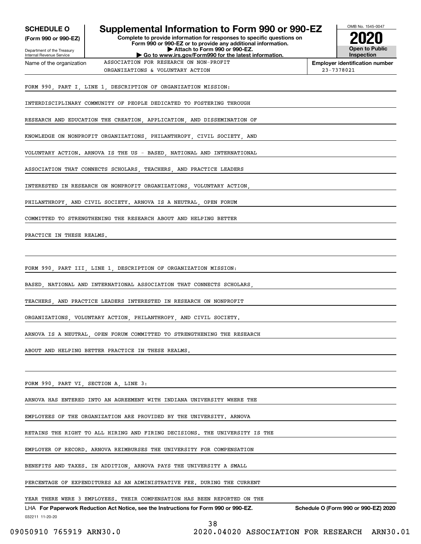| <b>SCHEDULE O</b>                                      | Supplemental Information to Form 990 or 990-EZ                                                                                                         |                                              | OMB No. 1545-0047                                   |
|--------------------------------------------------------|--------------------------------------------------------------------------------------------------------------------------------------------------------|----------------------------------------------|-----------------------------------------------------|
| (Form 990 or 990-EZ)                                   | Complete to provide information for responses to specific questions on                                                                                 |                                              |                                                     |
| Department of the Treasury<br>Internal Revenue Service | Form 990 or 990-EZ or to provide any additional information.<br>Attach to Form 990 or 990-EZ.<br>Go to www.irs.gov/Form990 for the latest information. |                                              | <b>Open to Public</b><br>Inspection                 |
| Name of the organization                               | ASSOCIATION FOR RESEARCH ON NON-PROFIT                                                                                                                 |                                              | <b>Employer identification number</b><br>23-7378021 |
|                                                        | ORGANIZATIONS & VOLUNTARY ACTION                                                                                                                       |                                              |                                                     |
|                                                        | FORM 990, PART I, LINE 1, DESCRIPTION OF ORGANIZATION MISSION:                                                                                         |                                              |                                                     |
|                                                        | INTERDISCIPLINARY COMMUNITY OF PEOPLE DEDICATED TO FOSTERING THROUGH                                                                                   |                                              |                                                     |
|                                                        | RESEARCH AND EDUCATION THE CREATION, APPLICATION, AND DISSEMINATION OF                                                                                 |                                              |                                                     |
|                                                        | KNOWLEDGE ON NONPROFIT ORGANIZATIONS, PHILANTHROPY, CIVIL SOCIETY, AND                                                                                 |                                              |                                                     |
|                                                        | VOLUNTARY ACTION. ARNOVA IS THE US - BASED, NATIONAL AND INTERNATIONAL                                                                                 |                                              |                                                     |
|                                                        | ASSOCIATION THAT CONNECTS SCHOLARS, TEACHERS, AND PRACTICE LEADERS                                                                                     |                                              |                                                     |
|                                                        | INTERESTED IN RESEARCH ON NONPROFIT ORGANIZATIONS, VOLUNTARY ACTION,                                                                                   |                                              |                                                     |
|                                                        | PHILANTHROPY, AND CIVIL SOCIETY. ARNOVA IS A NEUTRAL, OPEN FORUM                                                                                       |                                              |                                                     |
|                                                        | COMMITTED TO STRENGTHENING THE RESEARCH ABOUT AND HELPING BETTER                                                                                       |                                              |                                                     |
| PRACTICE IN THESE REALMS.                              |                                                                                                                                                        |                                              |                                                     |
|                                                        |                                                                                                                                                        |                                              |                                                     |
|                                                        | FORM 990, PART III, LINE 1, DESCRIPTION OF ORGANIZATION MISSION:                                                                                       |                                              |                                                     |
|                                                        | BASED, NATIONAL AND INTERNATIONAL ASSOCIATION THAT CONNECTS SCHOLARS,                                                                                  |                                              |                                                     |
|                                                        | TEACHERS, AND PRACTICE LEADERS INTERESTED IN RESEARCH ON NONPROFIT                                                                                     |                                              |                                                     |
|                                                        | ORGANIZATIONS VOLUNTARY ACTION PHILANTHROPY AND CIVIL SOCIETY.                                                                                         |                                              |                                                     |
|                                                        | ARNOVA IS A NEUTRAL, OPEN FORUM COMMITTED TO STRENGTHENING THE RESEARCH                                                                                |                                              |                                                     |
|                                                        | ABOUT AND HELPING BETTER PRACTICE IN THESE REALMS.                                                                                                     |                                              |                                                     |
|                                                        |                                                                                                                                                        |                                              |                                                     |
| FORM 990, PART VI, SECTION A, LINE 3:                  |                                                                                                                                                        |                                              |                                                     |
|                                                        | ARNOVA HAS ENTERED INTO AN AGREEMENT WITH INDIANA UNIVERSITY WHERE THE                                                                                 |                                              |                                                     |
|                                                        | EMPLOYEES OF THE ORGANIZATION ARE PROVIDED BY THE UNIVERSITY. ARNOVA                                                                                   |                                              |                                                     |
|                                                        | RETAINS THE RIGHT TO ALL HIRING AND FIRING DECISIONS. THE UNIVERSITY IS THE                                                                            |                                              |                                                     |
|                                                        | EMPLOYER OF RECORD. ARNOVA REIMBURSES THE UNIVERSITY FOR COMPENSATION                                                                                  |                                              |                                                     |
|                                                        | BENEFITS AND TAXES. IN ADDITION, ARNOVA PAYS THE UNIVERSITY A SMALL                                                                                    |                                              |                                                     |
|                                                        | PERCENTAGE OF EXPENDITURES AS AN ADMINISTRATIVE FEE. DURING THE CURRENT                                                                                |                                              |                                                     |
|                                                        | YEAR THERE WERE 3 EMPLOYEES. THEIR COMPENSATION HAS BEEN REPORTED ON THE                                                                               |                                              |                                                     |
| 032211 11-20-20                                        | LHA For Paperwork Reduction Act Notice, see the Instructions for Form 990 or 990-EZ. Schedule O (Form 990 or 990-EZ) 2020                              |                                              |                                                     |
| 09050910 765919 ARN30.0                                | 38                                                                                                                                                     | 2020.04020 ASSOCIATION FOR RESEARCH ARN30.01 |                                                     |

 $\mathcal{L}$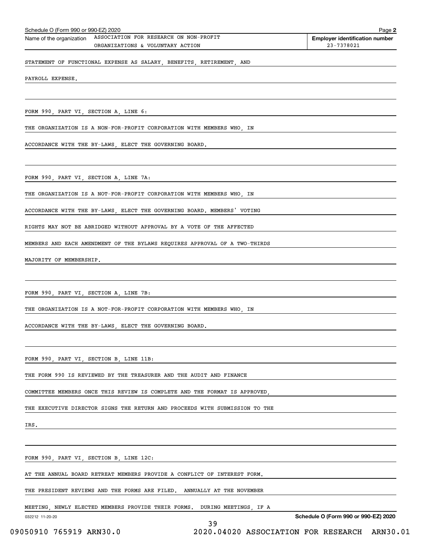| Schedule O (Form 990 or 990-EZ) 2020<br>Page 2 |                                        |                                       |  |  |  |
|------------------------------------------------|----------------------------------------|---------------------------------------|--|--|--|
| Name of the organization                       | ASSOCIATION FOR RESEARCH ON NON-PROFIT | <b>Employer identification number</b> |  |  |  |
|                                                | ORGANIZATIONS & VOLUNTARY ACTION       | 23-7378021                            |  |  |  |
|                                                |                                        |                                       |  |  |  |

STATEMENT OF FUNCTIONAL EXPENSE AS SALARY, BENEFITS, RETIREMENT, AND

PAYROLL EXPENSE.

FORM 990, PART VI, SECTION A, LINE 6:

THE ORGANIZATION IS A NON-FOR-PROFIT CORPORATION WITH MEMBERS WHO, IN

ACCORDANCE WITH THE BY-LAWS, ELECT THE GOVERNING BOARD.

FORM 990, PART VI, SECTION A, LINE 7A:

THE ORGANIZATION IS A NOT-FOR-PROFIT CORPORATION WITH MEMBERS WHO, IN

ACCORDANCE WITH THE BY-LAWS, ELECT THE GOVERNING BOARD. MEMBERS' VOTING

RIGHTS MAY NOT BE ABRIDGED WITHOUT APPROVAL BY A VOTE OF THE AFFECTED

MEMBERS AND EACH AMENDMENT OF THE BYLAWS REQUIRES APPROVAL OF A TWO-THIRDS

MAJORITY OF MEMBERSHIP.

FORM 990, PART VI, SECTION A, LINE 7B:

THE ORGANIZATION IS A NOT-FOR-PROFIT CORPORATION WITH MEMBERS WHO, IN

ACCORDANCE WITH THE BY-LAWS, ELECT THE GOVERNING BOARD.

FORM 990, PART VI, SECTION B, LINE 11B:

THE FORM 990 IS REVIEWED BY THE TREASURER AND THE AUDIT AND FINANCE

COMMITTEE MEMBERS ONCE THIS REVIEW IS COMPLETE AND THE FORMAT IS APPROVED,

THE EXECUTIVE DIRECTOR SIGNS THE RETURN AND PROCEEDS WITH SUBMISSION TO THE

IRS.

FORM 990, PART VI, SECTION B, LINE 12C:

AT THE ANNUAL BOARD RETREAT MEMBERS PROVIDE A CONFLICT OF INTEREST FORM.

THE PRESIDENT REVIEWS AND THE FORMS ARE FILED. ANNUALLY AT THE NOVEMBER

MEETING, NEWLY ELECTED MEMBERS PROVIDE THEIR FORMS. DURING MEETINGS, IF A

39

032212 11-20-20